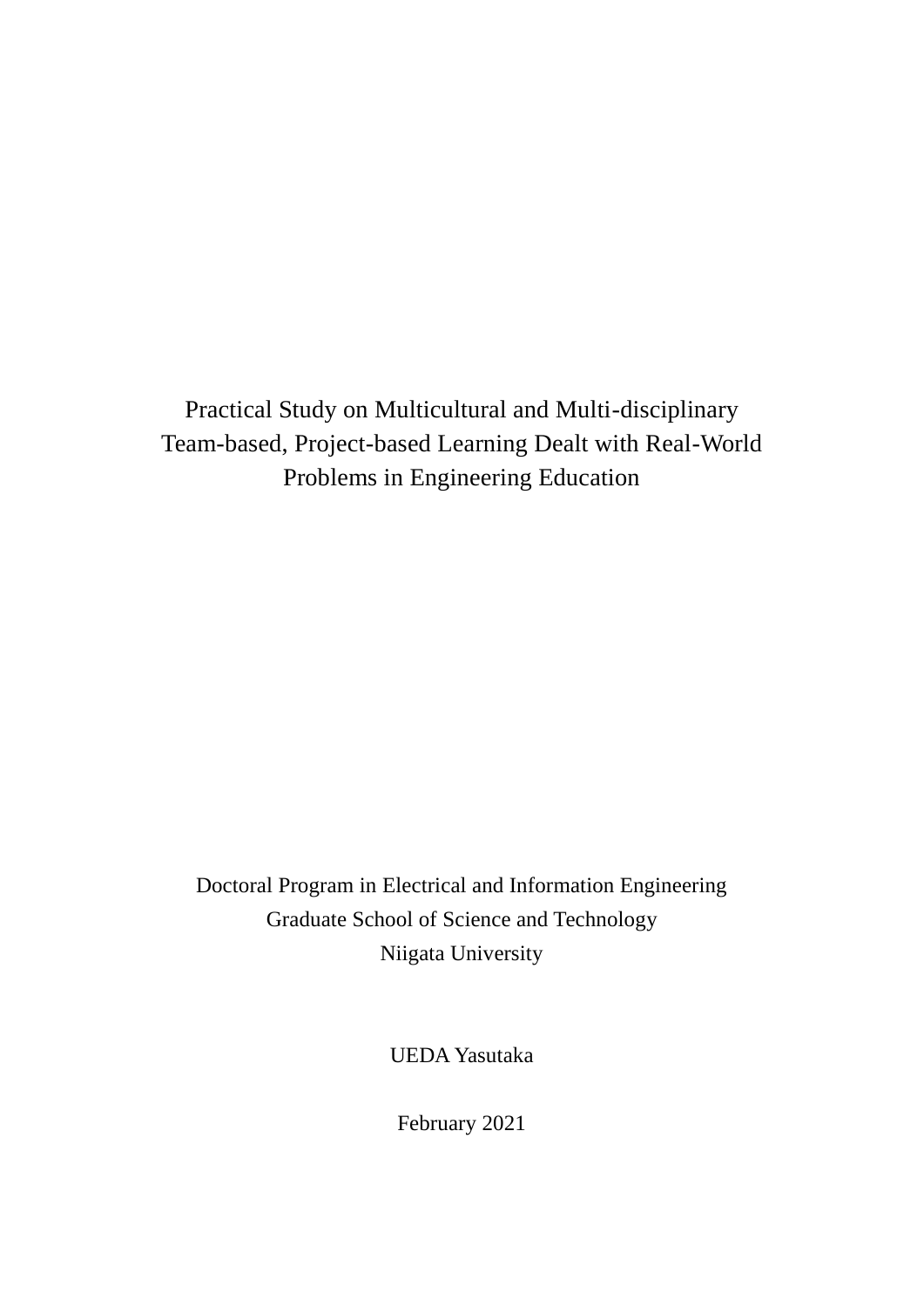Practical Study on Multicultural and Multi-disciplinary Team-based, Project-based Learning Dealt with Real-World Problems in Engineering Education

Doctoral Program in Electrical and Information Engineering Graduate School of Science and Technology Niigata University

UEDA Yasutaka

February 2021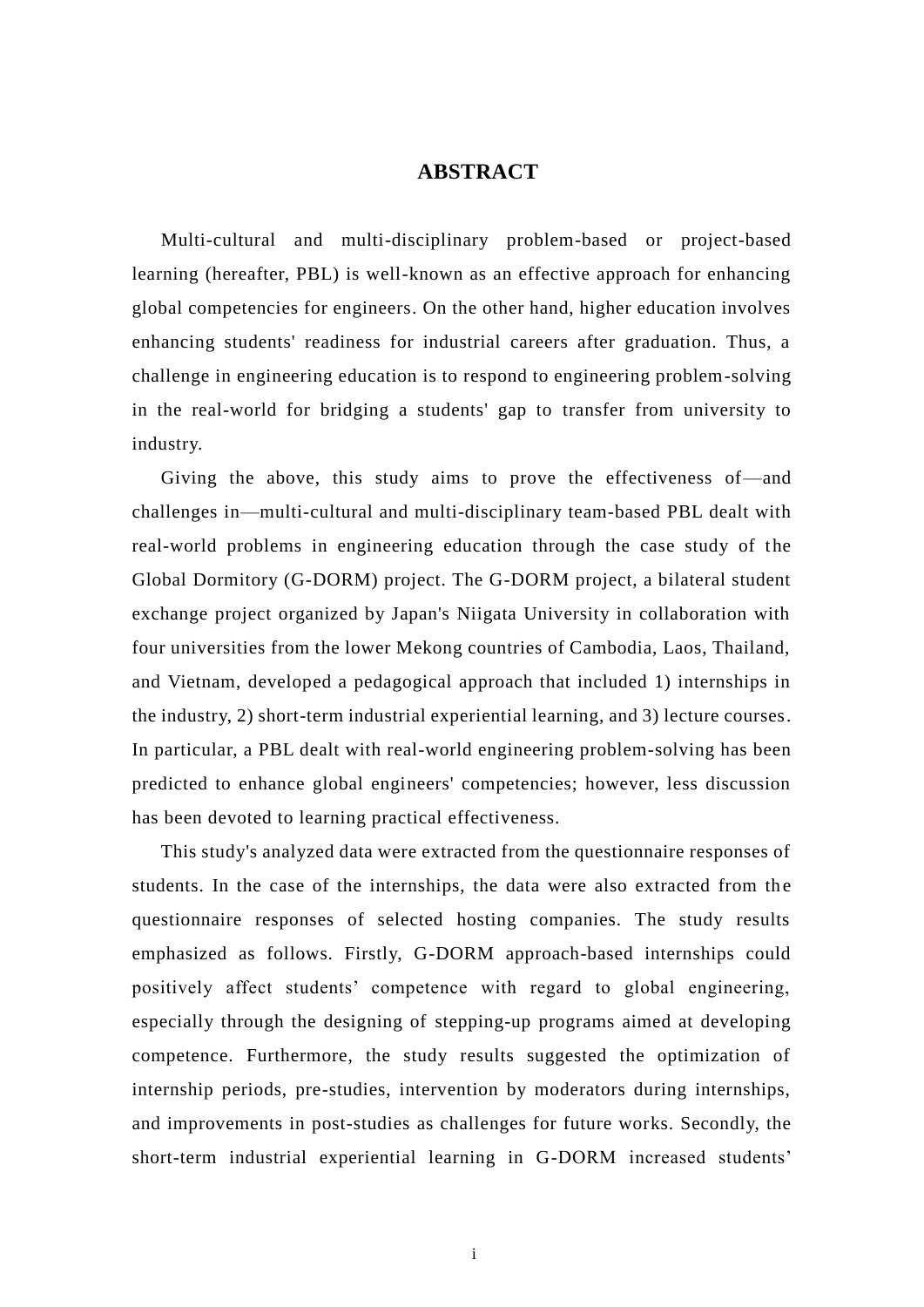### **ABSTRACT**

<span id="page-2-0"></span>Multi-cultural and multi-disciplinary problem-based or project-based learning (hereafter, PBL) is well-known as an effective approach for enhancing global competencies for engineers. On the other hand, higher education involves enhancing students' readiness for industrial careers after graduation. Thus, a challenge in engineering education is to respond to engineering problem-solving in the real-world for bridging a students' gap to transfer from university to industry.

Giving the above, this study aims to prove the effectiveness of—and challenges in—multi-cultural and multi-disciplinary team-based PBL dealt with real-world problems in engineering education through the case study of the Global Dormitory (G-DORM) project. The G-DORM project, a bilateral student exchange project organized by Japan's Niigata University in collaboration with four universities from the lower Mekong countries of Cambodia, Laos, Thailand, and Vietnam, developed a pedagogical approach that included 1) internships in the industry, 2) short-term industrial experiential learning, and 3) lecture courses. In particular, a PBL dealt with real-world engineering problem-solving has been predicted to enhance global engineers' competencies; however, less discussion has been devoted to learning practical effectiveness.

This study's analyzed data were extracted from the questionnaire responses of students. In the case of the internships, the data were also extracted from the questionnaire responses of selected hosting companies. The study results emphasized as follows. Firstly, G-DORM approach-based internships could positively affect students' competence with regard to global engineering, especially through the designing of stepping-up programs aimed at developing competence. Furthermore, the study results suggested the optimization of internship periods, pre-studies, intervention by moderators during internships, and improvements in post-studies as challenges for future works. Secondly, the short-term industrial experiential learning in G-DORM increased students'

i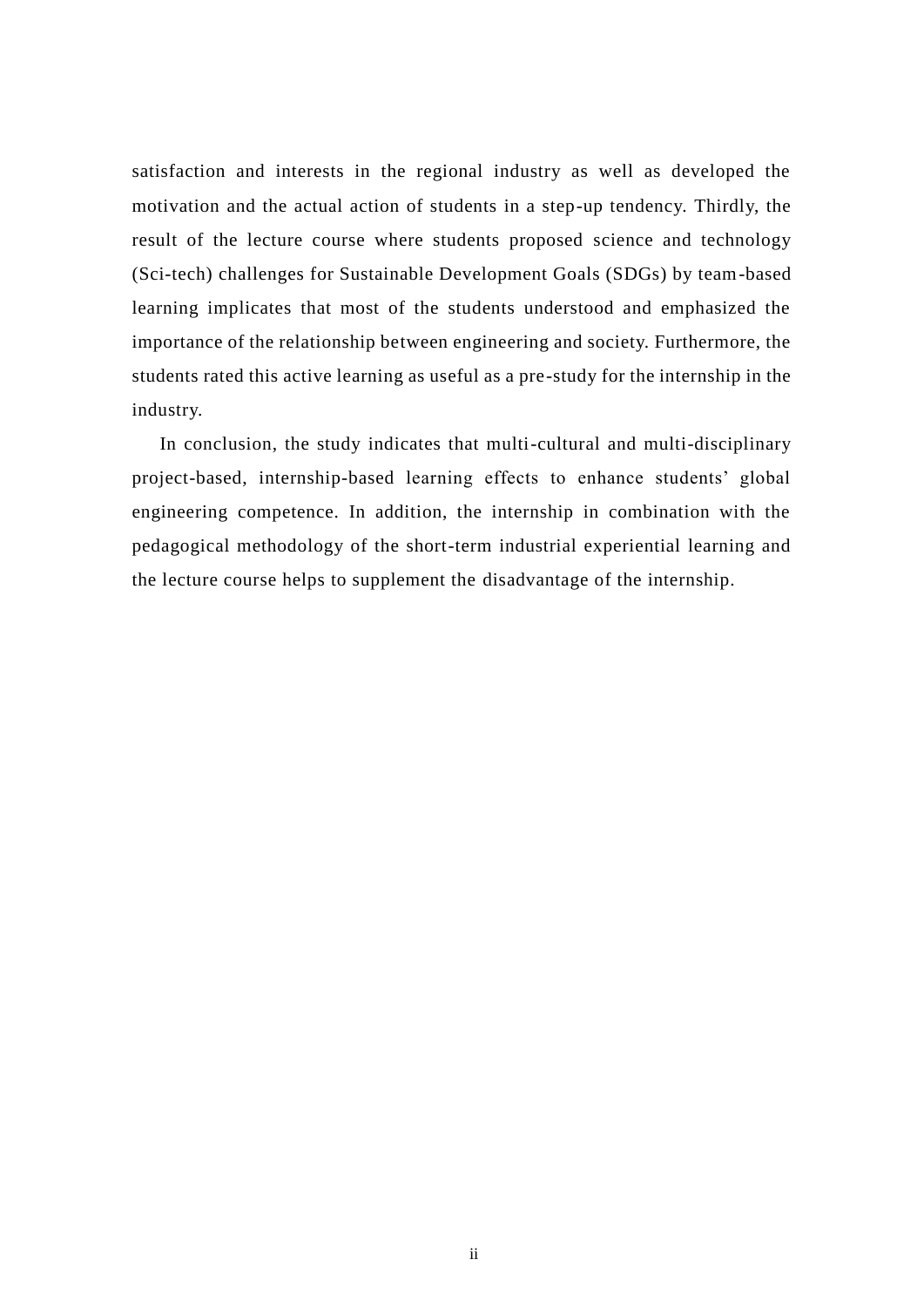satisfaction and interests in the regional industry as well as developed the motivation and the actual action of students in a step-up tendency. Thirdly, the result of the lecture course where students proposed science and technology (Sci-tech) challenges for Sustainable Development Goals (SDGs) by team-based learning implicates that most of the students understood and emphasized the importance of the relationship between engineering and society. Furthermore, the students rated this active learning as useful as a pre-study for the internship in the industry.

In conclusion, the study indicates that multi-cultural and multi-disciplinary project-based, internship-based learning effects to enhance students' global engineering competence. In addition, the internship in combination with the pedagogical methodology of the short-term industrial experiential learning and the lecture course helps to supplement the disadvantage of the internship.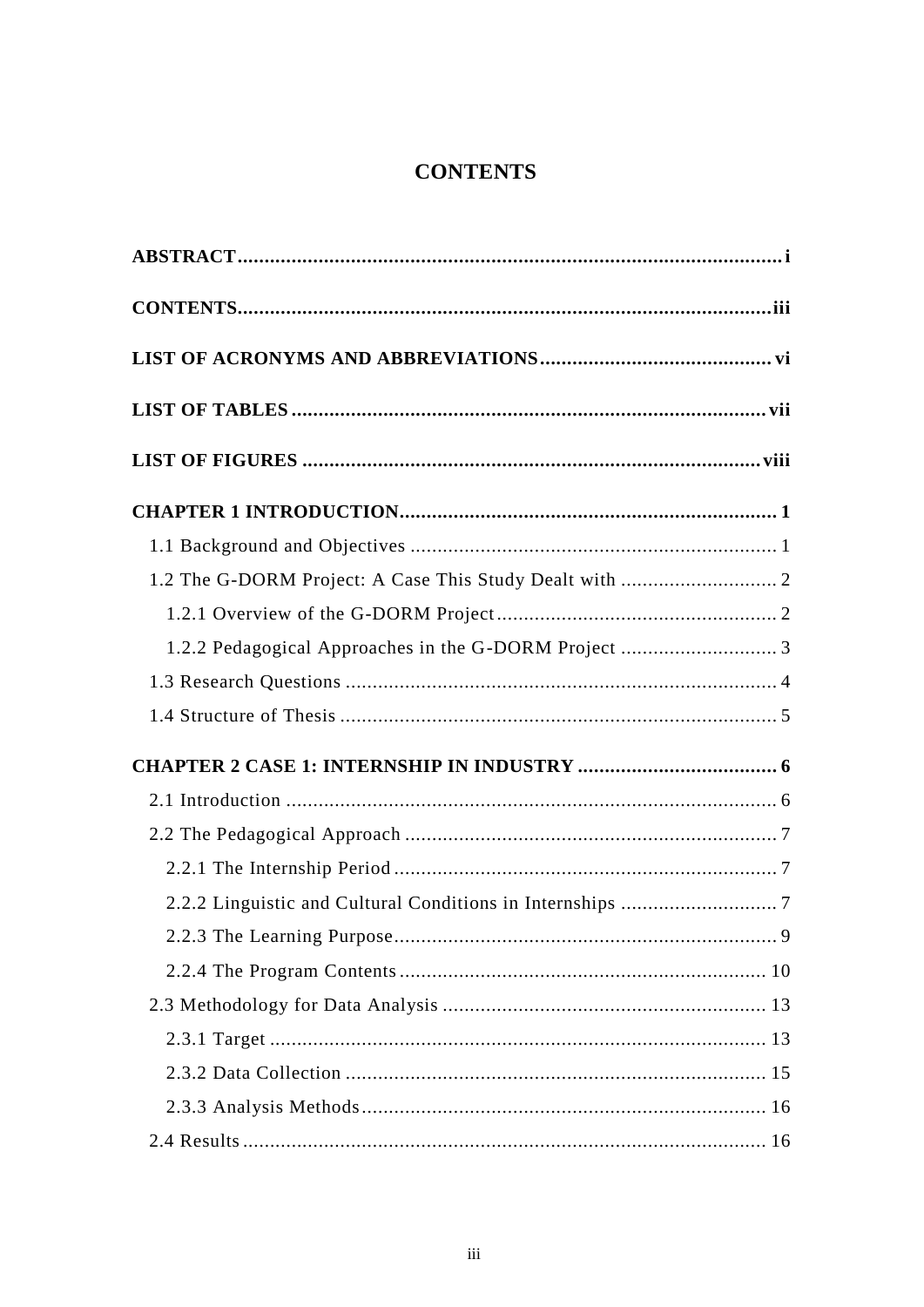# **CONTENTS**

<span id="page-4-0"></span>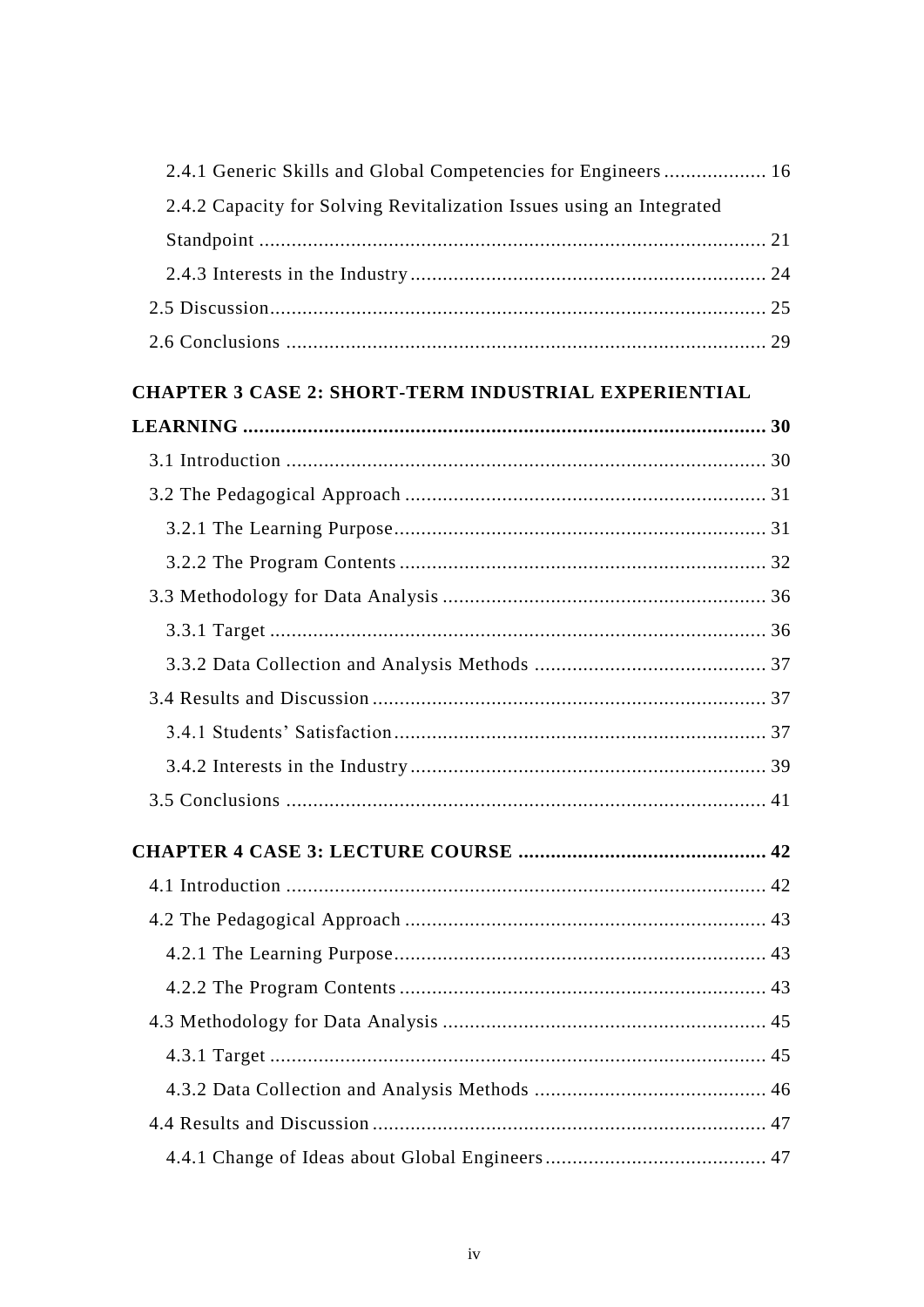| 2.4.1 Generic Skills and Global Competencies for Engineers 16        |      |
|----------------------------------------------------------------------|------|
| 2.4.2 Capacity for Solving Revitalization Issues using an Integrated |      |
|                                                                      |      |
|                                                                      |      |
|                                                                      |      |
|                                                                      |      |
|                                                                      |      |
| <b>CHAPTER 3 CASE 2: SHORT-TERM INDUSTRIAL EXPERIENTIAL</b>          |      |
|                                                                      |      |
|                                                                      |      |
|                                                                      |      |
|                                                                      |      |
|                                                                      |      |
|                                                                      |      |
|                                                                      |      |
|                                                                      |      |
|                                                                      |      |
|                                                                      |      |
|                                                                      |      |
|                                                                      |      |
|                                                                      | . 42 |
|                                                                      |      |
|                                                                      |      |
|                                                                      |      |
|                                                                      |      |
|                                                                      |      |
|                                                                      |      |
|                                                                      |      |
|                                                                      |      |
|                                                                      |      |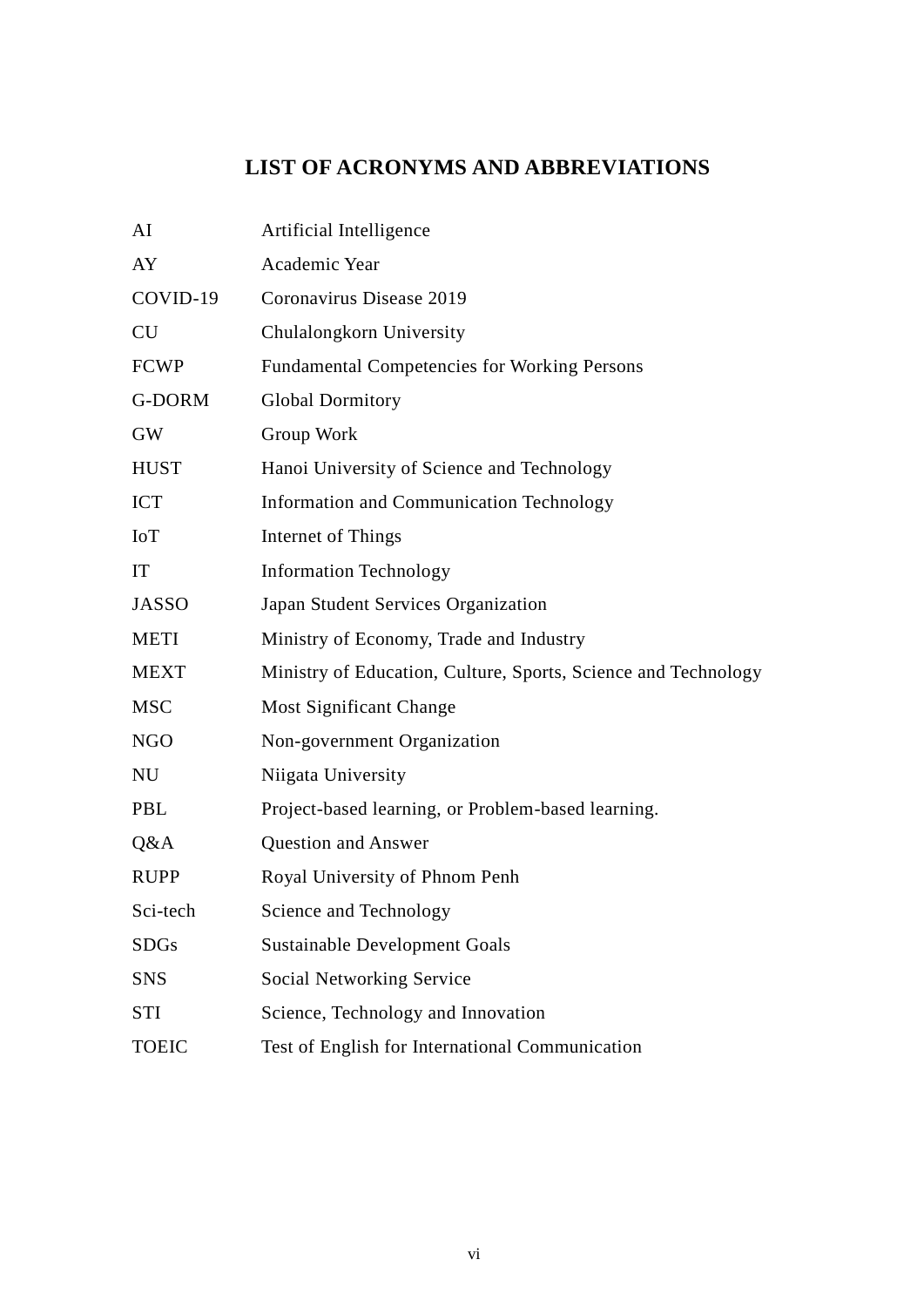# **LIST OF ACRONYMS AND ABBREVIATIONS**

<span id="page-7-0"></span>

| AI           | Artificial Intelligence                                        |
|--------------|----------------------------------------------------------------|
| AY           | Academic Year                                                  |
| COVID-19     | Coronavirus Disease 2019                                       |
| <b>CU</b>    | Chulalongkorn University                                       |
| <b>FCWP</b>  | <b>Fundamental Competencies for Working Persons</b>            |
| G-DORM       | <b>Global Dormitory</b>                                        |
| <b>GW</b>    | Group Work                                                     |
| <b>HUST</b>  | Hanoi University of Science and Technology                     |
| <b>ICT</b>   | <b>Information and Communication Technology</b>                |
| <b>IoT</b>   | Internet of Things                                             |
| IT           | <b>Information Technology</b>                                  |
| <b>JASSO</b> | Japan Student Services Organization                            |
| <b>METI</b>  | Ministry of Economy, Trade and Industry                        |
| <b>MEXT</b>  | Ministry of Education, Culture, Sports, Science and Technology |
| <b>MSC</b>   | <b>Most Significant Change</b>                                 |
| <b>NGO</b>   | Non-government Organization                                    |
| <b>NU</b>    | Niigata University                                             |
| PBL          | Project-based learning, or Problem-based learning.             |
| Q&A          | Question and Answer                                            |
| <b>RUPP</b>  | Royal University of Phnom Penh                                 |
| Sci-tech     | Science and Technology                                         |
| <b>SDGs</b>  | <b>Sustainable Development Goals</b>                           |
| <b>SNS</b>   | <b>Social Networking Service</b>                               |
| <b>STI</b>   | Science, Technology and Innovation                             |
| <b>TOEIC</b> | Test of English for International Communication                |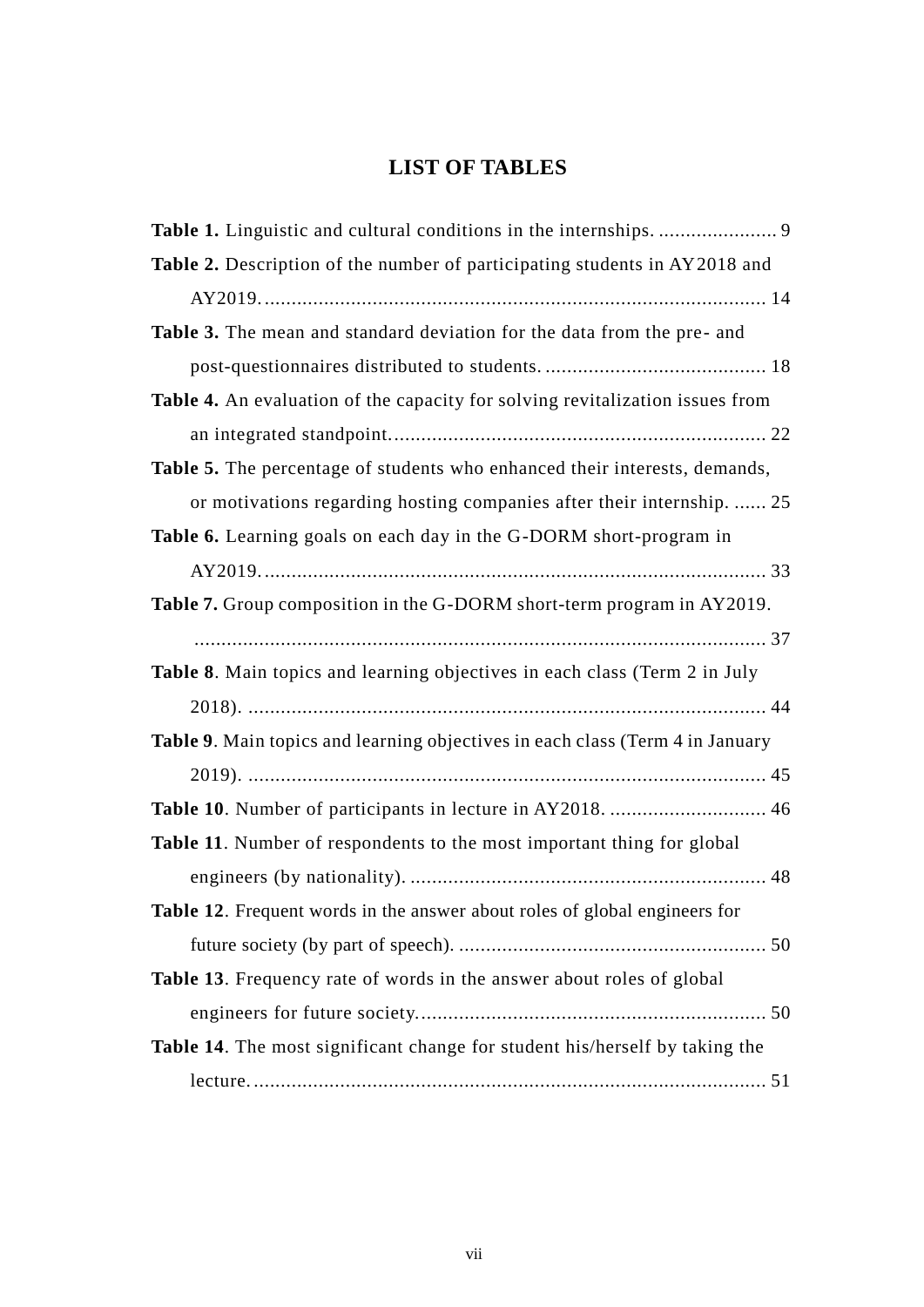# **LIST OF TABLES**

<span id="page-8-0"></span>

| Table 2. Description of the number of participating students in AY2018 and    |
|-------------------------------------------------------------------------------|
|                                                                               |
| Table 3. The mean and standard deviation for the data from the pre- and       |
|                                                                               |
| Table 4. An evaluation of the capacity for solving revitalization issues from |
|                                                                               |
| Table 5. The percentage of students who enhanced their interests, demands,    |
| or motivations regarding hosting companies after their internship.  25        |
| Table 6. Learning goals on each day in the G-DORM short-program in            |
|                                                                               |
| Table 7. Group composition in the G-DORM short-term program in AY2019.        |
|                                                                               |
| Table 8. Main topics and learning objectives in each class (Term 2 in July    |
|                                                                               |
| Table 9. Main topics and learning objectives in each class (Term 4 in January |
|                                                                               |
|                                                                               |
| Table 11. Number of respondents to the most important thing for global        |
|                                                                               |
| Table 12. Frequent words in the answer about roles of global engineers for    |
|                                                                               |
| Table 13. Frequency rate of words in the answer about roles of global         |
|                                                                               |
| Table 14. The most significant change for student his/herself by taking the   |
|                                                                               |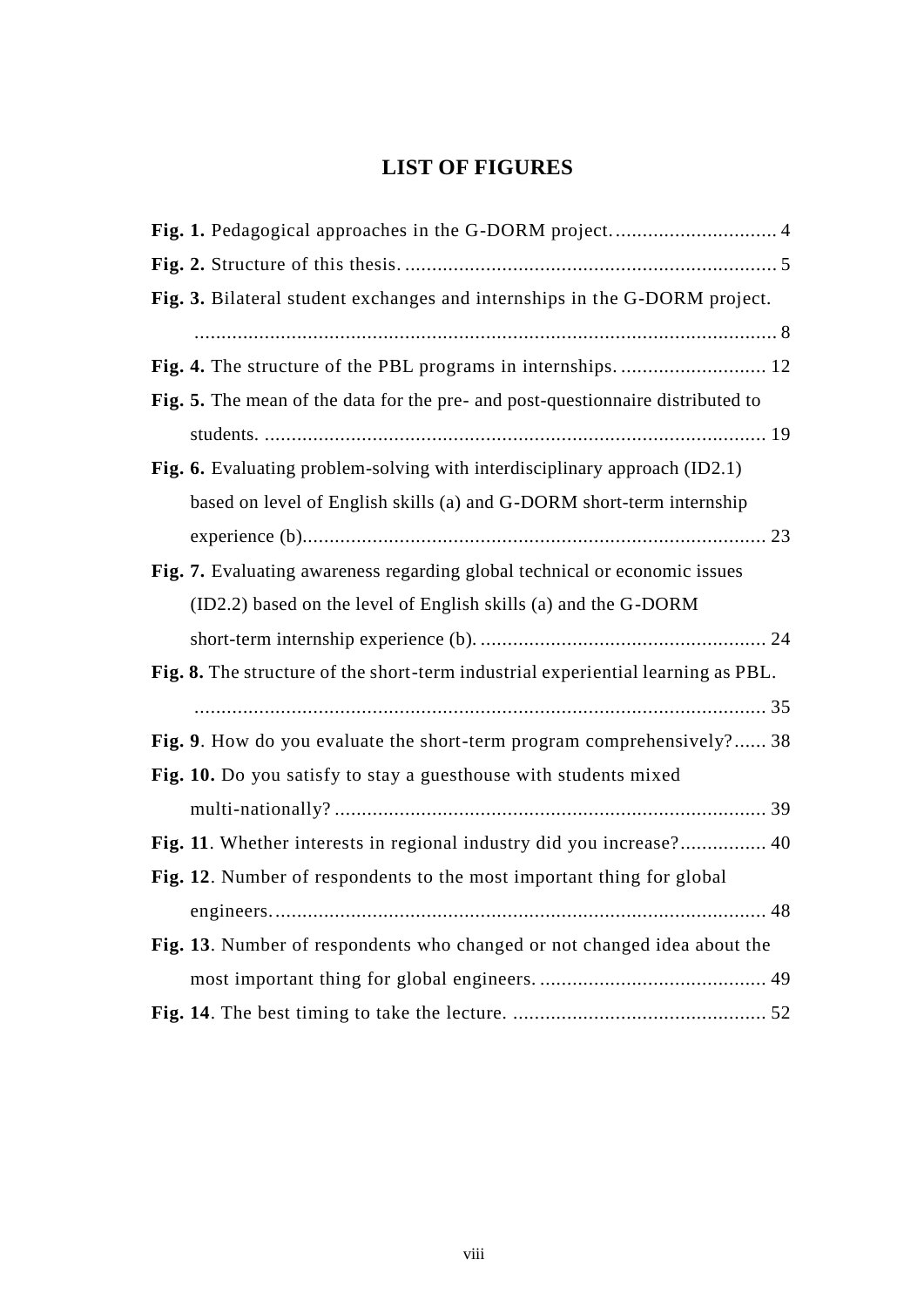# **LIST OF FIGURES**

<span id="page-9-0"></span>

| Fig. 3. Bilateral student exchanges and internships in the G-DORM project.       |  |
|----------------------------------------------------------------------------------|--|
|                                                                                  |  |
|                                                                                  |  |
| Fig. 5. The mean of the data for the pre- and post-questionnaire distributed to  |  |
|                                                                                  |  |
| Fig. 6. Evaluating problem-solving with interdisciplinary approach (ID2.1)       |  |
| based on level of English skills (a) and G-DORM short-term internship            |  |
|                                                                                  |  |
| Fig. 7. Evaluating awareness regarding global technical or economic issues       |  |
| (ID2.2) based on the level of English skills (a) and the G-DORM                  |  |
|                                                                                  |  |
| Fig. 8. The structure of the short-term industrial experiential learning as PBL. |  |
|                                                                                  |  |
| Fig. 9. How do you evaluate the short-term program comprehensively? 38           |  |
| Fig. 10. Do you satisfy to stay a guesthouse with students mixed                 |  |
|                                                                                  |  |
| Fig. 11. Whether interests in regional industry did you increase? 40             |  |
| Fig. 12. Number of respondents to the most important thing for global            |  |
|                                                                                  |  |
| Fig. 13. Number of respondents who changed or not changed idea about the         |  |
|                                                                                  |  |
|                                                                                  |  |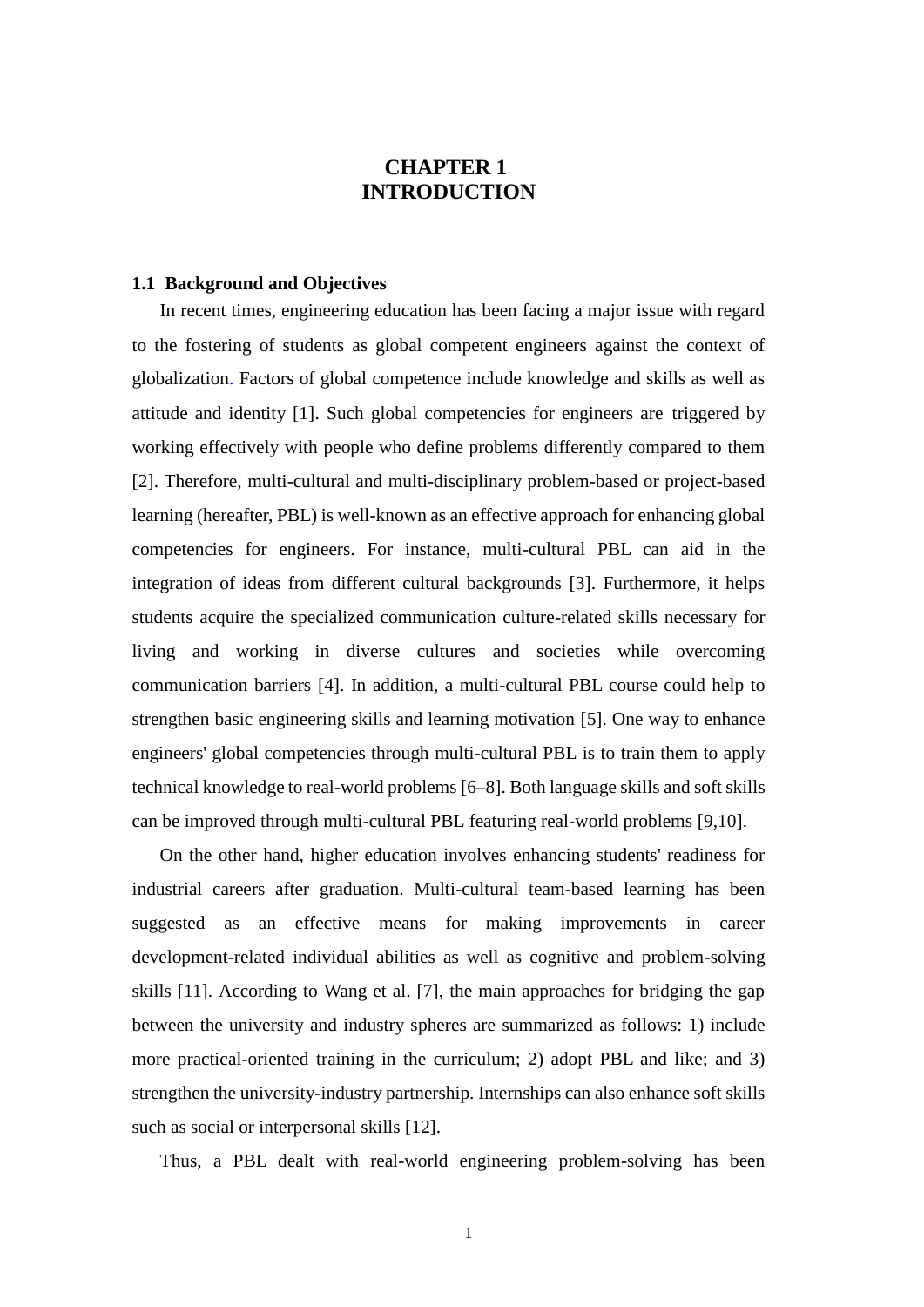## **CHAPTER 1 INTRODUCTION**

### <span id="page-10-1"></span><span id="page-10-0"></span>**1.1 Background and Objectives**

In recent times, engineering education has been facing a major issue with regard to the fostering of students as global competent engineers against the context of globalization. Factors of global competence include knowledge and skills as well as attitude and identity [1]. Such global competencies for engineers are triggered by working effectively with people who define problems differently compared to them [2]. Therefore, multi-cultural and multi-disciplinary problem-based or project-based learning (hereafter, PBL) is well-known as an effective approach for enhancing global competencies for engineers. For instance, multi-cultural PBL can aid in the integration of ideas from different cultural backgrounds [3]. Furthermore, it helps students acquire the specialized communication culture-related skills necessary for living and working in diverse cultures and societies while overcoming communication barriers [4]. In addition, a multi-cultural PBL course could help to strengthen basic engineering skills and learning motivation [5]. One way to enhance engineers' global competencies through multi-cultural PBL is to train them to apply technical knowledge to real-world problems [6–8]. Both language skills and soft skills can be improved through multi-cultural PBL featuring real-world problems [9,10].

On the other hand, higher education involves enhancing students' readiness for industrial careers after graduation. Multi-cultural team-based learning has been suggested as an effective means for making improvements in career development-related individual abilities as well as cognitive and problem-solving skills [11]. According to Wang et al. [7], the main approaches for bridging the gap between the university and industry spheres are summarized as follows: 1) include more practical-oriented training in the curriculum; 2) adopt PBL and like; and 3) strengthen the university-industry partnership. Internships can also enhance soft skills such as social or interpersonal skills [12].

Thus, a PBL dealt with real-world engineering problem-solving has been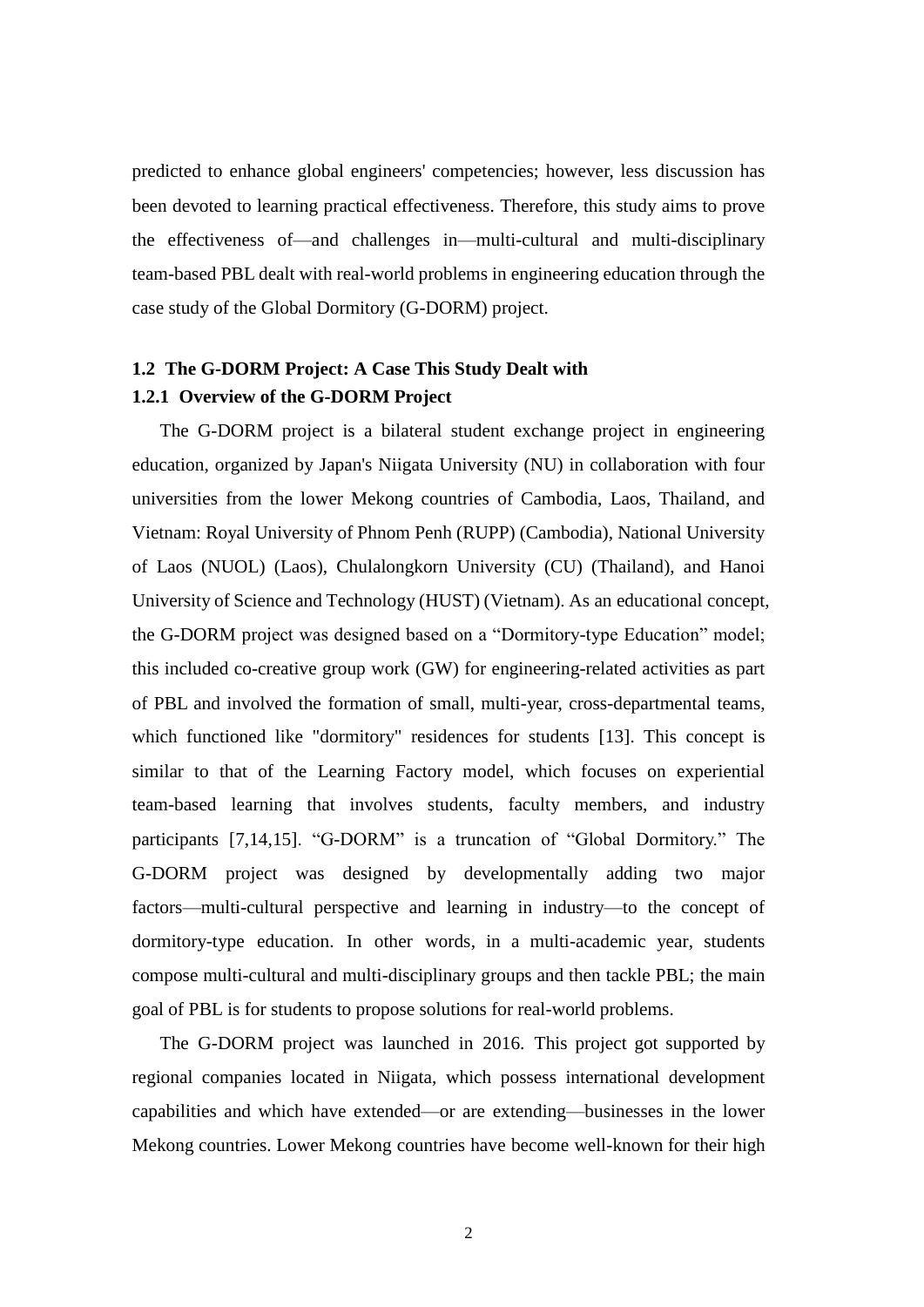predicted to enhance global engineers' competencies; however, less discussion has been devoted to learning practical effectiveness. Therefore, this study aims to prove the effectiveness of—and challenges in—multi-cultural and multi-disciplinary team-based PBL dealt with real-world problems in engineering education through the case study of the Global Dormitory (G-DORM) project.

## <span id="page-11-1"></span><span id="page-11-0"></span>**1.2 The G-DORM Project: A Case This Study Dealt with 1.2.1 Overview of the G-DORM Project**

The G-DORM project is a bilateral student exchange project in engineering education, organized by Japan's Niigata University (NU) in collaboration with four universities from the lower Mekong countries of Cambodia, Laos, Thailand, and Vietnam: Royal University of Phnom Penh (RUPP) (Cambodia), National University of Laos (NUOL) (Laos), Chulalongkorn University (CU) (Thailand), and Hanoi University of Science and Technology (HUST) (Vietnam). As an educational concept, the G-DORM project was designed based on a "Dormitory-type Education" model; this included co-creative group work (GW) for engineering-related activities as part of PBL and involved the formation of small, multi-year, cross-departmental teams, which functioned like "dormitory" residences for students [13]. This concept is similar to that of the Learning Factory model, which focuses on experiential team-based learning that involves students, faculty members, and industry participants [7,14,15]. "G-DORM" is a truncation of "Global Dormitory." The G-DORM project was designed by developmentally adding two major factors—multi-cultural perspective and learning in industry—to the concept of dormitory-type education. In other words, in a multi-academic year, students compose multi-cultural and multi-disciplinary groups and then tackle PBL; the main goal of PBL is for students to propose solutions for real-world problems.

The G-DORM project was launched in 2016. This project got supported by regional companies located in Niigata, which possess international development capabilities and which have extended—or are extending—businesses in the lower Mekong countries. Lower Mekong countries have become well-known for their high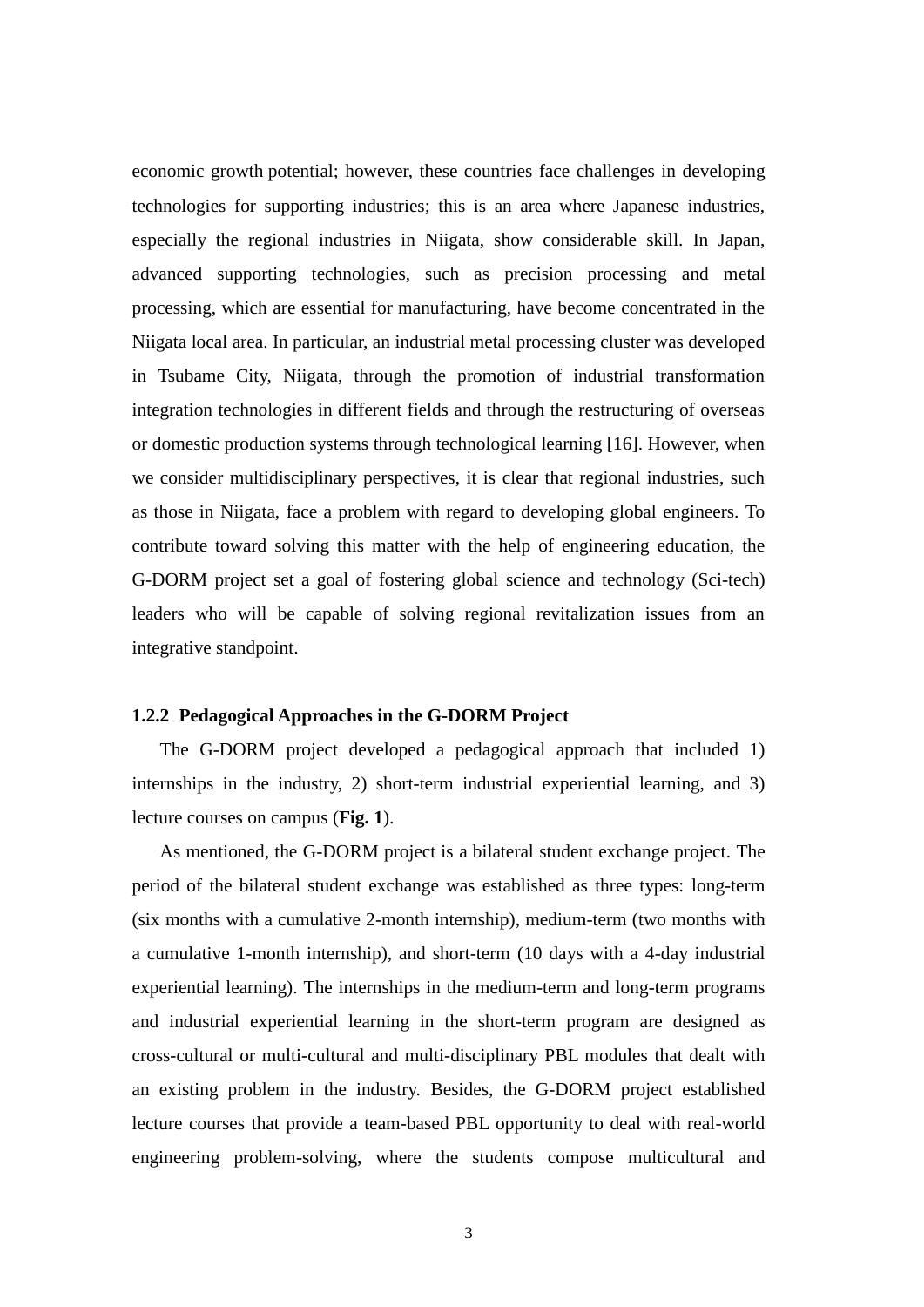economic growth potential; however, these countries face challenges in developing technologies for supporting industries; this is an area where Japanese industries, especially the regional industries in Niigata, show considerable skill. In Japan, advanced supporting technologies, such as precision processing and metal processing, which are essential for manufacturing, have become concentrated in the Niigata local area. In particular, an industrial metal processing cluster was developed in Tsubame City, Niigata, through the promotion of industrial transformation integration technologies in different fields and through the restructuring of overseas or domestic production systems through technological learning [16]. However, when we consider multidisciplinary perspectives, it is clear that regional industries, such as those in Niigata, face a problem with regard to developing global engineers. To contribute toward solving this matter with the help of engineering education, the G-DORM project set a goal of fostering global science and technology (Sci-tech) leaders who will be capable of solving regional revitalization issues from an integrative standpoint.

#### <span id="page-12-0"></span>**1.2.2 Pedagogical Approaches in the G-DORM Project**

The G-DORM project developed a pedagogical approach that included 1) internships in the industry, 2) short-term industrial experiential learning, and 3) lecture courses on campus (**[Fig. 1](#page-13-1)**).

As mentioned, the G-DORM project is a bilateral student exchange project. The period of the bilateral student exchange was established as three types: long-term (six months with a cumulative 2-month internship), medium-term (two months with a cumulative 1-month internship), and short-term (10 days with a 4-day industrial experiential learning). The internships in the medium-term and long-term programs and industrial experiential learning in the short-term program are designed as cross-cultural or multi-cultural and multi-disciplinary PBL modules that dealt with an existing problem in the industry. Besides, the G-DORM project established lecture courses that provide a team-based PBL opportunity to deal with real-world engineering problem-solving, where the students compose multicultural and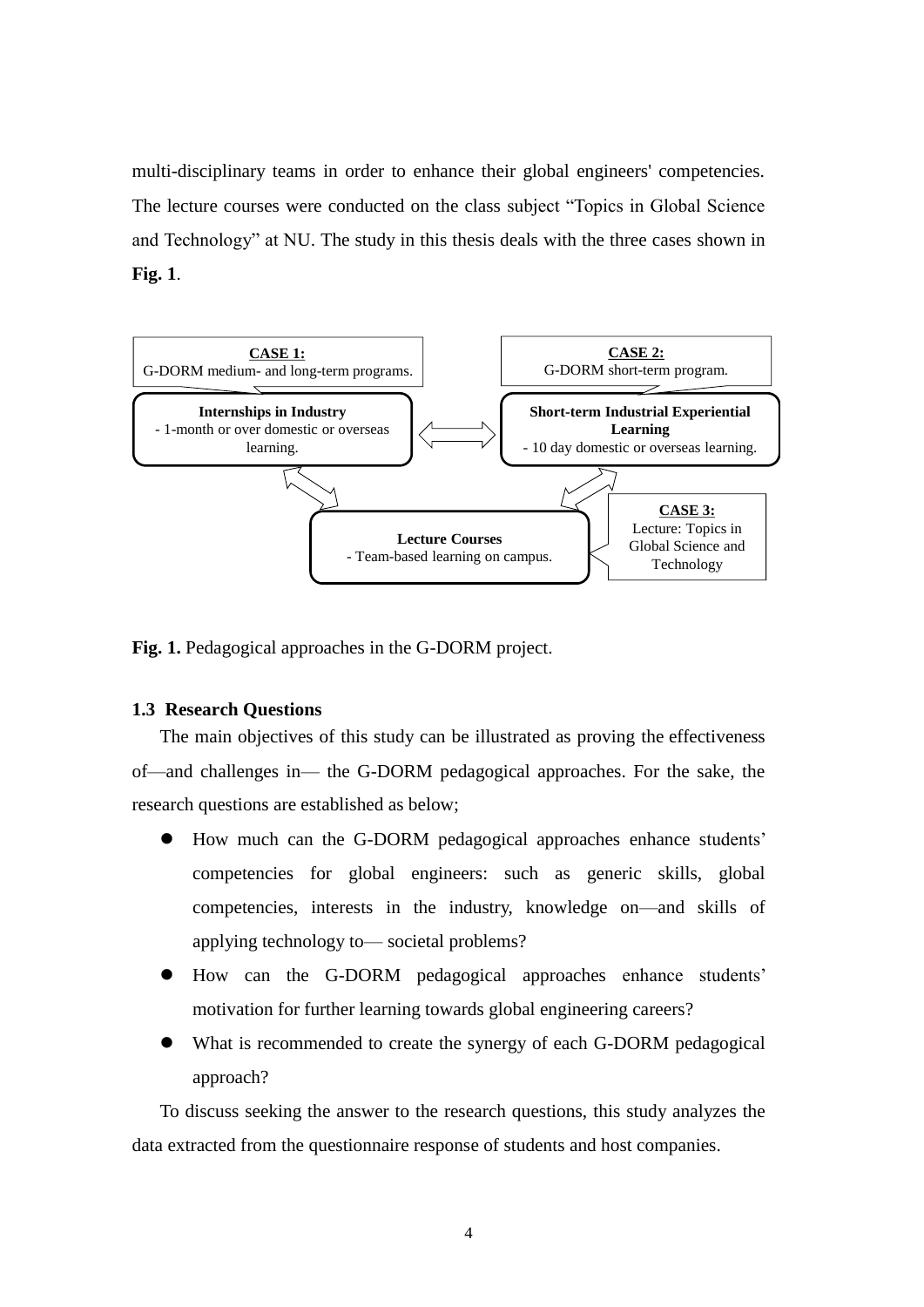multi-disciplinary teams in order to enhance their global engineers' competencies. The lecture courses were conducted on the class subject "Topics in Global Science and Technology" at NU. The study in this thesis deals with the three cases shown in **[Fig. 1](#page-13-1)**.



<span id="page-13-1"></span>**Fig. 1.** Pedagogical approaches in the G-DORM project.

### <span id="page-13-0"></span>**1.3 Research Questions**

The main objectives of this study can be illustrated as proving the effectiveness of—and challenges in— the G-DORM pedagogical approaches. For the sake, the research questions are established as below;

- ⚫ How much can the G-DORM pedagogical approaches enhance students' competencies for global engineers: such as generic skills, global competencies, interests in the industry, knowledge on—and skills of applying technology to— societal problems?
- ⚫ How can the G-DORM pedagogical approaches enhance students' motivation for further learning towards global engineering careers?
- ⚫ What is recommended to create the synergy of each G-DORM pedagogical approach?

To discuss seeking the answer to the research questions, this study analyzes the data extracted from the questionnaire response of students and host companies.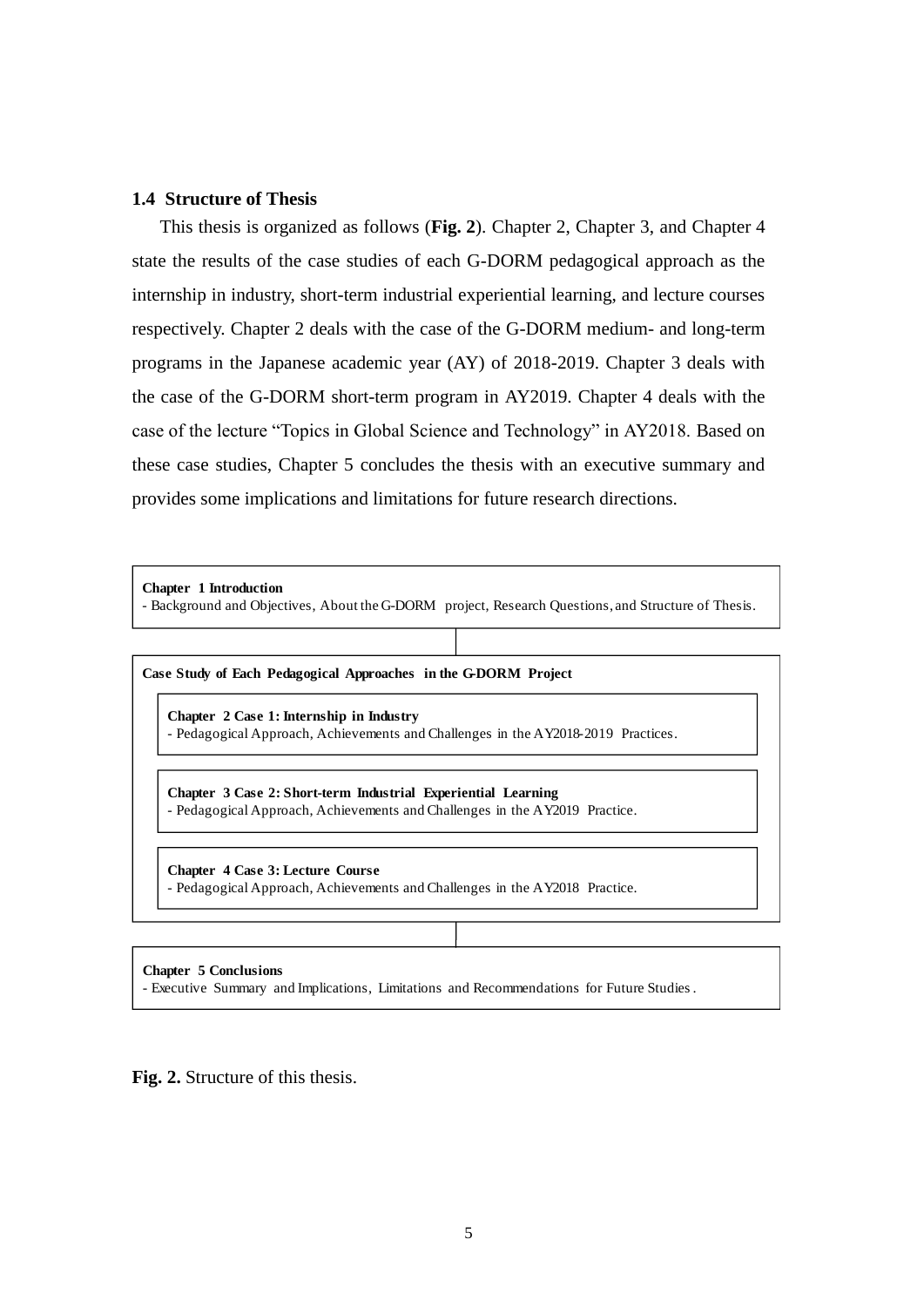### <span id="page-14-0"></span>**1.4 Structure of Thesis**

This thesis is organized as follows (**[Fig. 2](#page-14-1)**). Chapter 2, Chapter 3, and Chapter 4 state the results of the case studies of each G-DORM pedagogical approach as the internship in industry, short-term industrial experiential learning, and lecture courses respectively. Chapter 2 deals with the case of the G-DORM medium- and long-term programs in the Japanese academic year (AY) of 2018-2019. Chapter 3 deals with the case of the G-DORM short-term program in AY2019. Chapter 4 deals with the case of the lecture "Topics in Global Science and Technology" in AY2018. Based on these case studies, Chapter 5 concludes the thesis with an executive summary and provides some implications and limitations for future research directions.

**Chapter 1 Introduction** - Background and Objectives, About the G-DORM project, Research Questions, and Structure of Thesis. **Chapter 2 Case 1: Internship in Industry** - Pedagogical Approach, Achievements and Challenges in the AY2018-2019 Practices. **Chapter 3 Case 2: Short-term Industrial Experiential Learning** - Pedagogical Approach, Achievements and Challenges in the AY2019 Practice. **Chapter 4 Case 3: Lecture Course** - Pedagogical Approach, Achievements and Challenges in the AY2018 Practice. **Case Study of Each Pedagogical Approaches in the G-DORM Project**

#### **Chapter 5 Conclusions**

- Executive Summary and Implications, Limitations and Recommendations for Future Studies.

<span id="page-14-1"></span>**Fig. 2.** Structure of this thesis.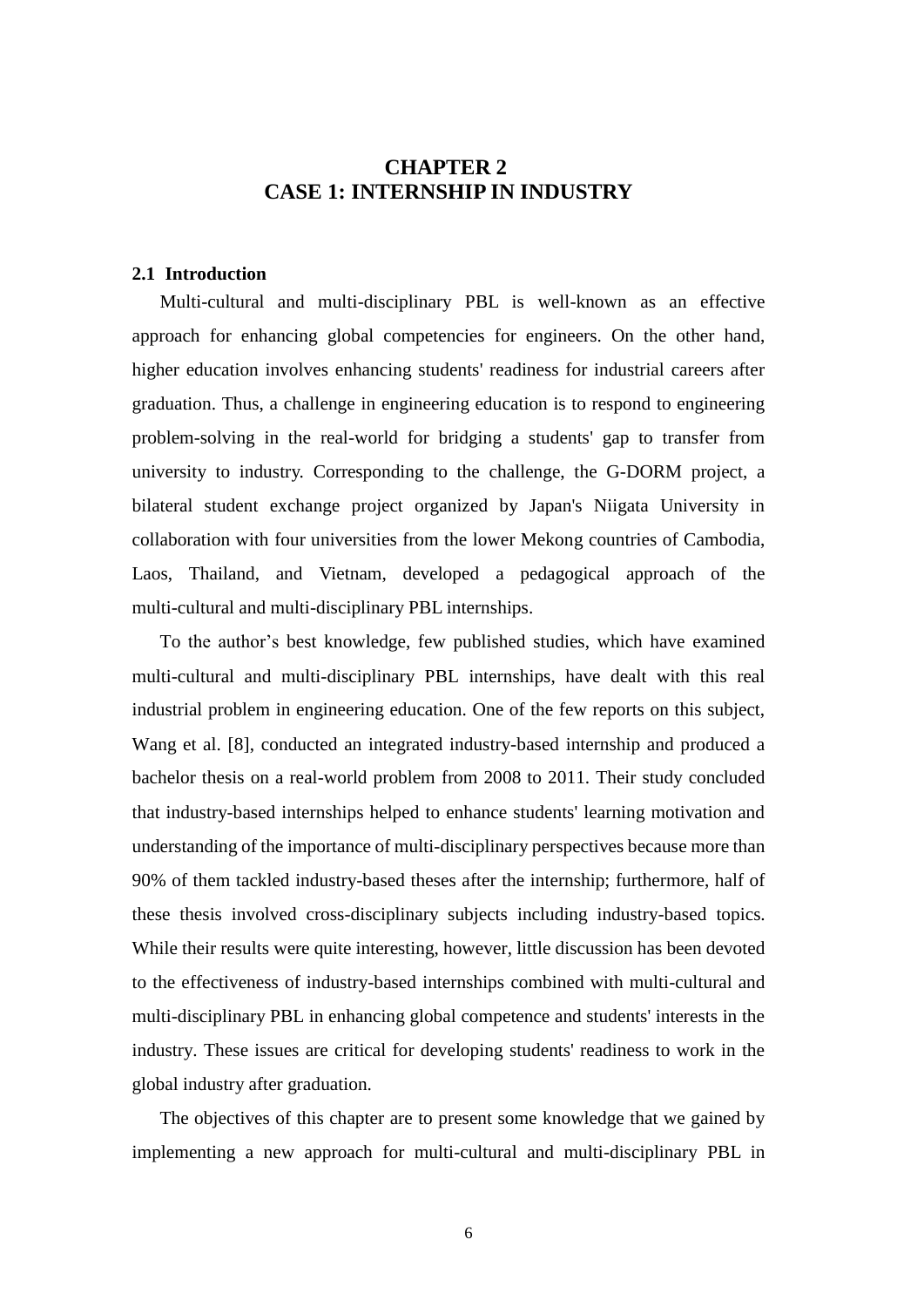## **CHAPTER 2 CASE 1: INTERNSHIP IN INDUSTRY**

### <span id="page-15-1"></span><span id="page-15-0"></span>**2.1 Introduction**

Multi-cultural and multi-disciplinary PBL is well-known as an effective approach for enhancing global competencies for engineers. On the other hand, higher education involves enhancing students' readiness for industrial careers after graduation. Thus, a challenge in engineering education is to respond to engineering problem-solving in the real-world for bridging a students' gap to transfer from university to industry. Corresponding to the challenge, the G-DORM project, a bilateral student exchange project organized by Japan's Niigata University in collaboration with four universities from the lower Mekong countries of Cambodia, Laos, Thailand, and Vietnam, developed a pedagogical approach of the multi-cultural and multi-disciplinary PBL internships.

To the author's best knowledge, few published studies, which have examined multi-cultural and multi-disciplinary PBL internships, have dealt with this real industrial problem in engineering education. One of the few reports on this subject, Wang et al. [8], conducted an integrated industry-based internship and produced a bachelor thesis on a real-world problem from 2008 to 2011. Their study concluded that industry-based internships helped to enhance students' learning motivation and understanding of the importance of multi-disciplinary perspectives because more than 90% of them tackled industry-based theses after the internship; furthermore, half of these thesis involved cross-disciplinary subjects including industry-based topics. While their results were quite interesting, however, little discussion has been devoted to the effectiveness of industry-based internships combined with multi-cultural and multi-disciplinary PBL in enhancing global competence and students' interests in the industry. These issues are critical for developing students' readiness to work in the global industry after graduation.

The objectives of this chapter are to present some knowledge that we gained by implementing a new approach for multi-cultural and multi-disciplinary PBL in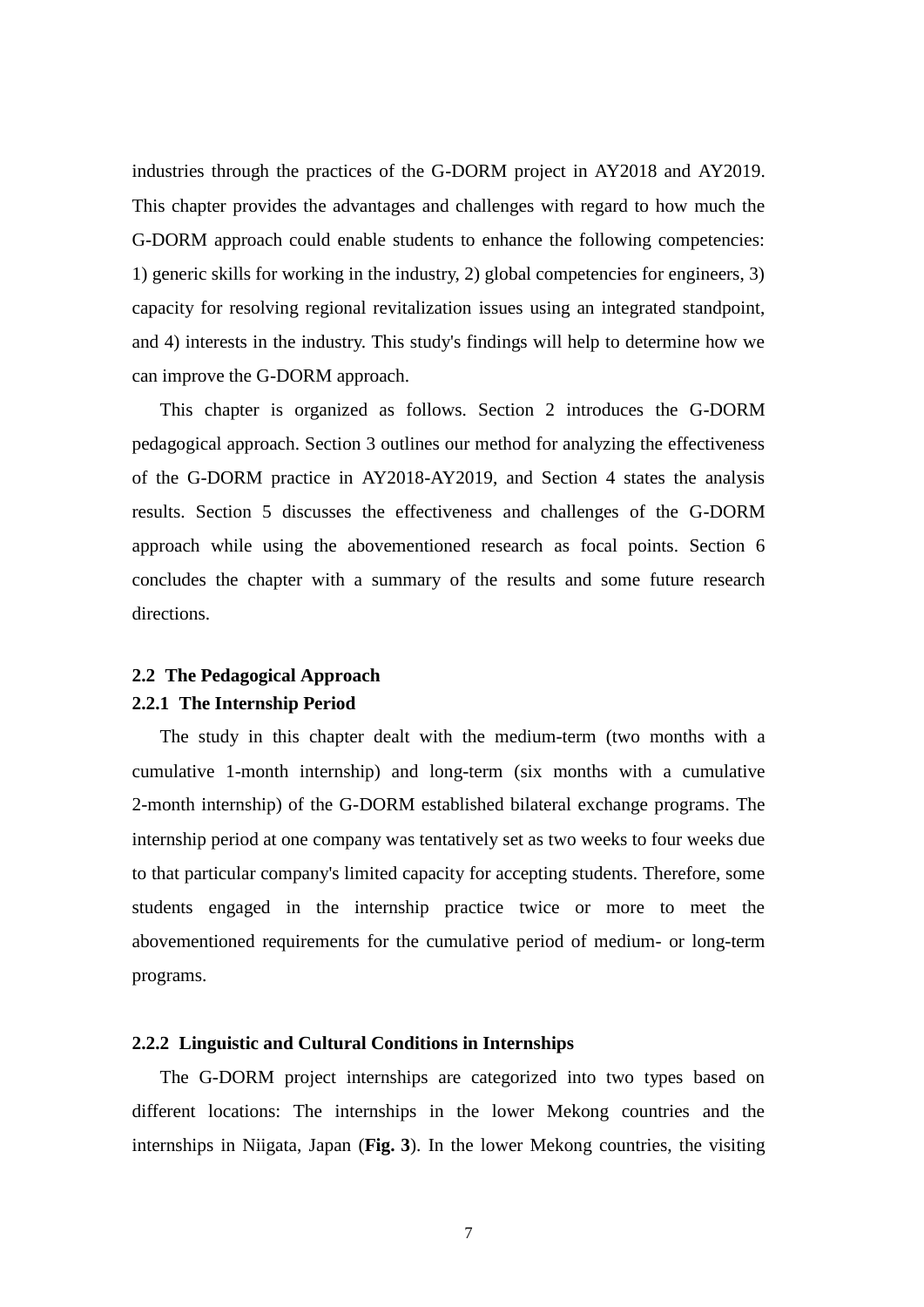industries through the practices of the G-DORM project in AY2018 and AY2019. This chapter provides the advantages and challenges with regard to how much the G-DORM approach could enable students to enhance the following competencies: 1) generic skills for working in the industry, 2) global competencies for engineers, 3) capacity for resolving regional revitalization issues using an integrated standpoint, and 4) interests in the industry. This study's findings will help to determine how we can improve the G-DORM approach.

This chapter is organized as follows. Section 2 introduces the G-DORM pedagogical approach. Section 3 outlines our method for analyzing the effectiveness of the G-DORM practice in AY2018-AY2019, and Section 4 states the analysis results. Section 5 discusses the effectiveness and challenges of the G-DORM approach while using the abovementioned research as focal points. Section 6 concludes the chapter with a summary of the results and some future research directions.

# <span id="page-16-1"></span><span id="page-16-0"></span>**2.2 The Pedagogical Approach 2.2.1 The Internship Period**

The study in this chapter dealt with the medium-term (two months with a cumulative 1-month internship) and long-term (six months with a cumulative 2-month internship) of the G-DORM established bilateral exchange programs. The internship period at one company was tentatively set as two weeks to four weeks due to that particular company's limited capacity for accepting students. Therefore, some students engaged in the internship practice twice or more to meet the abovementioned requirements for the cumulative period of medium- or long-term programs.

### <span id="page-16-2"></span>**2.2.2 Linguistic and Cultural Conditions in Internships**

The G-DORM project internships are categorized into two types based on different locations: The internships in the lower Mekong countries and the internships in Niigata, Japan (**[Fig. 3](#page-17-0)**). In the lower Mekong countries, the visiting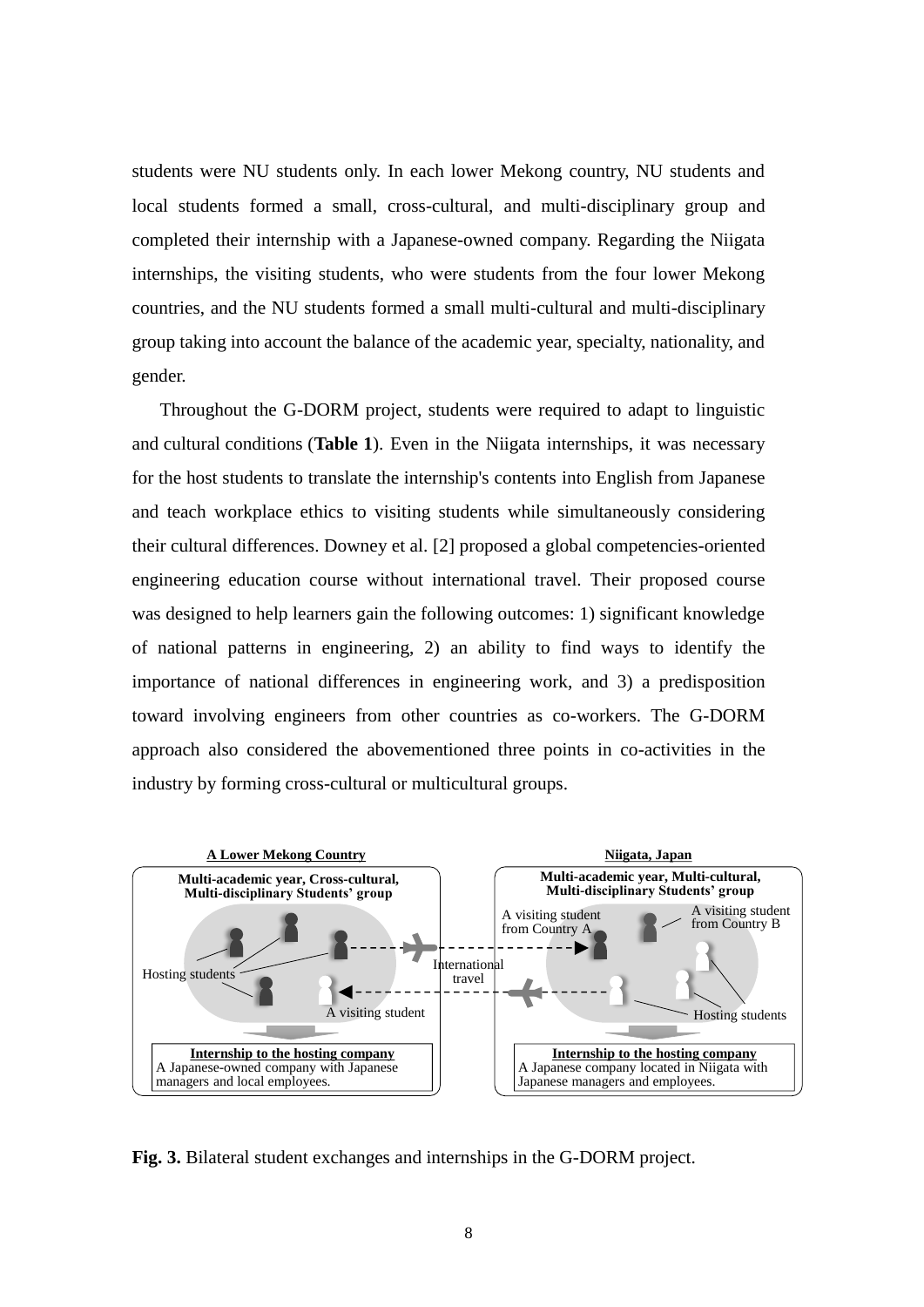students were NU students only. In each lower Mekong country, NU students and local students formed a small, cross-cultural, and multi-disciplinary group and completed their internship with a Japanese-owned company. Regarding the Niigata internships, the visiting students, who were students from the four lower Mekong countries, and the NU students formed a small multi-cultural and multi-disciplinary group taking into account the balance of the academic year, specialty, nationality, and gender.

Throughout the G-DORM project, students were required to adapt to linguistic and cultural conditions (**[Table 1](#page-18-1)**). Even in the Niigata internships, it was necessary for the host students to translate the internship's contents into English from Japanese and teach workplace ethics to visiting students while simultaneously considering their cultural differences. Downey et al. [2] proposed a global competencies-oriented engineering education course without international travel. Their proposed course was designed to help learners gain the following outcomes: 1) significant knowledge of national patterns in engineering, 2) an ability to find ways to identify the importance of national differences in engineering work, and 3) a predisposition toward involving engineers from other countries as co-workers. The G-DORM approach also considered the abovementioned three points in co-activities in the industry by forming cross-cultural or multicultural groups.



<span id="page-17-0"></span>**Fig. 3.** Bilateral student exchanges and internships in the G-DORM project.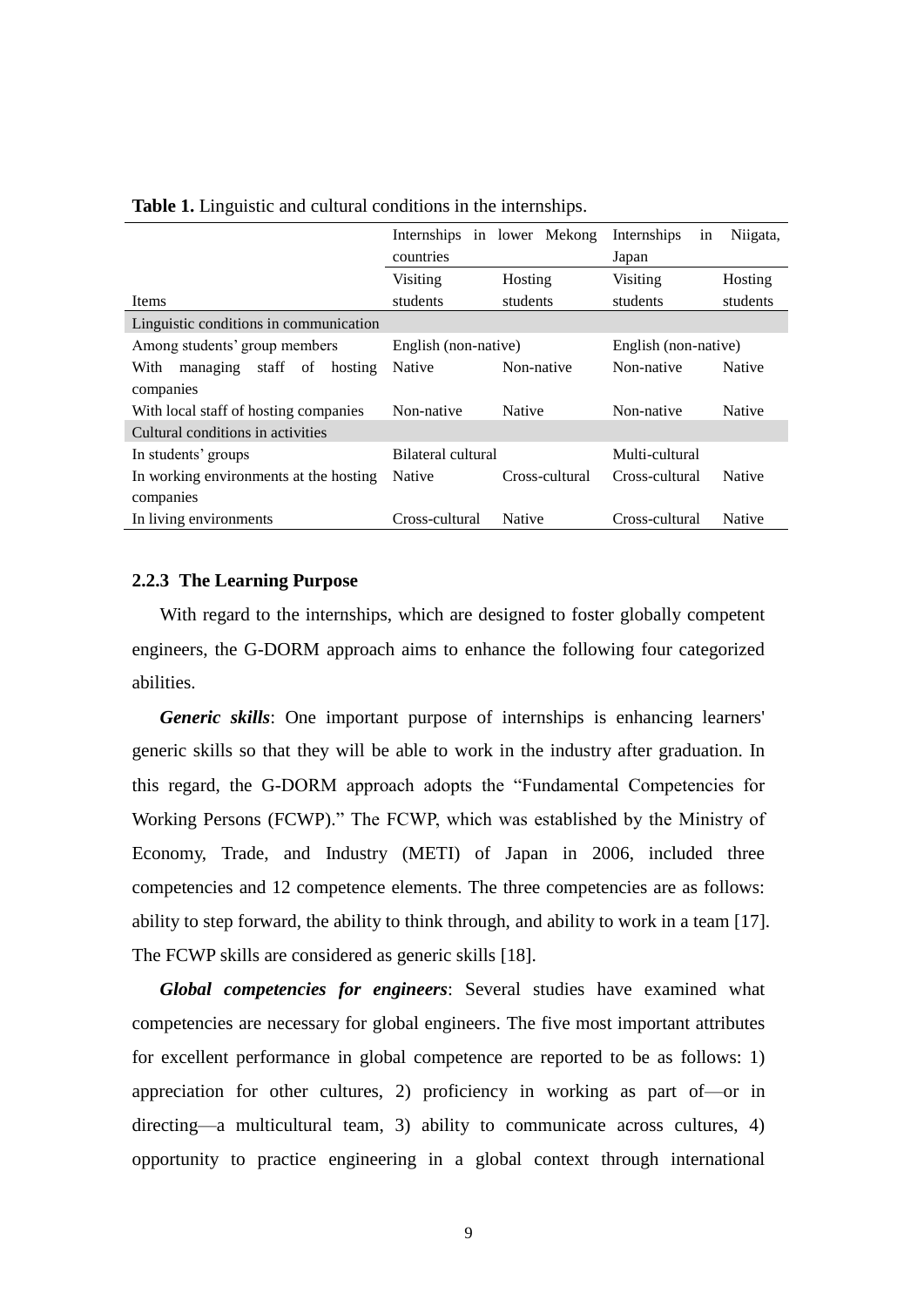|                                                      | countries            | Internships in lower Mekong | Internships<br>1n<br>Japan | Niigata, |
|------------------------------------------------------|----------------------|-----------------------------|----------------------------|----------|
|                                                      | Visiting             | Hosting                     | Visiting                   | Hosting  |
| Items                                                | students             | students                    | students                   | students |
| Linguistic conditions in communication               |                      |                             |                            |          |
| Among students' group members                        | English (non-native) |                             | English (non-native)       |          |
| managing<br>staff of<br>With<br>hosting<br>companies | <b>Native</b>        | Non-native                  | Non-native                 | Native   |
| With local staff of hosting companies                | Non-native           | Native                      | Non-native                 | Native   |
| Cultural conditions in activities                    |                      |                             |                            |          |
| In students' groups                                  | Bilateral cultural   |                             | Multi-cultural             |          |
| In working environments at the hosting               | Native               | Cross-cultural              | Cross-cultural             | Native   |
| companies                                            |                      |                             |                            |          |
| In living environments                               | Cross-cultural       | Native                      | Cross-cultural             | Native   |

<span id="page-18-1"></span>**Table 1.** Linguistic and cultural conditions in the internships.

### <span id="page-18-0"></span>**2.2.3 The Learning Purpose**

With regard to the internships, which are designed to foster globally competent engineers, the G-DORM approach aims to enhance the following four categorized abilities.

*Generic skills*: One important purpose of internships is enhancing learners' generic skills so that they will be able to work in the industry after graduation. In this regard, the G-DORM approach adopts the "Fundamental Competencies for Working Persons (FCWP)." The FCWP, which was established by the Ministry of Economy, Trade, and Industry (METI) of Japan in 2006, included three competencies and 12 competence elements. The three competencies are as follows: ability to step forward, the ability to think through, and ability to work in a team [17]. The FCWP skills are considered as generic skills [18].

*Global competencies for engineers*: Several studies have examined what competencies are necessary for global engineers. The five most important attributes for excellent performance in global competence are reported to be as follows: 1) appreciation for other cultures, 2) proficiency in working as part of—or in directing—a multicultural team, 3) ability to communicate across cultures, 4) opportunity to practice engineering in a global context through international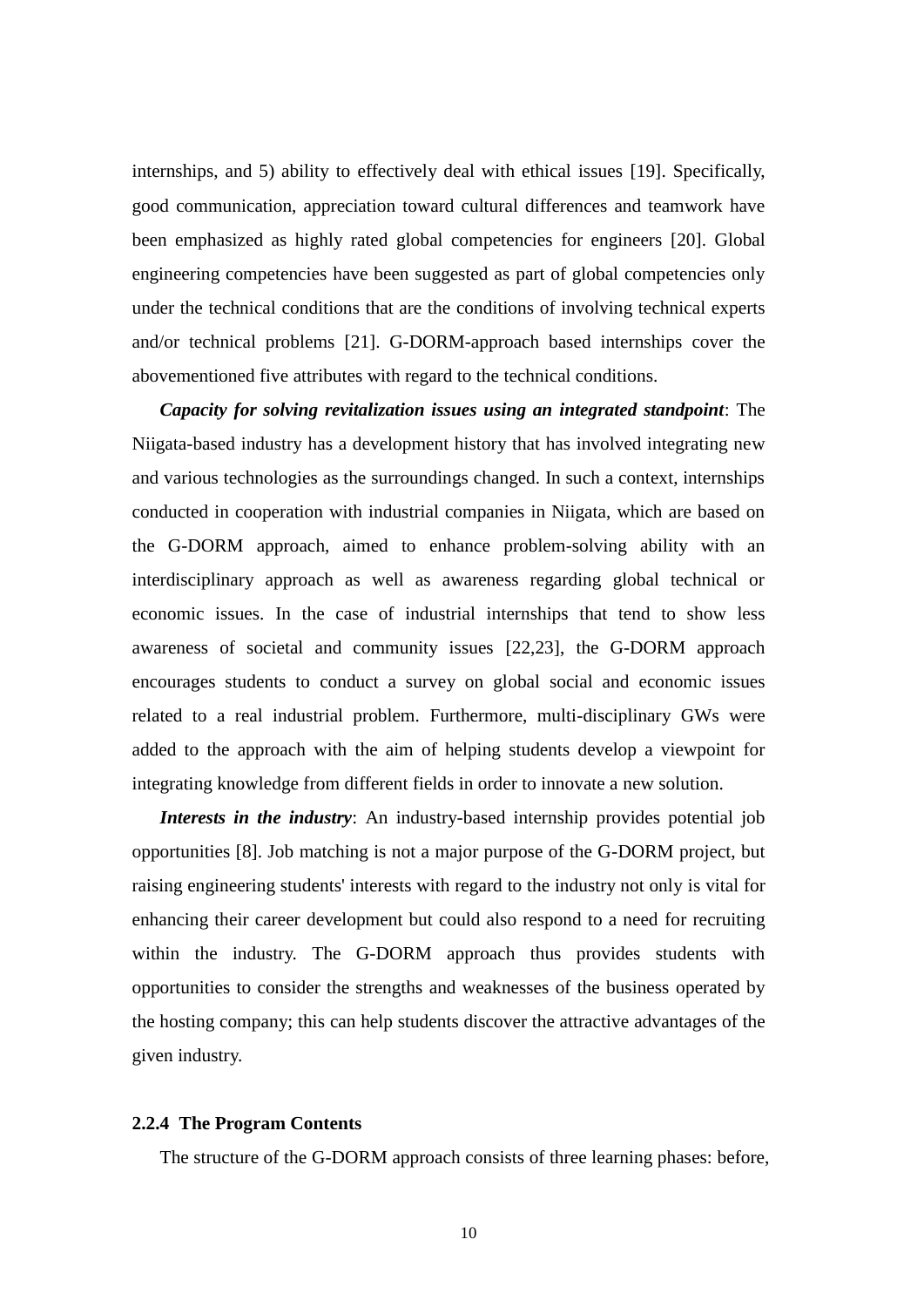internships, and 5) ability to effectively deal with ethical issues [19]. Specifically, good communication, appreciation toward cultural differences and teamwork have been emphasized as highly rated global competencies for engineers [20]. Global engineering competencies have been suggested as part of global competencies only under the technical conditions that are the conditions of involving technical experts and/or technical problems [21]. G-DORM-approach based internships cover the abovementioned five attributes with regard to the technical conditions.

*Capacity for solving revitalization issues using an integrated standpoint*: The Niigata-based industry has a development history that has involved integrating new and various technologies as the surroundings changed. In such a context, internships conducted in cooperation with industrial companies in Niigata, which are based on the G-DORM approach, aimed to enhance problem-solving ability with an interdisciplinary approach as well as awareness regarding global technical or economic issues. In the case of industrial internships that tend to show less awareness of societal and community issues [22,23], the G-DORM approach encourages students to conduct a survey on global social and economic issues related to a real industrial problem. Furthermore, multi-disciplinary GWs were added to the approach with the aim of helping students develop a viewpoint for integrating knowledge from different fields in order to innovate a new solution.

*Interests in the industry*: An industry-based internship provides potential job opportunities [8]. Job matching is not a major purpose of the G-DORM project, but raising engineering students' interests with regard to the industry not only is vital for enhancing their career development but could also respond to a need for recruiting within the industry. The G-DORM approach thus provides students with opportunities to consider the strengths and weaknesses of the business operated by the hosting company; this can help students discover the attractive advantages of the given industry.

#### <span id="page-19-0"></span>**2.2.4 The Program Contents**

The structure of the G-DORM approach consists of three learning phases: before,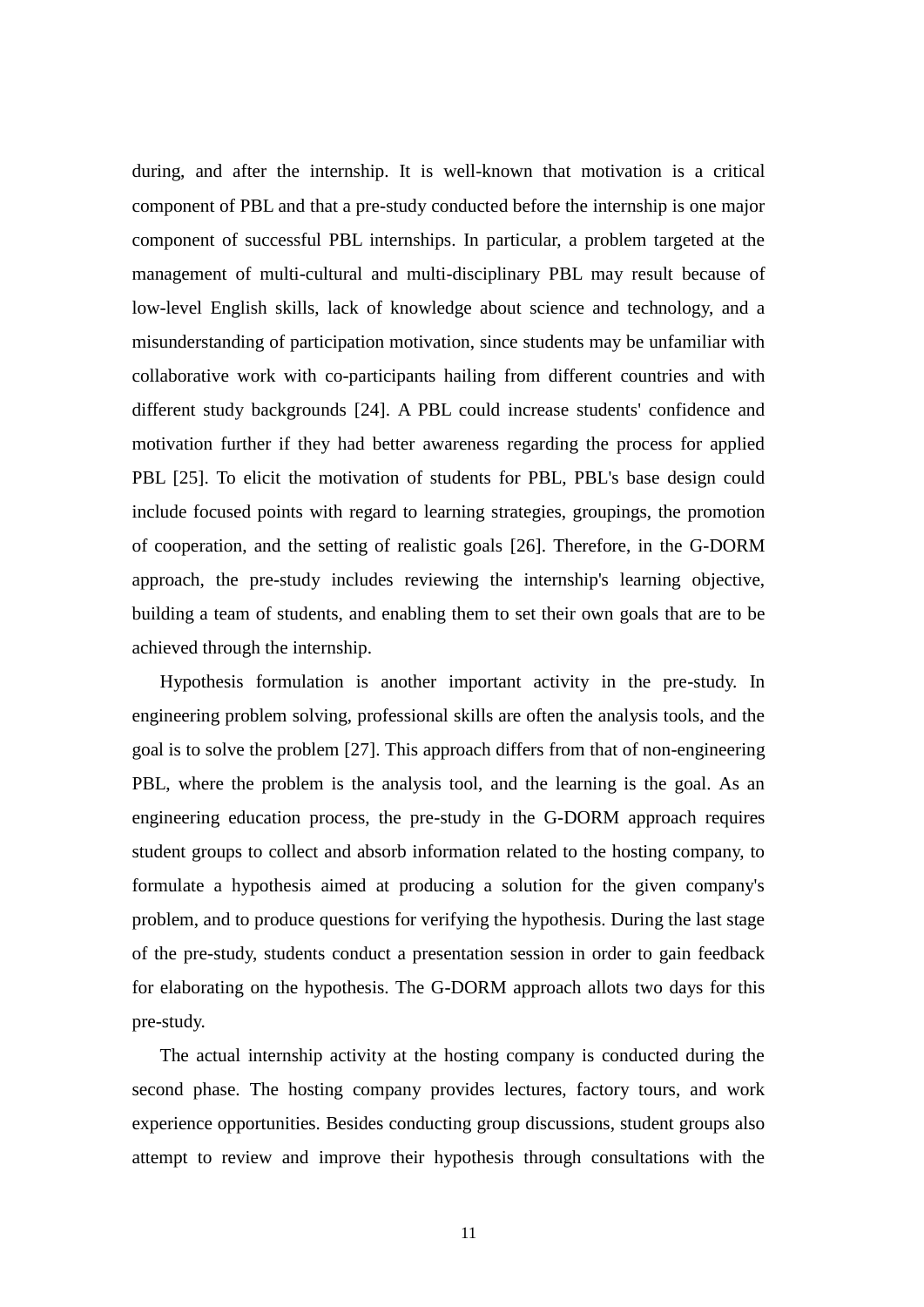during, and after the internship. It is well-known that motivation is a critical component of PBL and that a pre-study conducted before the internship is one major component of successful PBL internships. In particular, a problem targeted at the management of multi-cultural and multi-disciplinary PBL may result because of low-level English skills, lack of knowledge about science and technology, and a misunderstanding of participation motivation, since students may be unfamiliar with collaborative work with co-participants hailing from different countries and with different study backgrounds [24]. A PBL could increase students' confidence and motivation further if they had better awareness regarding the process for applied PBL [25]. To elicit the motivation of students for PBL, PBL's base design could include focused points with regard to learning strategies, groupings, the promotion of cooperation, and the setting of realistic goals [26]. Therefore, in the G-DORM approach, the pre-study includes reviewing the internship's learning objective, building a team of students, and enabling them to set their own goals that are to be achieved through the internship.

Hypothesis formulation is another important activity in the pre-study. In engineering problem solving, professional skills are often the analysis tools, and the goal is to solve the problem [27]. This approach differs from that of non-engineering PBL, where the problem is the analysis tool, and the learning is the goal. As an engineering education process, the pre-study in the G-DORM approach requires student groups to collect and absorb information related to the hosting company, to formulate a hypothesis aimed at producing a solution for the given company's problem, and to produce questions for verifying the hypothesis. During the last stage of the pre-study, students conduct a presentation session in order to gain feedback for elaborating on the hypothesis. The G-DORM approach allots two days for this pre-study.

The actual internship activity at the hosting company is conducted during the second phase. The hosting company provides lectures, factory tours, and work experience opportunities. Besides conducting group discussions, student groups also attempt to review and improve their hypothesis through consultations with the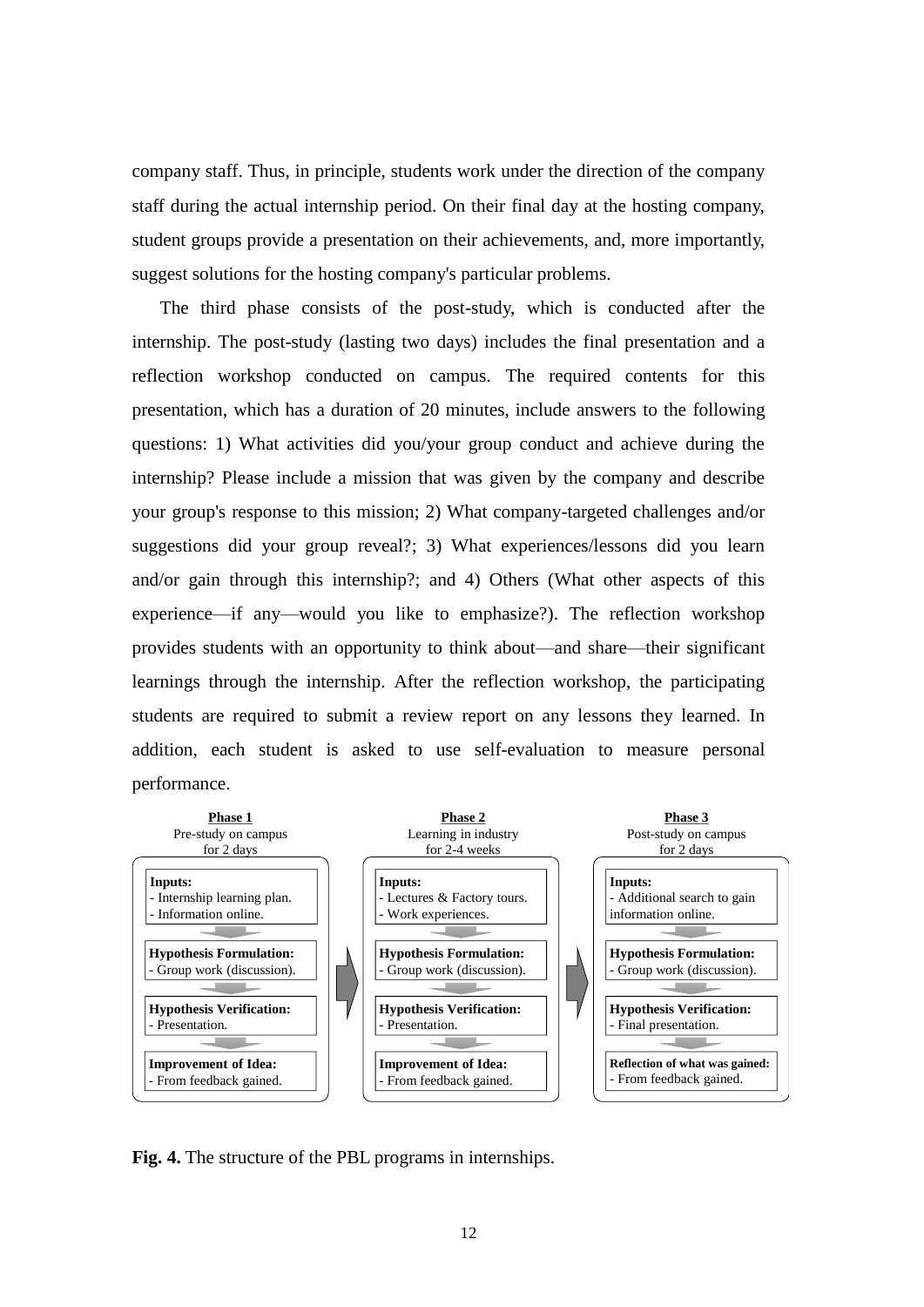company staff. Thus, in principle, students work under the direction of the company staff during the actual internship period. On their final day at the hosting company, student groups provide a presentation on their achievements, and, more importantly, suggest solutions for the hosting company's particular problems.

The third phase consists of the post-study, which is conducted after the internship. The post-study (lasting two days) includes the final presentation and a reflection workshop conducted on campus. The required contents for this presentation, which has a duration of 20 minutes, include answers to the following questions: 1) What activities did you/your group conduct and achieve during the internship? Please include a mission that was given by the company and describe your group's response to this mission; 2) What company-targeted challenges and/or suggestions did your group reveal?; 3) What experiences/lessons did you learn and/or gain through this internship?; and 4) Others (What other aspects of this experience—if any—would you like to emphasize?). The reflection workshop provides students with an opportunity to think about—and share—their significant learnings through the internship. After the reflection workshop, the participating students are required to submit a review report on any lessons they learned. In addition, each student is asked to use self-evaluation to measure personal performance.



<span id="page-21-0"></span>**Fig. 4.** The structure of the PBL programs in internships.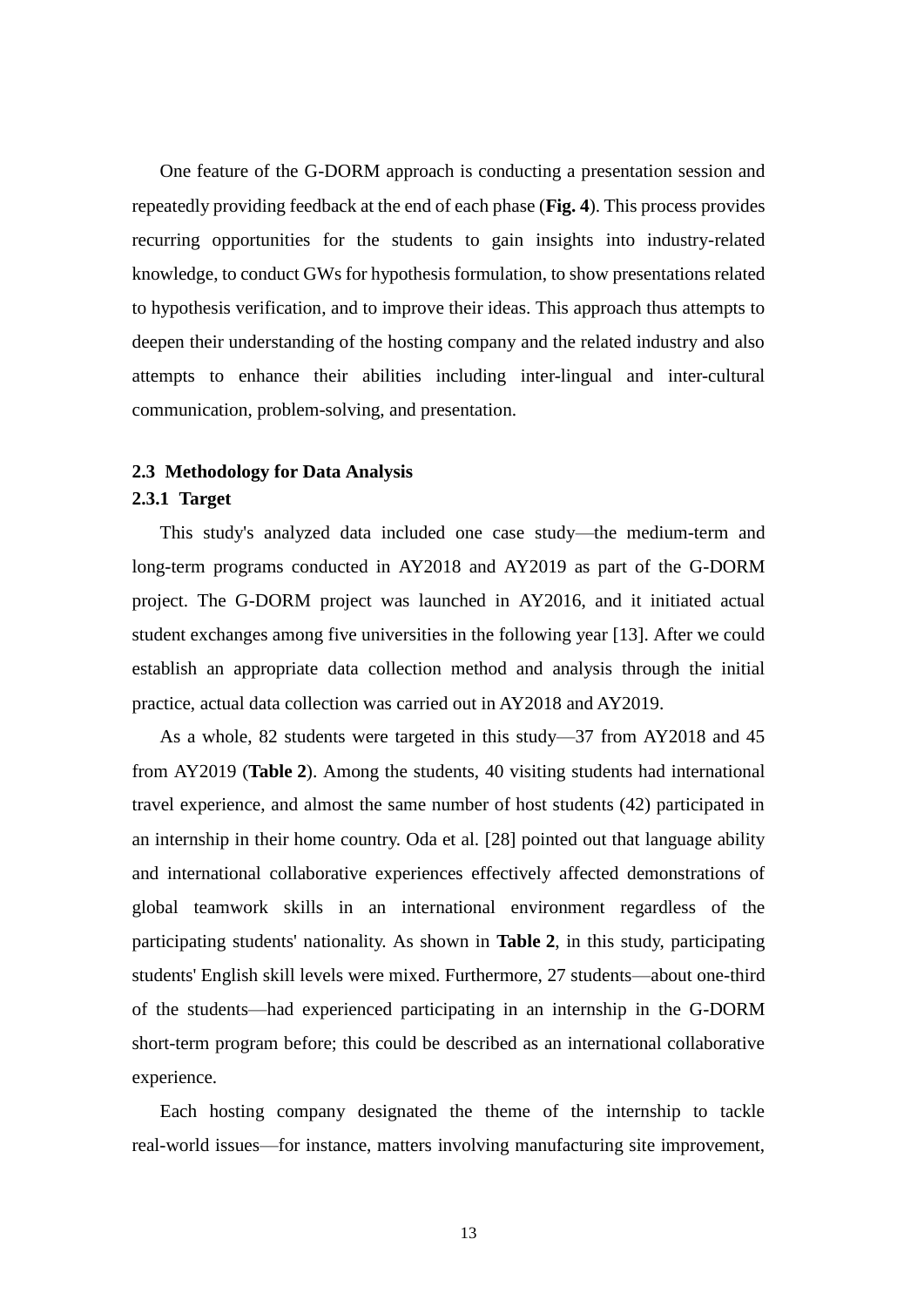One feature of the G-DORM approach is conducting a presentation session and repeatedly providing feedback at the end of each phase (**[Fig. 4](#page-21-0)**). This process provides recurring opportunities for the students to gain insights into industry-related knowledge, to conduct GWs for hypothesis formulation, to show presentations related to hypothesis verification, and to improve their ideas. This approach thus attempts to deepen their understanding of the hosting company and the related industry and also attempts to enhance their abilities including inter-lingual and inter-cultural communication, problem-solving, and presentation.

### <span id="page-22-0"></span>**2.3 Methodology for Data Analysis**

### <span id="page-22-1"></span>**2.3.1 Target**

This study's analyzed data included one case study—the medium-term and long-term programs conducted in AY2018 and AY2019 as part of the G-DORM project. The G-DORM project was launched in AY2016, and it initiated actual student exchanges among five universities in the following year [13]. After we could establish an appropriate data collection method and analysis through the initial practice, actual data collection was carried out in AY2018 and AY2019.

As a whole, 82 students were targeted in this study—37 from AY2018 and 45 from AY2019 (**[Table 2](#page-23-0)**). Among the students, 40 visiting students had international travel experience, and almost the same number of host students (42) participated in an internship in their home country. Oda et al. [28] pointed out that language ability and international collaborative experiences effectively affected demonstrations of global teamwork skills in an international environment regardless of the participating students' nationality. As shown in **[Table 2](#page-23-0)**, in this study, participating students' English skill levels were mixed. Furthermore, 27 students—about one-third of the students—had experienced participating in an internship in the G-DORM short-term program before; this could be described as an international collaborative experience.

Each hosting company designated the theme of the internship to tackle real-world issues—for instance, matters involving manufacturing site improvement,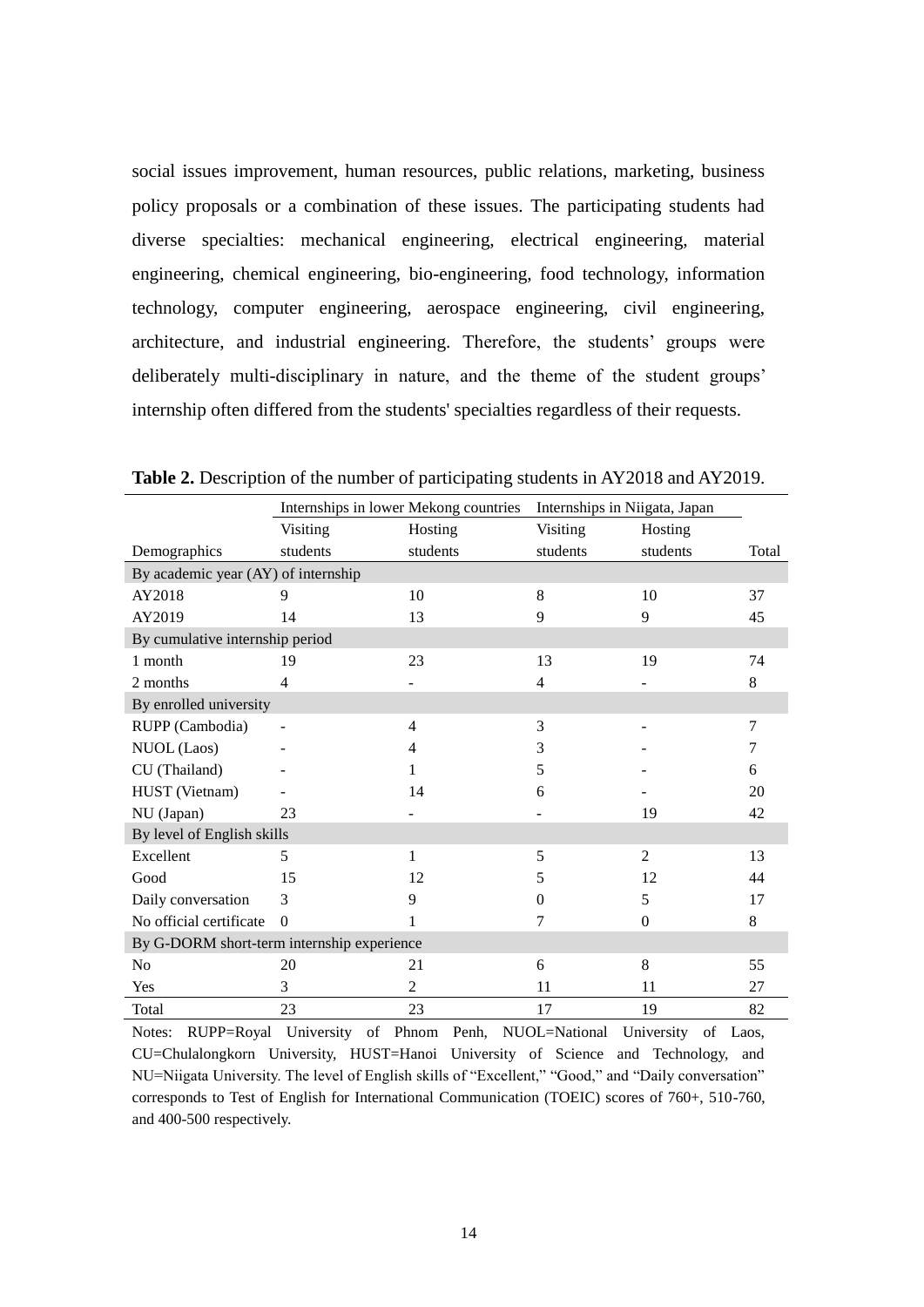social issues improvement, human resources, public relations, marketing, business policy proposals or a combination of these issues. The participating students had diverse specialties: mechanical engineering, electrical engineering, material engineering, chemical engineering, bio-engineering, food technology, information technology, computer engineering, aerospace engineering, civil engineering, architecture, and industrial engineering. Therefore, the students' groups were deliberately multi-disciplinary in nature, and the theme of the student groups' internship often differed from the students' specialties regardless of their requests.

|                                            | Internships in lower Mekong countries |                | Internships in Niigata, Japan |          |                |
|--------------------------------------------|---------------------------------------|----------------|-------------------------------|----------|----------------|
|                                            | Visiting                              | Hosting        | Visiting                      | Hosting  |                |
| Demographics                               | students                              | students       | students                      | students | Total          |
| By academic year (AY) of internship        |                                       |                |                               |          |                |
| AY2018                                     | 9                                     | 10             | 8                             | 10       | 37             |
| AY2019                                     | 14                                    | 13             | 9                             | 9        | 45             |
| By cumulative internship period            |                                       |                |                               |          |                |
| 1 month                                    | 19                                    | 23             | 13                            | 19       | 74             |
| 2 months                                   | 4                                     |                | 4                             |          | 8              |
| By enrolled university                     |                                       |                |                               |          |                |
| RUPP (Cambodia)                            |                                       | 4              | 3                             |          | $\overline{7}$ |
| NUOL (Laos)                                |                                       | 4              | 3                             |          | 7              |
| CU (Thailand)                              |                                       | 1              | 5                             |          | 6              |
| HUST (Vietnam)                             |                                       | 14             | 6                             |          | 20             |
| NU (Japan)                                 | 23                                    |                |                               | 19       | 42             |
| By level of English skills                 |                                       |                |                               |          |                |
| Excellent                                  | 5                                     | 1              | 5                             | 2        | 13             |
| Good                                       | 15                                    | 12             | 5                             | 12       | 44             |
| Daily conversation                         | 3                                     | 9              | $\Omega$                      | 5        | 17             |
| No official certificate                    | $\Omega$                              | 1              | 7                             | $\Omega$ | 8              |
| By G-DORM short-term internship experience |                                       |                |                               |          |                |
| No                                         | 20                                    | 21             | 6                             | 8        | 55             |
| Yes                                        | 3                                     | $\overline{c}$ | 11                            | 11       | 27             |
| Total                                      | 23                                    | 23             | 17                            | 19       | 82             |

<span id="page-23-0"></span>**Table 2.** Description of the number of participating students in AY2018 and AY2019.

Notes: RUPP=Royal University of Phnom Penh, NUOL=National University of Laos, CU=Chulalongkorn University, HUST=Hanoi University of Science and Technology, and NU=Niigata University. The level of English skills of "Excellent," "Good," and "Daily conversation" corresponds to Test of English for International Communication (TOEIC) scores of 760+, 510-760, and 400-500 respectively.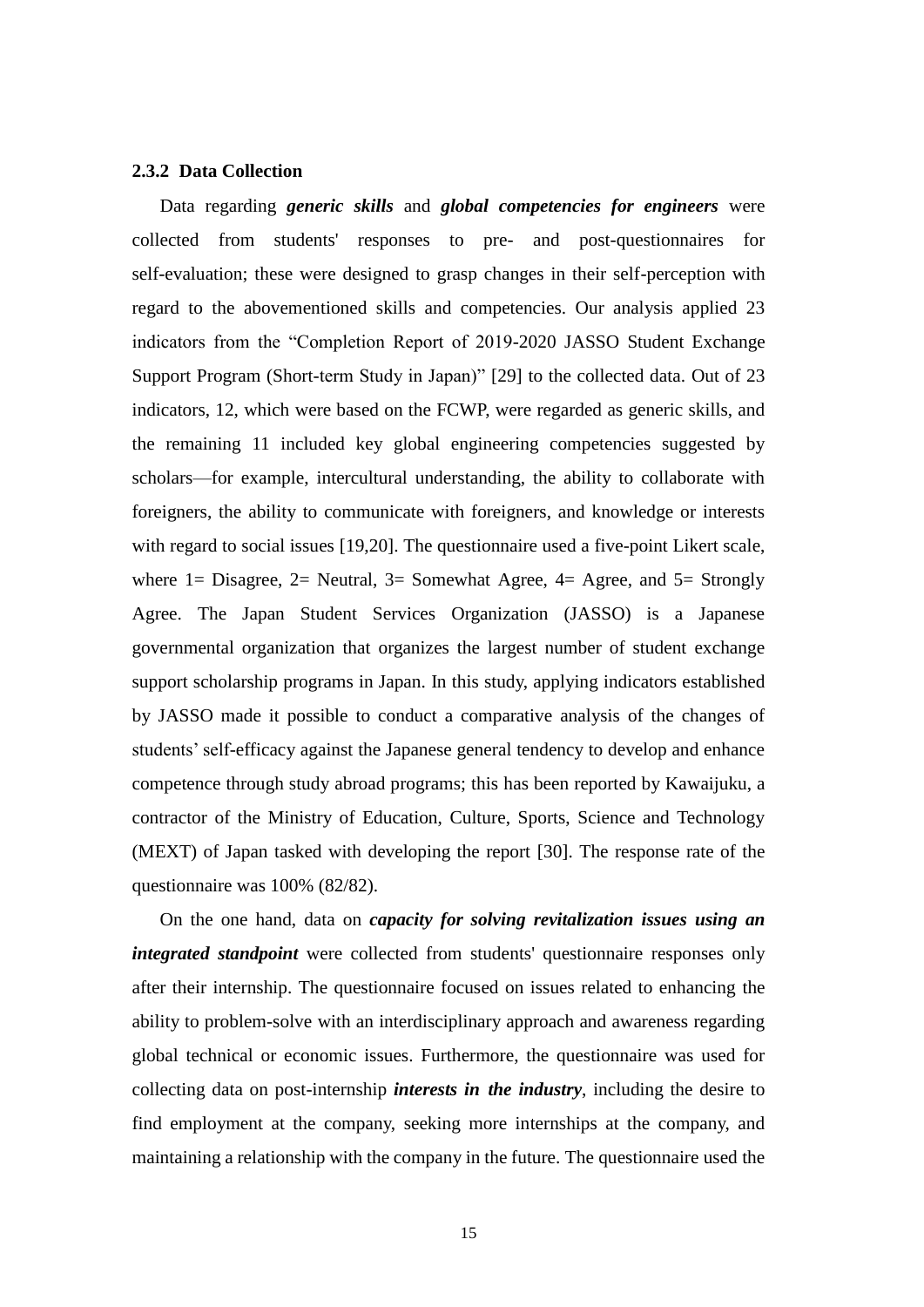### <span id="page-24-0"></span>**2.3.2 Data Collection**

Data regarding *generic skills* and *global competencies for engineers* were collected from students' responses to pre- and post-questionnaires for self-evaluation; these were designed to grasp changes in their self-perception with regard to the abovementioned skills and competencies. Our analysis applied 23 indicators from the "Completion Report of 2019-2020 JASSO Student Exchange Support Program (Short-term Study in Japan)" [29] to the collected data. Out of 23 indicators, 12, which were based on the FCWP, were regarded as generic skills, and the remaining 11 included key global engineering competencies suggested by scholars—for example, intercultural understanding, the ability to collaborate with foreigners, the ability to communicate with foreigners, and knowledge or interests with regard to social issues [19,20]. The questionnaire used a five-point Likert scale, where  $1=$  Disagree,  $2=$  Neutral,  $3=$  Somewhat Agree,  $4=$  Agree, and  $5=$  Strongly Agree. The Japan Student Services Organization (JASSO) is a Japanese governmental organization that organizes the largest number of student exchange support scholarship programs in Japan. In this study, applying indicators established by JASSO made it possible to conduct a comparative analysis of the changes of students' self-efficacy against the Japanese general tendency to develop and enhance competence through study abroad programs; this has been reported by Kawaijuku, a contractor of the Ministry of Education, Culture, Sports, Science and Technology (MEXT) of Japan tasked with developing the report [30]. The response rate of the questionnaire was 100% (82/82).

On the one hand, data on *capacity for solving revitalization issues using an integrated standpoint* were collected from students' questionnaire responses only after their internship. The questionnaire focused on issues related to enhancing the ability to problem-solve with an interdisciplinary approach and awareness regarding global technical or economic issues. Furthermore, the questionnaire was used for collecting data on post-internship *interests in the industry*, including the desire to find employment at the company, seeking more internships at the company, and maintaining a relationship with the company in the future. The questionnaire used the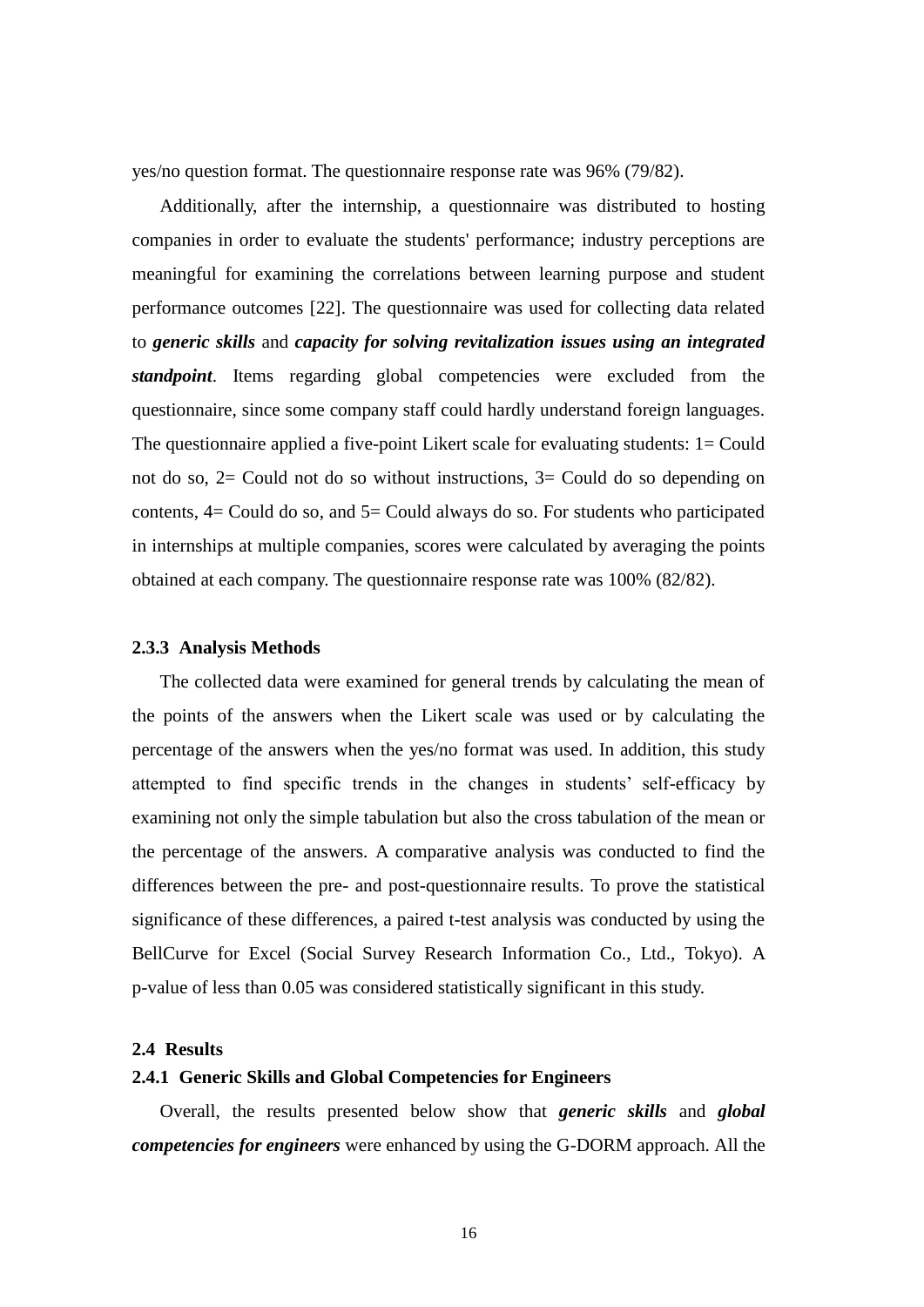yes/no question format. The questionnaire response rate was 96% (79/82).

Additionally, after the internship, a questionnaire was distributed to hosting companies in order to evaluate the students' performance; industry perceptions are meaningful for examining the correlations between learning purpose and student performance outcomes [22]. The questionnaire was used for collecting data related to *generic skills* and *capacity for solving revitalization issues using an integrated standpoint*. Items regarding global competencies were excluded from the questionnaire, since some company staff could hardly understand foreign languages. The questionnaire applied a five-point Likert scale for evaluating students: 1= Could not do so, 2= Could not do so without instructions, 3= Could do so depending on contents, 4= Could do so, and 5= Could always do so. For students who participated in internships at multiple companies, scores were calculated by averaging the points obtained at each company. The questionnaire response rate was 100% (82/82).

### <span id="page-25-0"></span>**2.3.3 Analysis Methods**

The collected data were examined for general trends by calculating the mean of the points of the answers when the Likert scale was used or by calculating the percentage of the answers when the yes/no format was used. In addition, this study attempted to find specific trends in the changes in students' self-efficacy by examining not only the simple tabulation but also the cross tabulation of the mean or the percentage of the answers. A comparative analysis was conducted to find the differences between the pre- and post-questionnaire results. To prove the statistical significance of these differences, a paired t-test analysis was conducted by using the BellCurve for Excel (Social Survey Research Information Co., Ltd., Tokyo). A p-value of less than 0.05 was considered statistically significant in this study.

#### <span id="page-25-1"></span>**2.4 Results**

### <span id="page-25-2"></span>**2.4.1 Generic Skills and Global Competencies for Engineers**

Overall, the results presented below show that *generic skills* and *global competencies for engineers* were enhanced by using the G-DORM approach. All the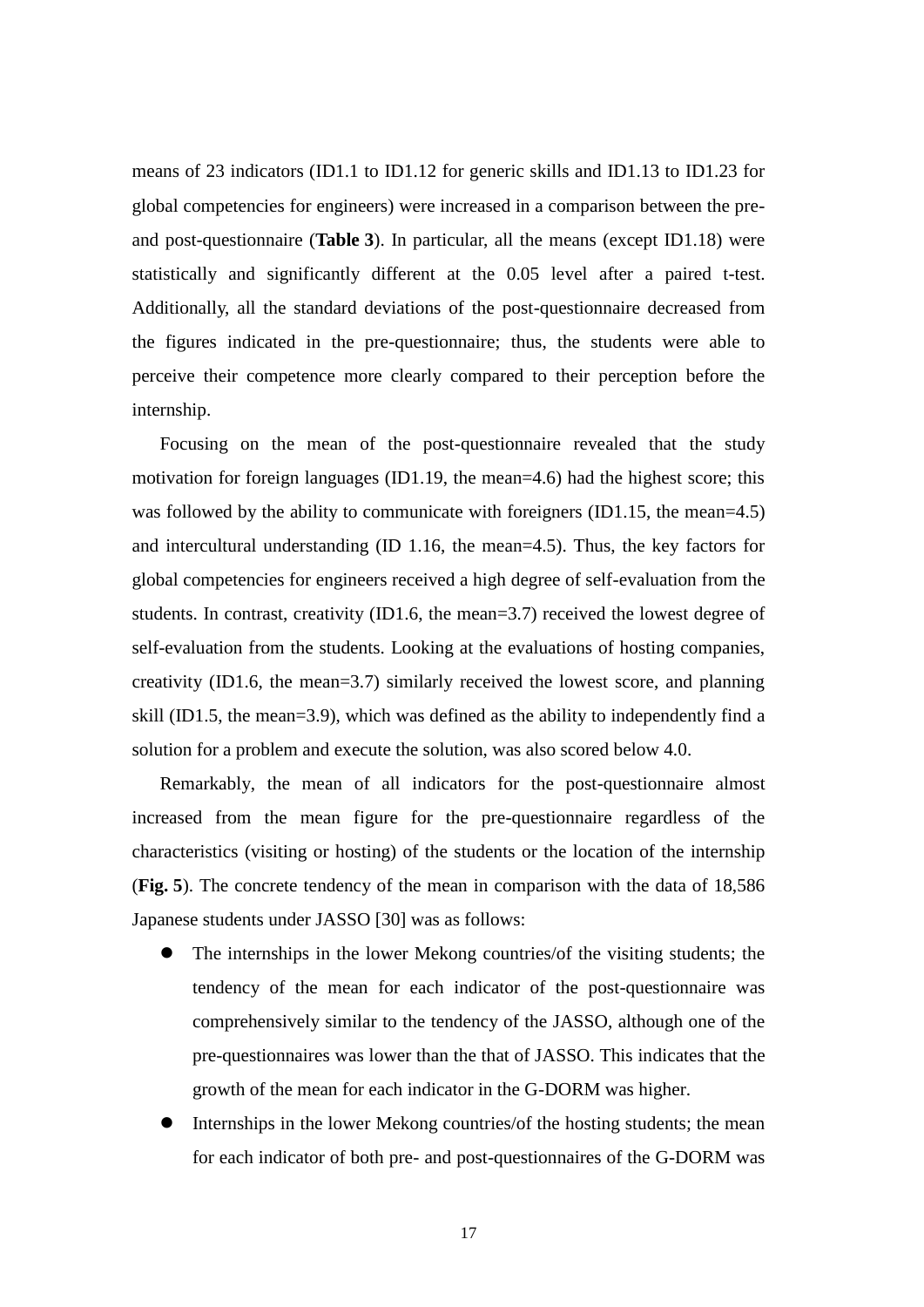means of 23 indicators (ID1.1 to ID1.12 for generic skills and ID1.13 to ID1.23 for global competencies for engineers) were increased in a comparison between the preand post-questionnaire (**[Table 3](#page-27-0)**). In particular, all the means (except ID1.18) were statistically and significantly different at the 0.05 level after a paired t-test. Additionally, all the standard deviations of the post-questionnaire decreased from the figures indicated in the pre-questionnaire; thus, the students were able to perceive their competence more clearly compared to their perception before the internship.

Focusing on the mean of the post-questionnaire revealed that the study motivation for foreign languages (ID1.19, the mean=4.6) had the highest score; this was followed by the ability to communicate with foreigners (ID1.15, the mean=4.5) and intercultural understanding (ID 1.16, the mean=4.5). Thus, the key factors for global competencies for engineers received a high degree of self-evaluation from the students. In contrast, creativity (ID1.6, the mean=3.7) received the lowest degree of self-evaluation from the students. Looking at the evaluations of hosting companies, creativity (ID1.6, the mean=3.7) similarly received the lowest score, and planning skill (ID1.5, the mean=3.9), which was defined as the ability to independently find a solution for a problem and execute the solution, was also scored below 4.0.

Remarkably, the mean of all indicators for the post-questionnaire almost increased from the mean figure for the pre-questionnaire regardless of the characteristics (visiting or hosting) of the students or the location of the internship (**[Fig. 5](#page-29-0)**). The concrete tendency of the mean in comparison with the data of 18,586 Japanese students under JASSO [30] was as follows:

- ⚫ The internships in the lower Mekong countries/of the visiting students; the tendency of the mean for each indicator of the post-questionnaire was comprehensively similar to the tendency of the JASSO, although one of the pre-questionnaires was lower than the that of JASSO. This indicates that the growth of the mean for each indicator in the G-DORM was higher.
- ⚫ Internships in the lower Mekong countries/of the hosting students; the mean for each indicator of both pre- and post-questionnaires of the G-DORM was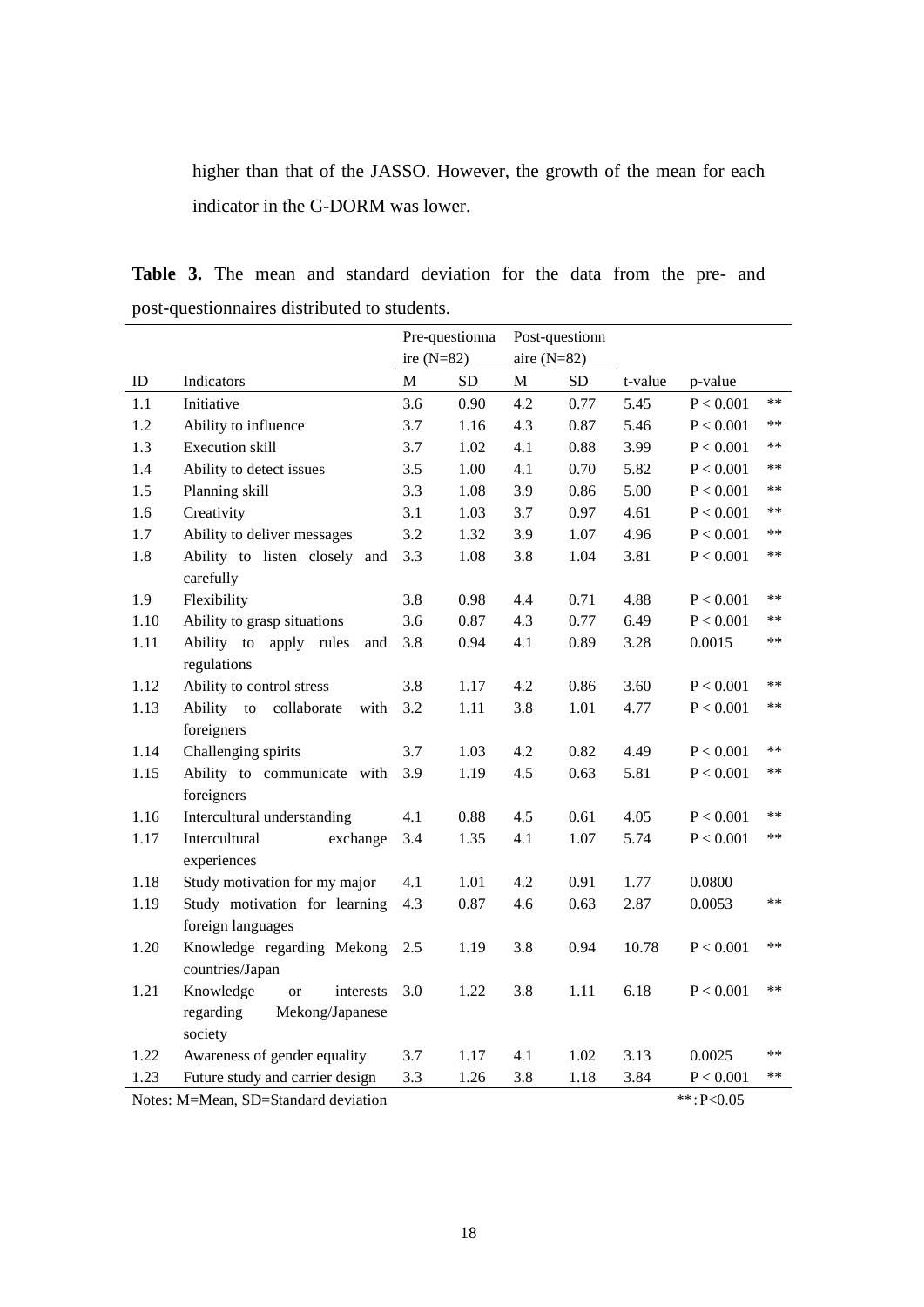higher than that of the JASSO. However, the growth of the mean for each indicator in the G-DORM was lower.

<span id="page-27-0"></span>Table 3. The mean and standard deviation for the data from the pre- and post-questionnaires distributed to students.

|         |                                      | Pre-questionna |            | Post-questionn |           |         |                      |            |
|---------|--------------------------------------|----------------|------------|----------------|-----------|---------|----------------------|------------|
|         |                                      | ire $(N=82)$   |            | aire $(N=82)$  |           |         |                      |            |
| ID      | Indicators                           | $\mathbf M$    | ${\rm SD}$ | $\mathbf M$    | <b>SD</b> | t-value | p-value              |            |
| $1.1\,$ | Initiative                           | 3.6            | 0.90       | 4.2            | 0.77      | 5.45    | P < 0.001            | $\ast\ast$ |
| 1.2     | Ability to influence                 | 3.7            | 1.16       | 4.3            | 0.87      | 5.46    | P < 0.001            | $\ast\ast$ |
| 1.3     | Execution skill                      | 3.7            | 1.02       | 4.1            | 0.88      | 3.99    | P < 0.001            | $\ast\ast$ |
| 1.4     | Ability to detect issues             | 3.5            | 1.00       | 4.1            | 0.70      | 5.82    | P < 0.001            | $***$      |
| 1.5     | Planning skill                       | 3.3            | 1.08       | 3.9            | 0.86      | 5.00    | $\mathrm{P} < 0.001$ | $**$       |
| 1.6     | Creativity                           | 3.1            | 1.03       | 3.7            | 0.97      | 4.61    | $\mathrm{P} < 0.001$ | $**$       |
| 1.7     | Ability to deliver messages          | 3.2            | 1.32       | 3.9            | 1.07      | 4.96    | P < 0.001            | $**$       |
| 1.8     | Ability to listen closely<br>and     | 3.3            | 1.08       | 3.8            | 1.04      | 3.81    | P < 0.001            | $***$      |
|         | carefully                            |                |            |                |           |         |                      |            |
| 1.9     | Flexibility                          | 3.8            | 0.98       | 4.4            | 0.71      | 4.88    | $\mathrm{P} < 0.001$ | $**$       |
| 1.10    | Ability to grasp situations          | 3.6            | 0.87       | 4.3            | 0.77      | 6.49    | P < 0.001            | $**$       |
| 1.11    | Ability to<br>apply rules<br>and     | 3.8            | 0.94       | 4.1            | 0.89      | 3.28    | 0.0015               | $**$       |
|         | regulations                          |                |            |                |           |         |                      |            |
| 1.12    | Ability to control stress            | 3.8            | 1.17       | 4.2            | 0.86      | 3.60    | $\mathrm{P} < 0.001$ | $**$       |
| 1.13    | Ability to<br>collaborate<br>with    | 3.2            | 1.11       | 3.8            | 1.01      | 4.77    | P < 0.001            | $**$       |
|         | foreigners                           |                |            |                |           |         |                      |            |
| 1.14    | Challenging spirits                  | 3.7            | 1.03       | 4.2            | 0.82      | 4.49    | P < 0.001            | $**$       |
| 1.15    | Ability to communicate with          | 3.9            | 1.19       | 4.5            | 0.63      | 5.81    | $\mathrm{P} < 0.001$ | $**$       |
|         | foreigners                           |                |            |                |           |         |                      |            |
| 1.16    | Intercultural understanding          | 4.1            | 0.88       | 4.5            | 0.61      | 4.05    | $\mathrm{P} < 0.001$ | $**$       |
| 1.17    | Intercultural<br>exchange            | 3.4            | 1.35       | 4.1            | 1.07      | 5.74    | $\mathrm{P} < 0.001$ | $**$       |
|         | experiences                          |                |            |                |           |         |                      |            |
| 1.18    | Study motivation for my major        | 4.1            | 1.01       | 4.2            | 0.91      | 1.77    | 0.0800               |            |
| 1.19    | Study motivation for learning        | 4.3            | 0.87       | 4.6            | 0.63      | 2.87    | 0.0053               | $**$       |
|         | foreign languages                    |                |            |                |           |         |                      |            |
| 1.20    | Knowledge regarding Mekong           | 2.5            | 1.19       | 3.8            | 0.94      | 10.78   | $\mathrm{P} < 0.001$ | $**$       |
|         | countries/Japan                      |                |            |                |           |         |                      |            |
| 1.21    | Knowledge<br>interests<br><b>or</b>  | 3.0            | 1.22       | 3.8            | 1.11      | 6.18    | $\mathrm{P} < 0.001$ | $\ast\ast$ |
|         | regarding<br>Mekong/Japanese         |                |            |                |           |         |                      |            |
|         | society                              |                |            |                |           |         |                      |            |
| 1.22    | Awareness of gender equality         | 3.7            | 1.17       | 4.1            | 1.02      | 3.13    | 0.0025               | $**$       |
| 1.23    | Future study and carrier design      | 3.3            | 1.26       | 3.8            | 1.18      | 3.84    | P < 0.001            | $**$       |
|         | Notes: M=Mean, SD=Standard deviation |                |            |                |           |         | $**$ : P<0.05        |            |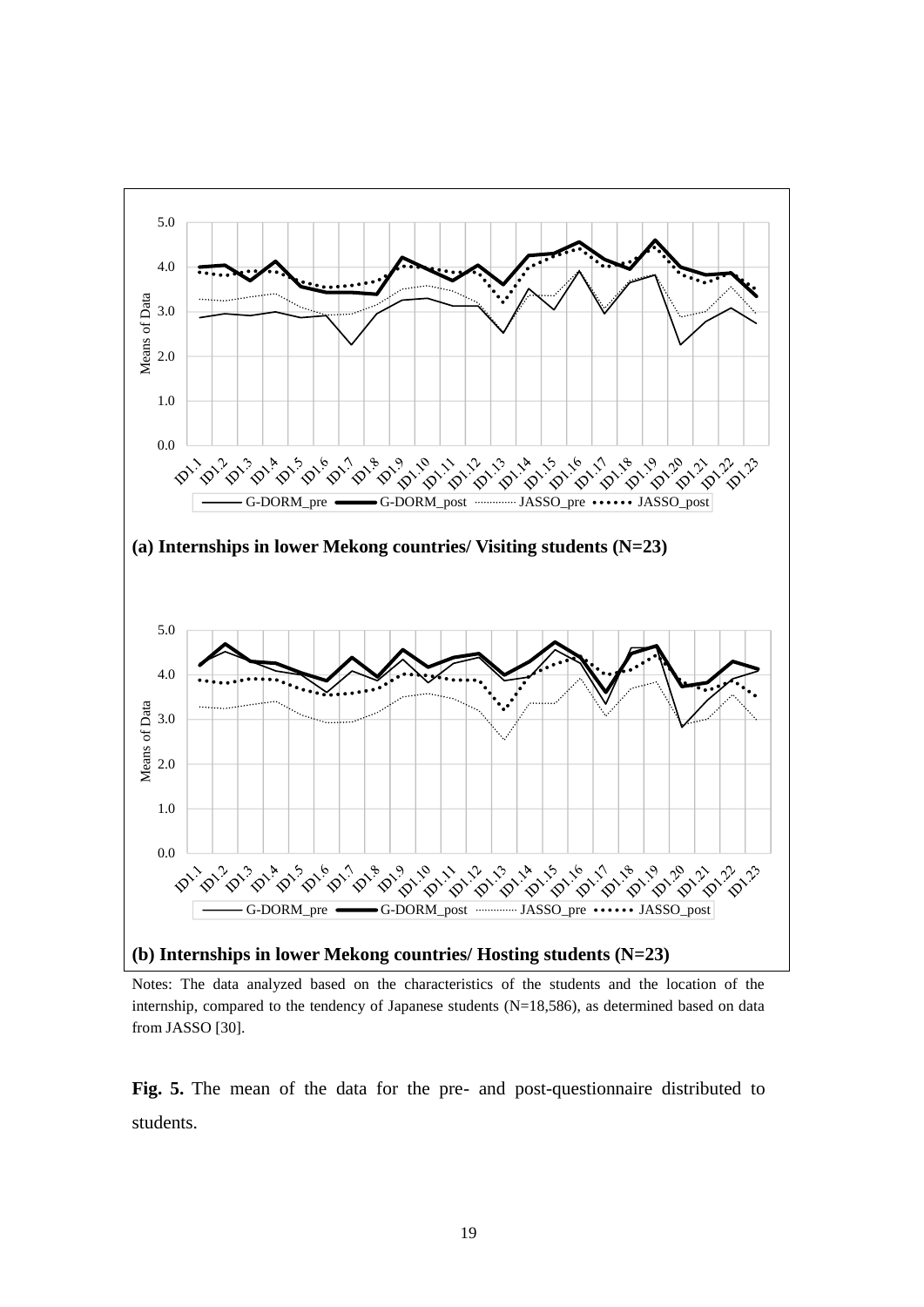

Notes: The data analyzed based on the characteristics of the students and the location of the internship, compared to the tendency of Japanese students (N=18,586), as determined based on data from JASSO [30].

<span id="page-28-0"></span>**Fig. 5.** The mean of the data for the pre- and post-questionnaire distributed to students.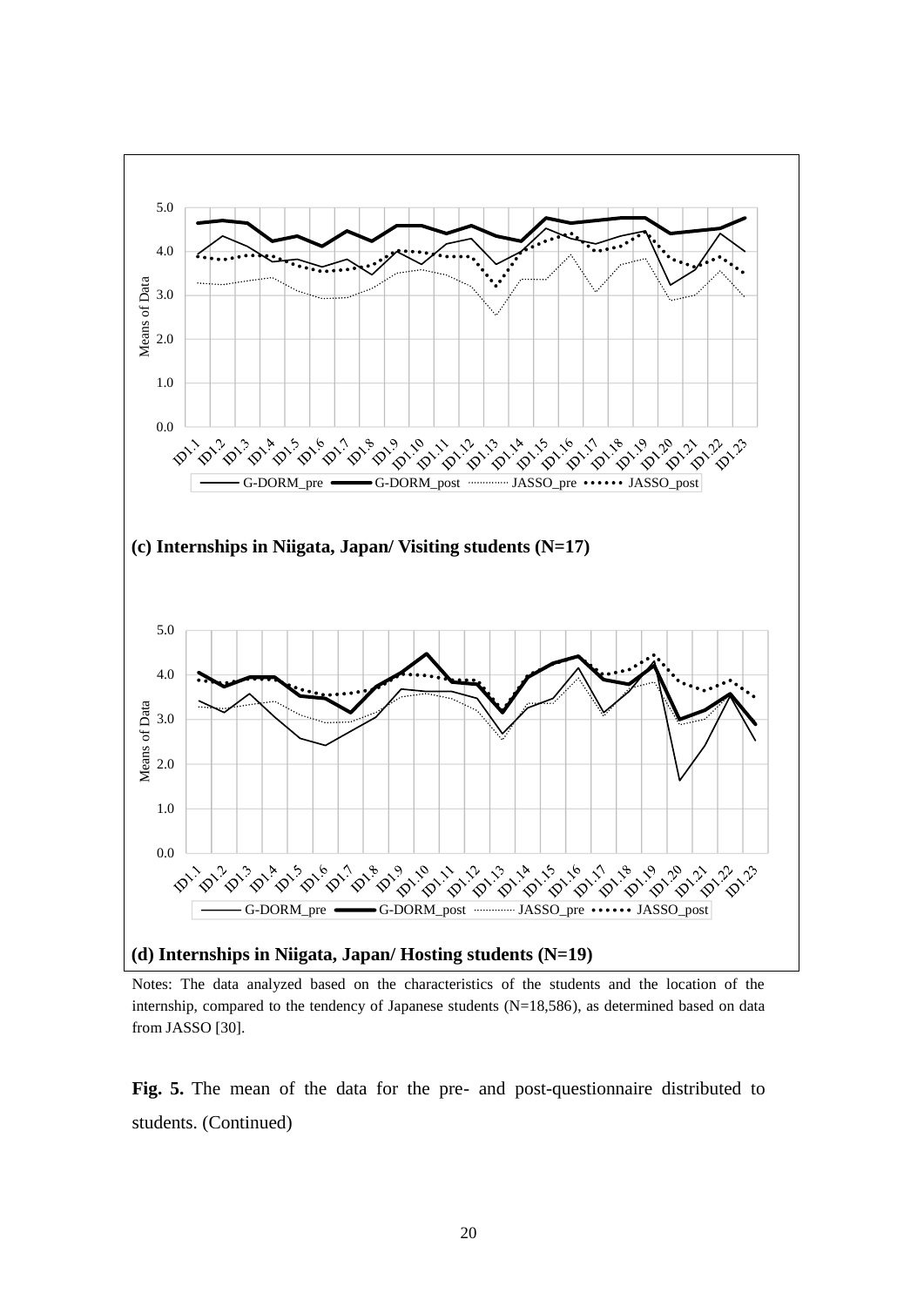

Notes: The data analyzed based on the characteristics of the students and the location of the internship, compared to the tendency of Japanese students (N=18,586), as determined based on data from JASSO [30].

<span id="page-29-0"></span>**Fig. 5.** The mean of the data for the pre- and post-questionnaire distributed to students. (Continued)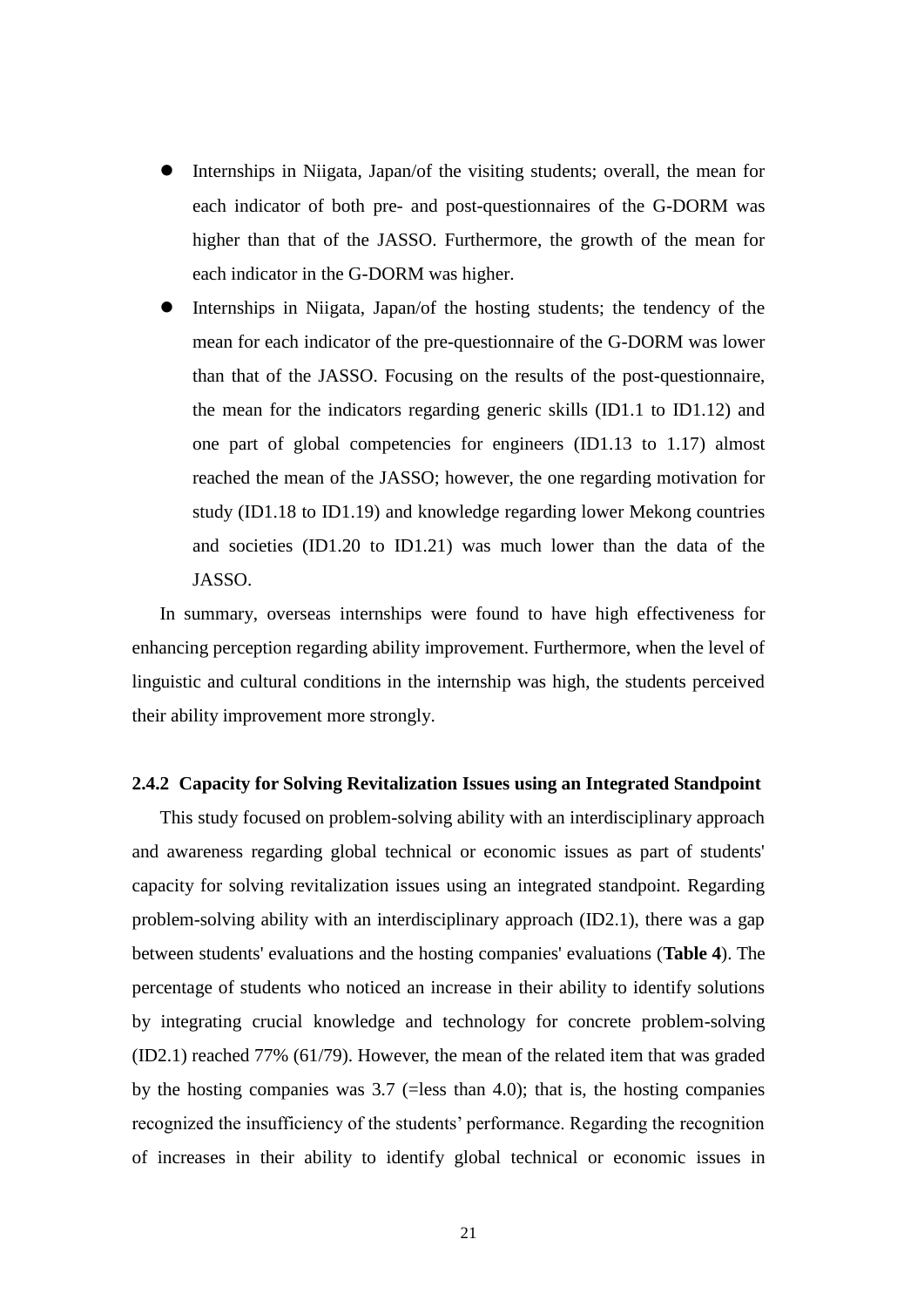- ⚫ Internships in Niigata, Japan/of the visiting students; overall, the mean for each indicator of both pre- and post-questionnaires of the G-DORM was higher than that of the JASSO. Furthermore, the growth of the mean for each indicator in the G-DORM was higher.
- ⚫ Internships in Niigata, Japan/of the hosting students; the tendency of the mean for each indicator of the pre-questionnaire of the G-DORM was lower than that of the JASSO. Focusing on the results of the post-questionnaire, the mean for the indicators regarding generic skills (ID1.1 to ID1.12) and one part of global competencies for engineers (ID1.13 to 1.17) almost reached the mean of the JASSO; however, the one regarding motivation for study (ID1.18 to ID1.19) and knowledge regarding lower Mekong countries and societies (ID1.20 to ID1.21) was much lower than the data of the JASSO.

In summary, overseas internships were found to have high effectiveness for enhancing perception regarding ability improvement. Furthermore, when the level of linguistic and cultural conditions in the internship was high, the students perceived their ability improvement more strongly.

#### <span id="page-30-0"></span>**2.4.2 Capacity for Solving Revitalization Issues using an Integrated Standpoint**

This study focused on problem-solving ability with an interdisciplinary approach and awareness regarding global technical or economic issues as part of students' capacity for solving revitalization issues using an integrated standpoint. Regarding problem-solving ability with an interdisciplinary approach (ID2.1), there was a gap between students' evaluations and the hosting companies' evaluations (**[Table 4](#page-31-0)**). The percentage of students who noticed an increase in their ability to identify solutions by integrating crucial knowledge and technology for concrete problem-solving (ID2.1) reached 77% (61/79). However, the mean of the related item that was graded by the hosting companies was  $3.7$  (=less than 4.0); that is, the hosting companies recognized the insufficiency of the students' performance. Regarding the recognition of increases in their ability to identify global technical or economic issues in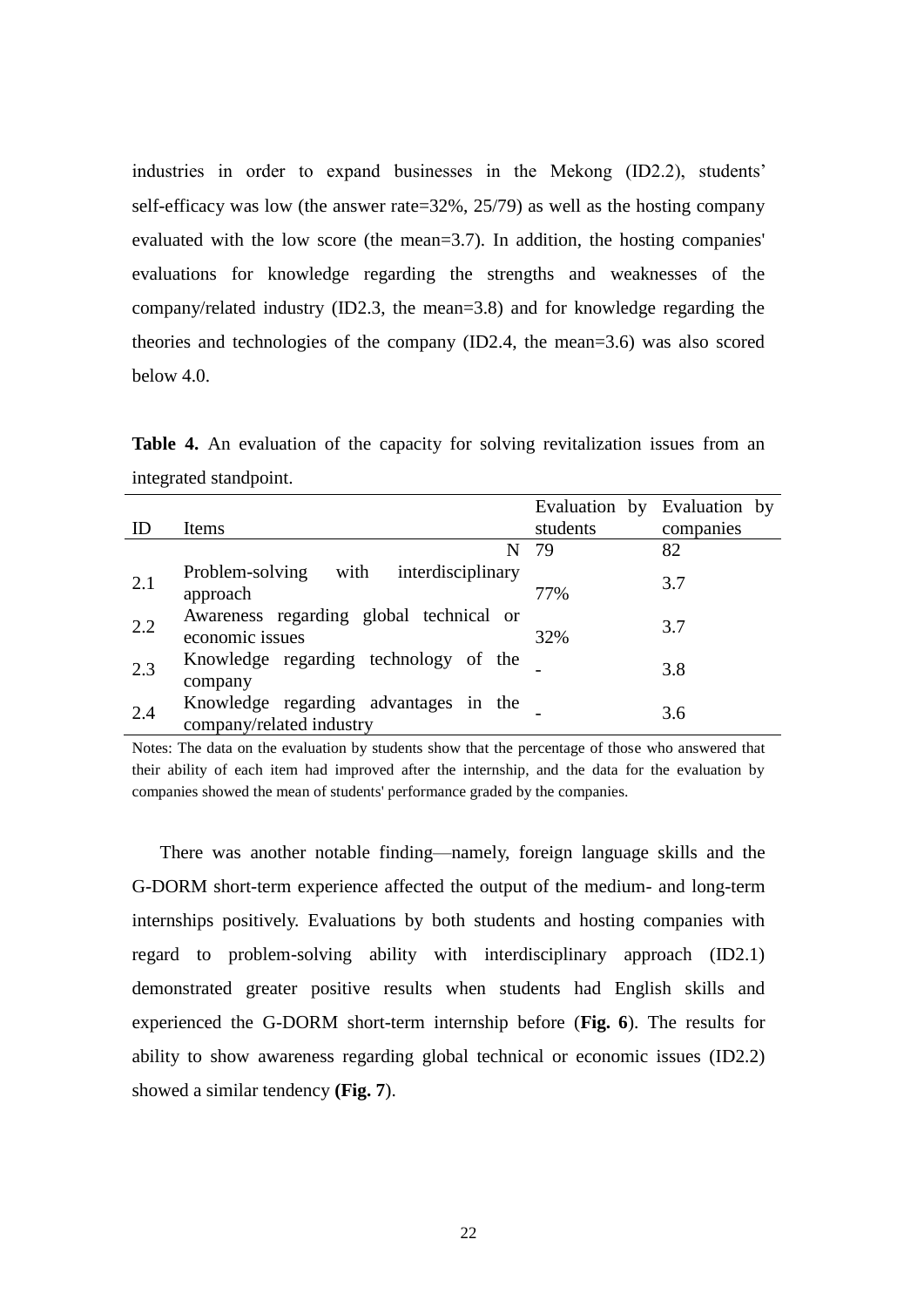industries in order to expand businesses in the Mekong (ID2.2), students' self-efficacy was low (the answer rate=32%, 25/79) as well as the hosting company evaluated with the low score (the mean=3.7). In addition, the hosting companies' evaluations for knowledge regarding the strengths and weaknesses of the company/related industry (ID2.3, the mean=3.8) and for knowledge regarding the theories and technologies of the company (ID2.4, the mean=3.6) was also scored below 4.0.

<span id="page-31-0"></span>**Table 4.** An evaluation of the capacity for solving revitalization issues from an integrated standpoint.

|     |                                                                   |          | Evaluation by Evaluation by |
|-----|-------------------------------------------------------------------|----------|-----------------------------|
| ID  | Items                                                             | students | companies                   |
|     | N                                                                 | 79       | 82                          |
| 2.1 | with<br>Problem-solving<br>interdisciplinary<br>approach          | 77%      | 3.7                         |
| 2.2 | Awareness regarding global technical or<br>economic issues        | 32%      | 3.7                         |
| 2.3 | Knowledge regarding technology of the<br>company                  |          | 3.8                         |
| 2.4 | Knowledge regarding advantages in the<br>company/related industry |          | 3.6                         |

Notes: The data on the evaluation by students show that the percentage of those who answered that their ability of each item had improved after the internship, and the data for the evaluation by companies showed the mean of students' performance graded by the companies.

There was another notable finding—namely, foreign language skills and the G-DORM short-term experience affected the output of the medium- and long-term internships positively. Evaluations by both students and hosting companies with regard to problem-solving ability with interdisciplinary approach (ID2.1) demonstrated greater positive results when students had English skills and experienced the G-DORM short-term internship before (**[Fig. 6](#page-32-0)**). The results for ability to show awareness regarding global technical or economic issues (ID2.2) showed a similar tendency **[\(Fig. 7](#page-33-1)**).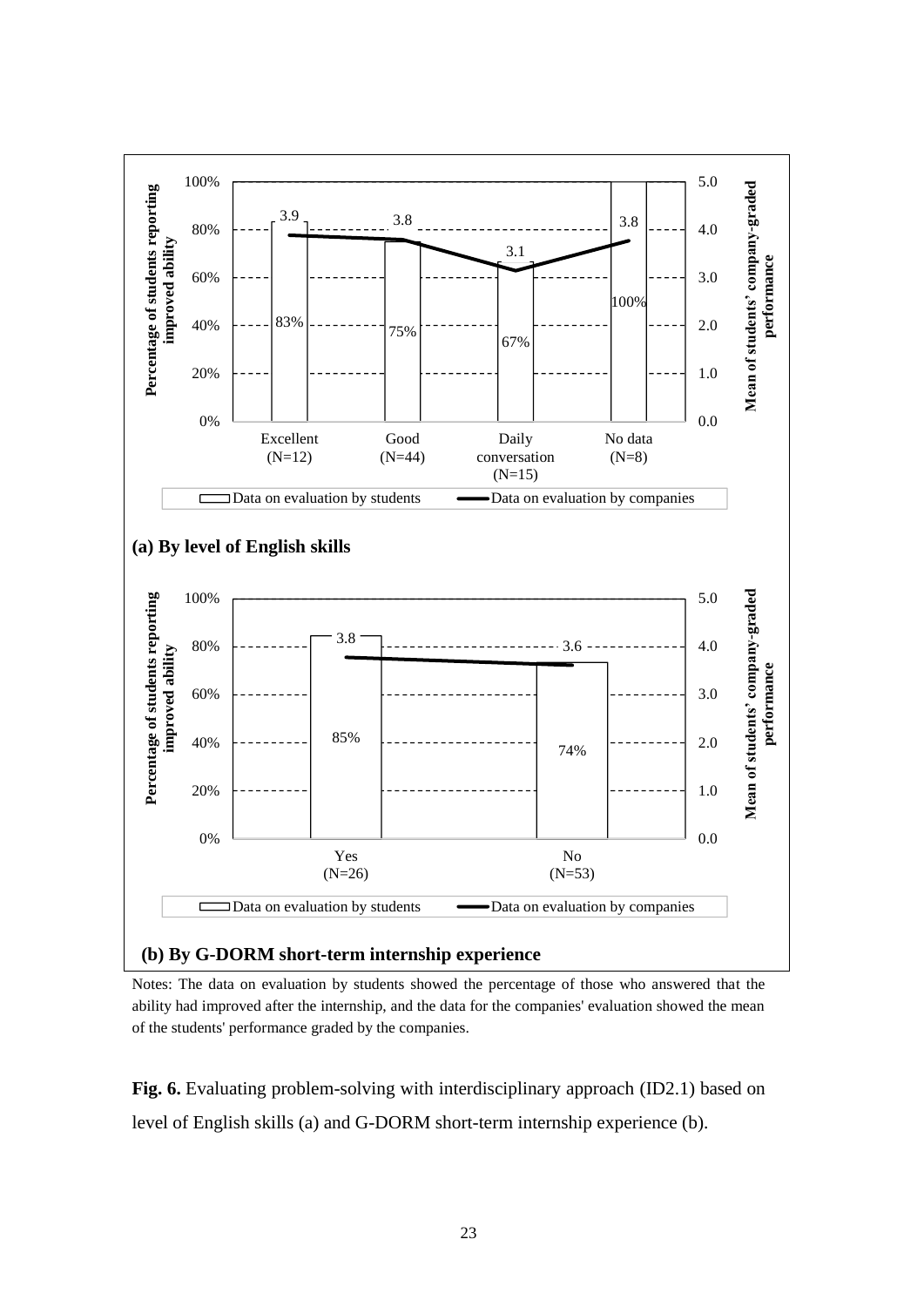

Notes: The data on evaluation by students showed the percentage of those who answered that the ability had improved after the internship, and the data for the companies' evaluation showed the mean of the students' performance graded by the companies.

<span id="page-32-0"></span>**Fig. 6.** Evaluating problem-solving with interdisciplinary approach (ID2.1) based on level of English skills (a) and G-DORM short-term internship experience (b).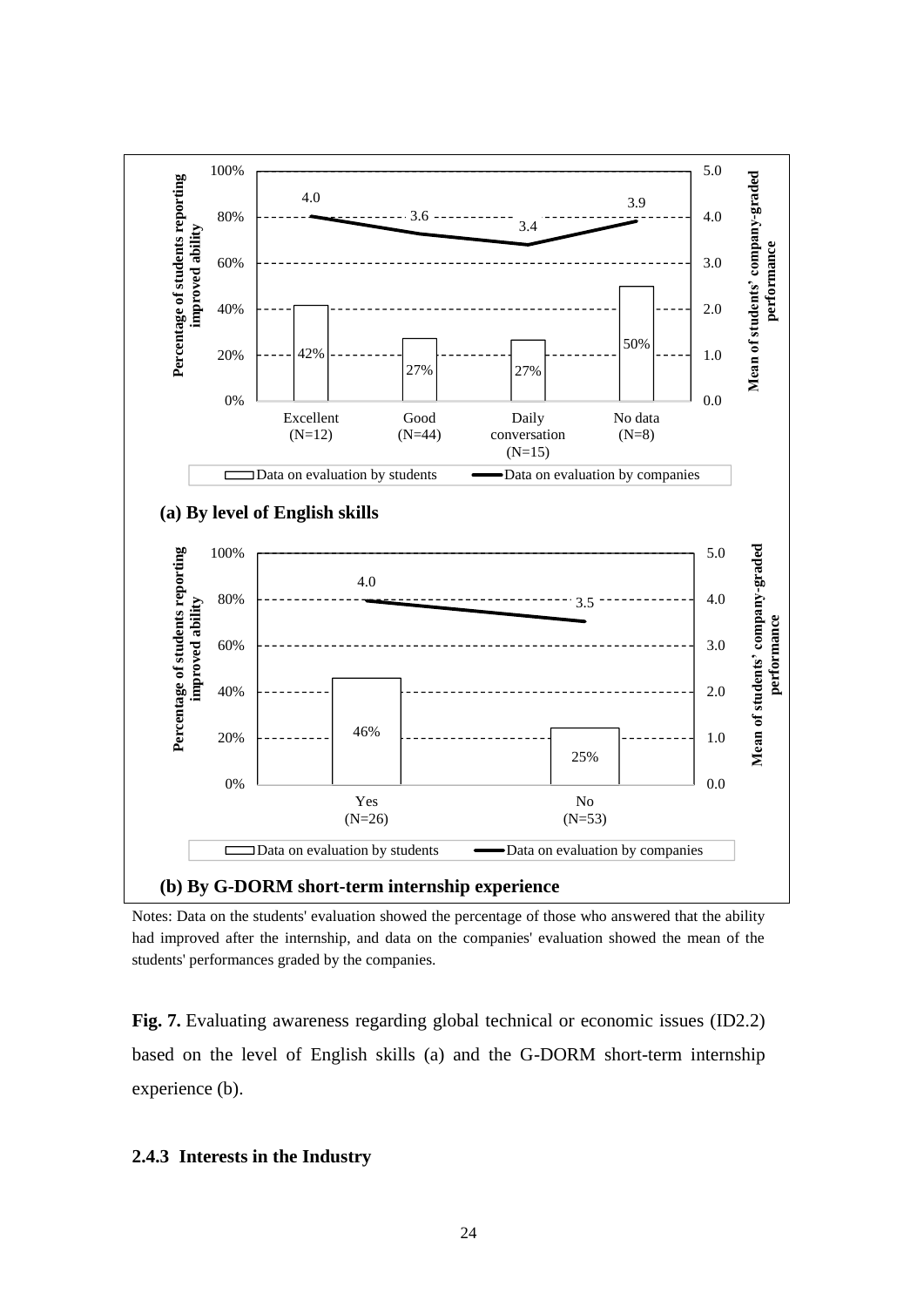

Notes: Data on the students' evaluation showed the percentage of those who answered that the ability had improved after the internship, and data on the companies' evaluation showed the mean of the students' performances graded by the companies.

<span id="page-33-1"></span>**Fig. 7.** Evaluating awareness regarding global technical or economic issues (ID2.2) based on the level of English skills (a) and the G-DORM short-term internship experience (b).

### <span id="page-33-0"></span>**2.4.3 Interests in the Industry**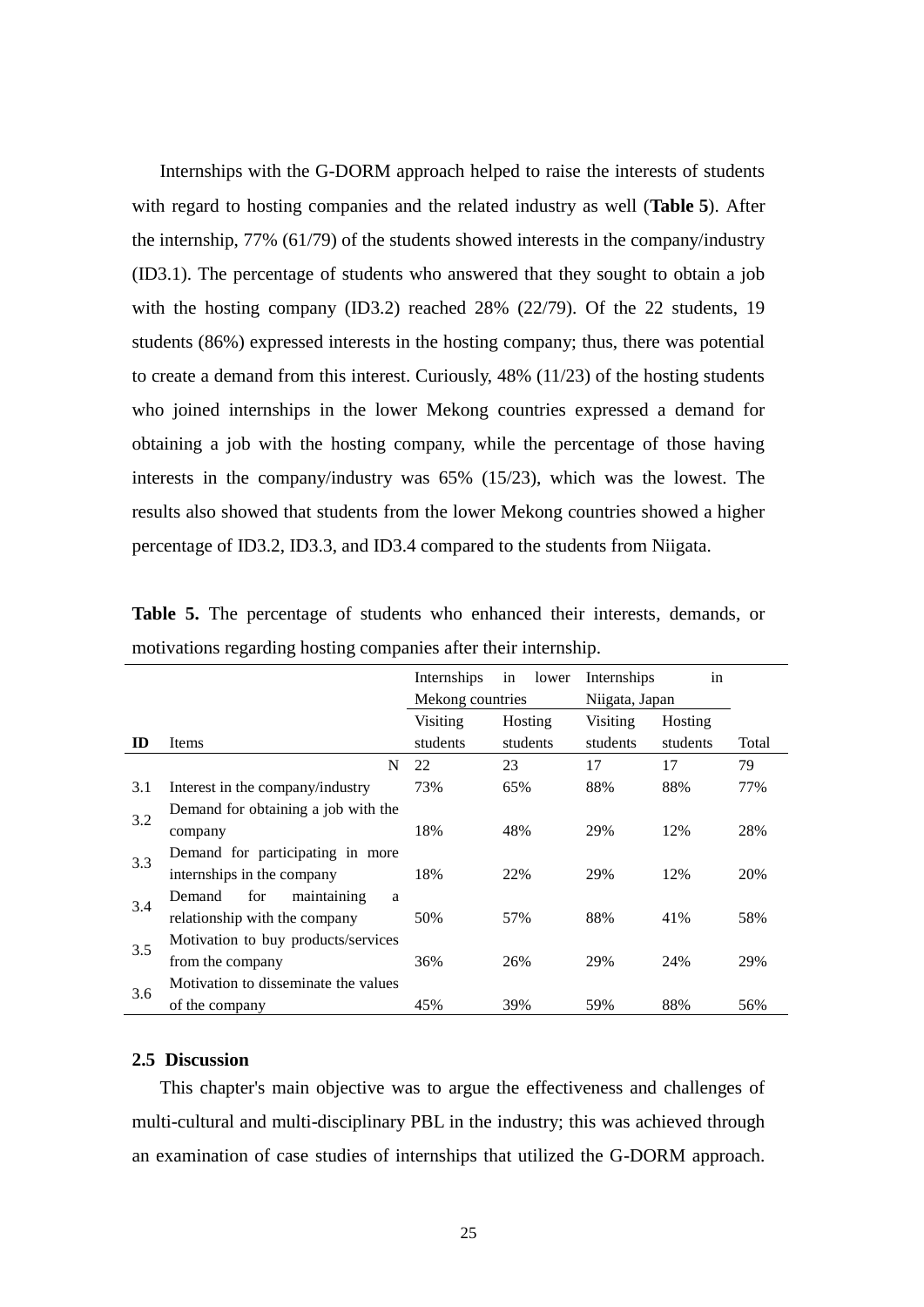Internships with the G-DORM approach helped to raise the interests of students with regard to hosting companies and the related industry as well (**[Table 5](#page-34-1)**). After the internship, 77% (61/79) of the students showed interests in the company/industry (ID3.1). The percentage of students who answered that they sought to obtain a job with the hosting company (ID3.2) reached 28% (22/79). Of the 22 students, 19 students (86%) expressed interests in the hosting company; thus, there was potential to create a demand from this interest. Curiously, 48% (11/23) of the hosting students who joined internships in the lower Mekong countries expressed a demand for obtaining a job with the hosting company, while the percentage of those having interests in the company/industry was 65% (15/23), which was the lowest. The results also showed that students from the lower Mekong countries showed a higher percentage of ID3.2, ID3.3, and ID3.4 compared to the students from Niigata.

|     |                                      | Internships      | lower<br>in    | Internships | in       |       |
|-----|--------------------------------------|------------------|----------------|-------------|----------|-------|
|     |                                      | Mekong countries | Niigata, Japan |             |          |       |
|     |                                      | Visiting         | Hosting        | Visiting    | Hosting  |       |
| ID  | Items                                | students         | students       | students    | students | Total |
|     | N                                    | 22               | 23             | 17          | 17       | 79    |
| 3.1 | Interest in the company/industry     | 73%              | 65%            | 88%         | 88%      | 77%   |
| 3.2 | Demand for obtaining a job with the  |                  |                |             |          |       |
|     | company                              | 18%              | 48%            | 29%         | 12%      | 28%   |
|     | Demand for participating in more     |                  |                |             |          |       |
| 3.3 | internships in the company           | 18%              | 22%            | 29%         | 12%      | 20%   |
| 3.4 | for<br>maintaining<br>Demand<br>a    |                  |                |             |          |       |
|     | relationship with the company        | 50%              | 57%            | 88%         | 41%      | 58%   |
| 3.5 | Motivation to buy products/services  |                  |                |             |          |       |
|     | from the company                     | 36%              | 26%            | 29%         | 24%      | 29%   |
| 3.6 | Motivation to disseminate the values |                  |                |             |          |       |
|     | of the company                       | 45%              | 39%            | 59%         | 88%      | 56%   |

<span id="page-34-1"></span>**Table 5.** The percentage of students who enhanced their interests, demands, or motivations regarding hosting companies after their internship.

### <span id="page-34-0"></span>**2.5 Discussion**

This chapter's main objective was to argue the effectiveness and challenges of multi-cultural and multi-disciplinary PBL in the industry; this was achieved through an examination of case studies of internships that utilized the G-DORM approach.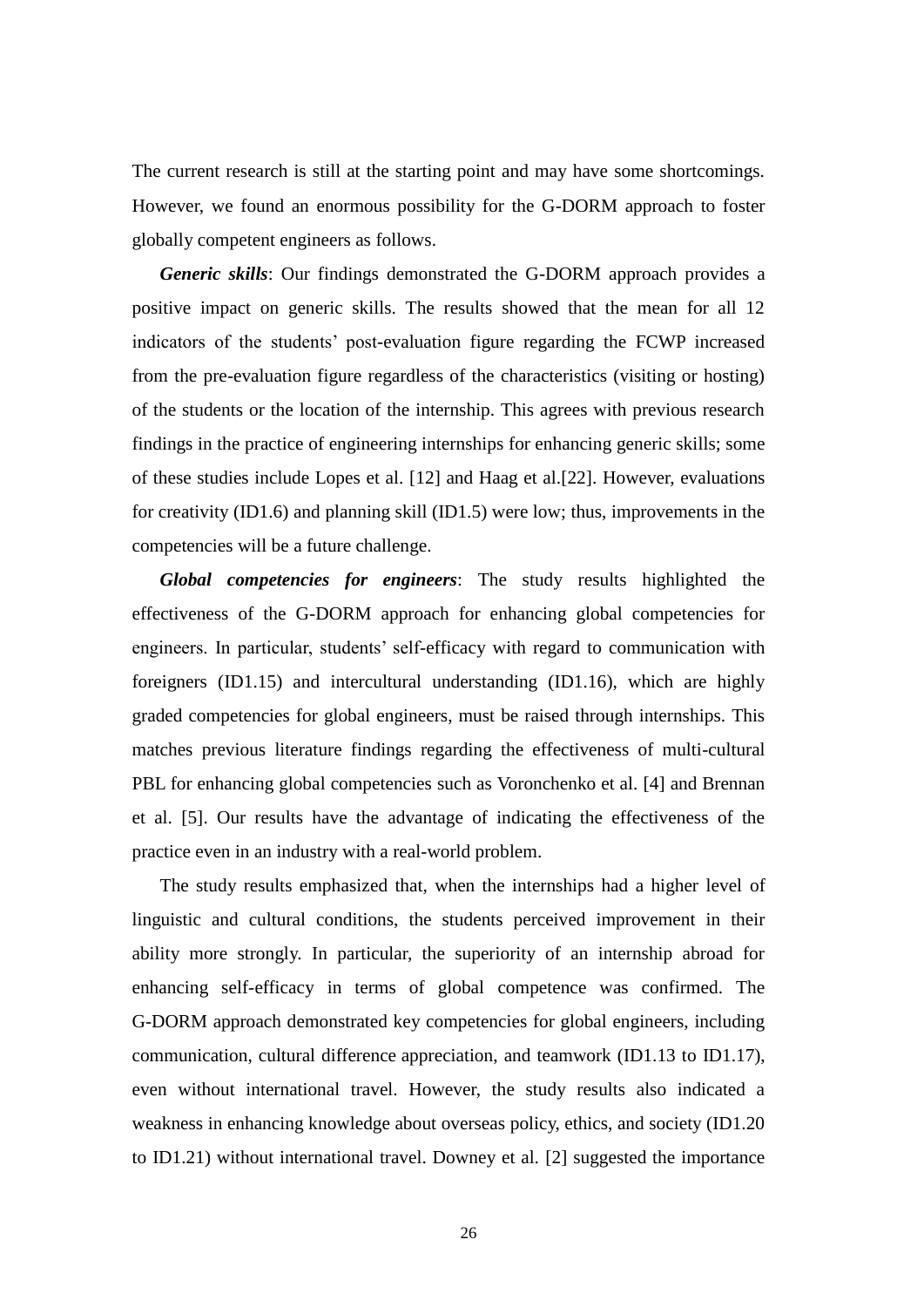The current research is still at the starting point and may have some shortcomings. However, we found an enormous possibility for the G-DORM approach to foster globally competent engineers as follows.

*Generic skills*: Our findings demonstrated the G-DORM approach provides a positive impact on generic skills. The results showed that the mean for all 12 indicators of the students' post-evaluation figure regarding the FCWP increased from the pre-evaluation figure regardless of the characteristics (visiting or hosting) of the students or the location of the internship. This agrees with previous research findings in the practice of engineering internships for enhancing generic skills; some of these studies include Lopes et al. [12] and Haag et al.[22]. However, evaluations for creativity (ID1.6) and planning skill (ID1.5) were low; thus, improvements in the competencies will be a future challenge.

*Global competencies for engineers*: The study results highlighted the effectiveness of the G-DORM approach for enhancing global competencies for engineers. In particular, students' self-efficacy with regard to communication with foreigners (ID1.15) and intercultural understanding (ID1.16), which are highly graded competencies for global engineers, must be raised through internships. This matches previous literature findings regarding the effectiveness of multi-cultural PBL for enhancing global competencies such as Voronchenko et al. [4] and Brennan et al. [5]. Our results have the advantage of indicating the effectiveness of the practice even in an industry with a real-world problem.

The study results emphasized that, when the internships had a higher level of linguistic and cultural conditions, the students perceived improvement in their ability more strongly. In particular, the superiority of an internship abroad for enhancing self-efficacy in terms of global competence was confirmed. The G-DORM approach demonstrated key competencies for global engineers, including communication, cultural difference appreciation, and teamwork (ID1.13 to ID1.17), even without international travel. However, the study results also indicated a weakness in enhancing knowledge about overseas policy, ethics, and society (ID1.20 to ID1.21) without international travel. Downey et al. [2] suggested the importance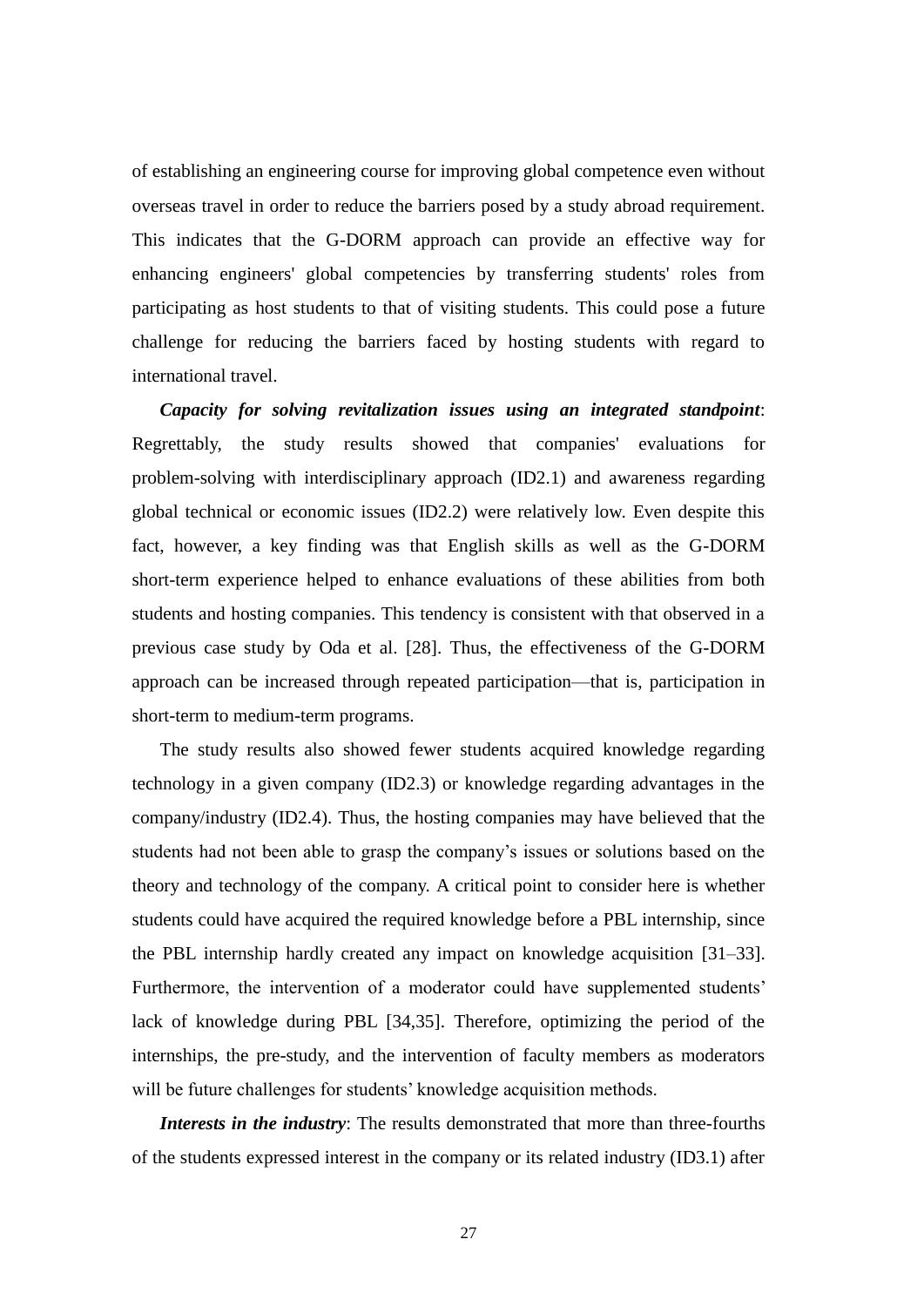of establishing an engineering course for improving global competence even without overseas travel in order to reduce the barriers posed by a study abroad requirement. This indicates that the G-DORM approach can provide an effective way for enhancing engineers' global competencies by transferring students' roles from participating as host students to that of visiting students. This could pose a future challenge for reducing the barriers faced by hosting students with regard to international travel.

*Capacity for solving revitalization issues using an integrated standpoint*: Regrettably, the study results showed that companies' evaluations for problem-solving with interdisciplinary approach (ID2.1) and awareness regarding global technical or economic issues (ID2.2) were relatively low. Even despite this fact, however, a key finding was that English skills as well as the G-DORM short-term experience helped to enhance evaluations of these abilities from both students and hosting companies. This tendency is consistent with that observed in a previous case study by Oda et al. [28]. Thus, the effectiveness of the G-DORM approach can be increased through repeated participation—that is, participation in short-term to medium-term programs.

The study results also showed fewer students acquired knowledge regarding technology in a given company (ID2.3) or knowledge regarding advantages in the company/industry (ID2.4). Thus, the hosting companies may have believed that the students had not been able to grasp the company's issues or solutions based on the theory and technology of the company. A critical point to consider here is whether students could have acquired the required knowledge before a PBL internship, since the PBL internship hardly created any impact on knowledge acquisition [31–33]. Furthermore, the intervention of a moderator could have supplemented students' lack of knowledge during PBL [34,35]. Therefore, optimizing the period of the internships, the pre-study, and the intervention of faculty members as moderators will be future challenges for students' knowledge acquisition methods.

*Interests in the industry*: The results demonstrated that more than three-fourths of the students expressed interest in the company or its related industry (ID3.1) after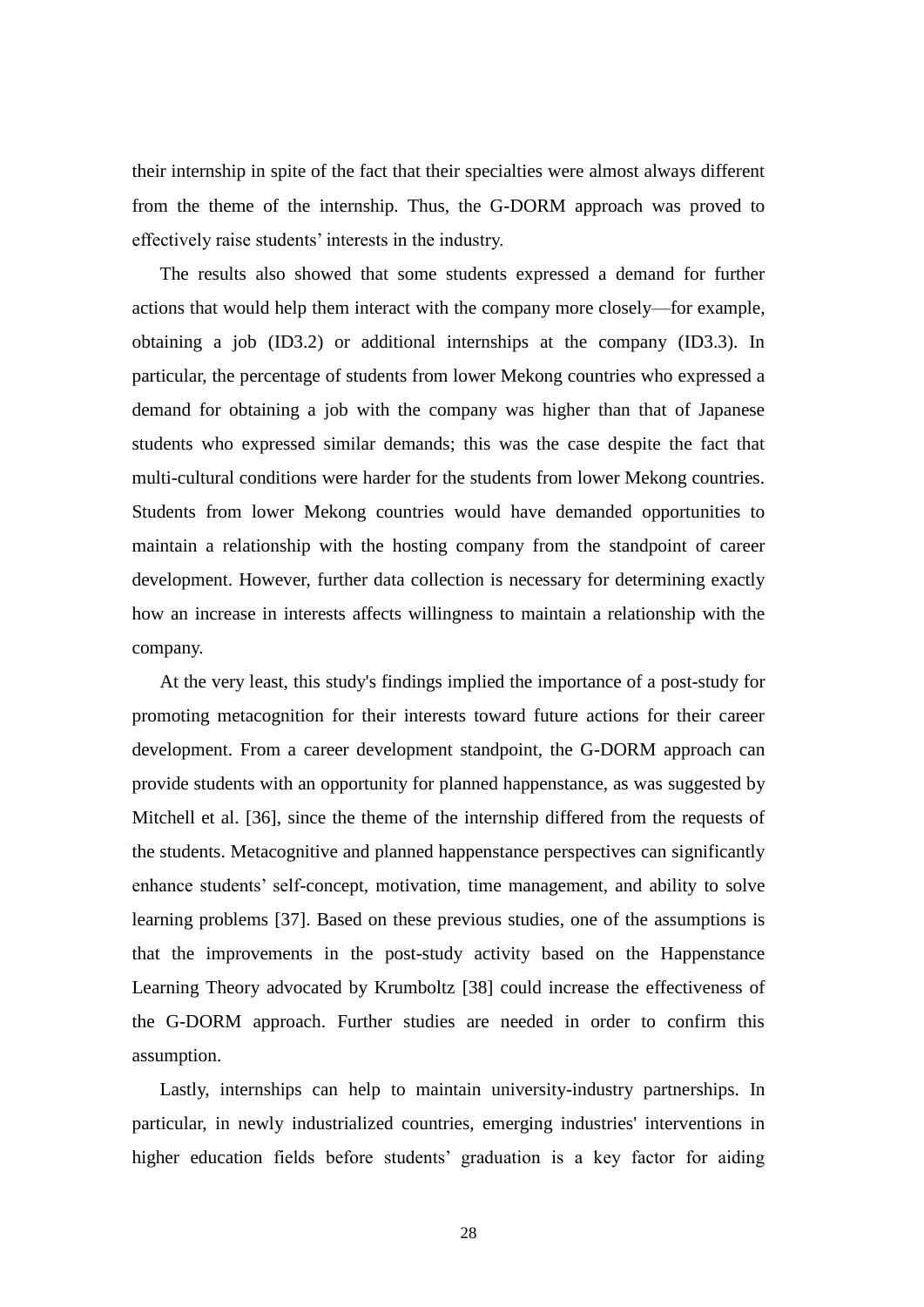their internship in spite of the fact that their specialties were almost always different from the theme of the internship. Thus, the G-DORM approach was proved to effectively raise students' interests in the industry.

The results also showed that some students expressed a demand for further actions that would help them interact with the company more closely—for example, obtaining a job (ID3.2) or additional internships at the company (ID3.3). In particular, the percentage of students from lower Mekong countries who expressed a demand for obtaining a job with the company was higher than that of Japanese students who expressed similar demands; this was the case despite the fact that multi-cultural conditions were harder for the students from lower Mekong countries. Students from lower Mekong countries would have demanded opportunities to maintain a relationship with the hosting company from the standpoint of career development. However, further data collection is necessary for determining exactly how an increase in interests affects willingness to maintain a relationship with the company.

At the very least, this study's findings implied the importance of a post-study for promoting metacognition for their interests toward future actions for their career development. From a career development standpoint, the G-DORM approach can provide students with an opportunity for planned happenstance, as was suggested by Mitchell et al. [36], since the theme of the internship differed from the requests of the students. Metacognitive and planned happenstance perspectives can significantly enhance students' self-concept, motivation, time management, and ability to solve learning problems [37]. Based on these previous studies, one of the assumptions is that the improvements in the post-study activity based on the Happenstance Learning Theory advocated by Krumboltz [38] could increase the effectiveness of the G-DORM approach. Further studies are needed in order to confirm this assumption.

Lastly, internships can help to maintain university-industry partnerships. In particular, in newly industrialized countries, emerging industries' interventions in higher education fields before students' graduation is a key factor for aiding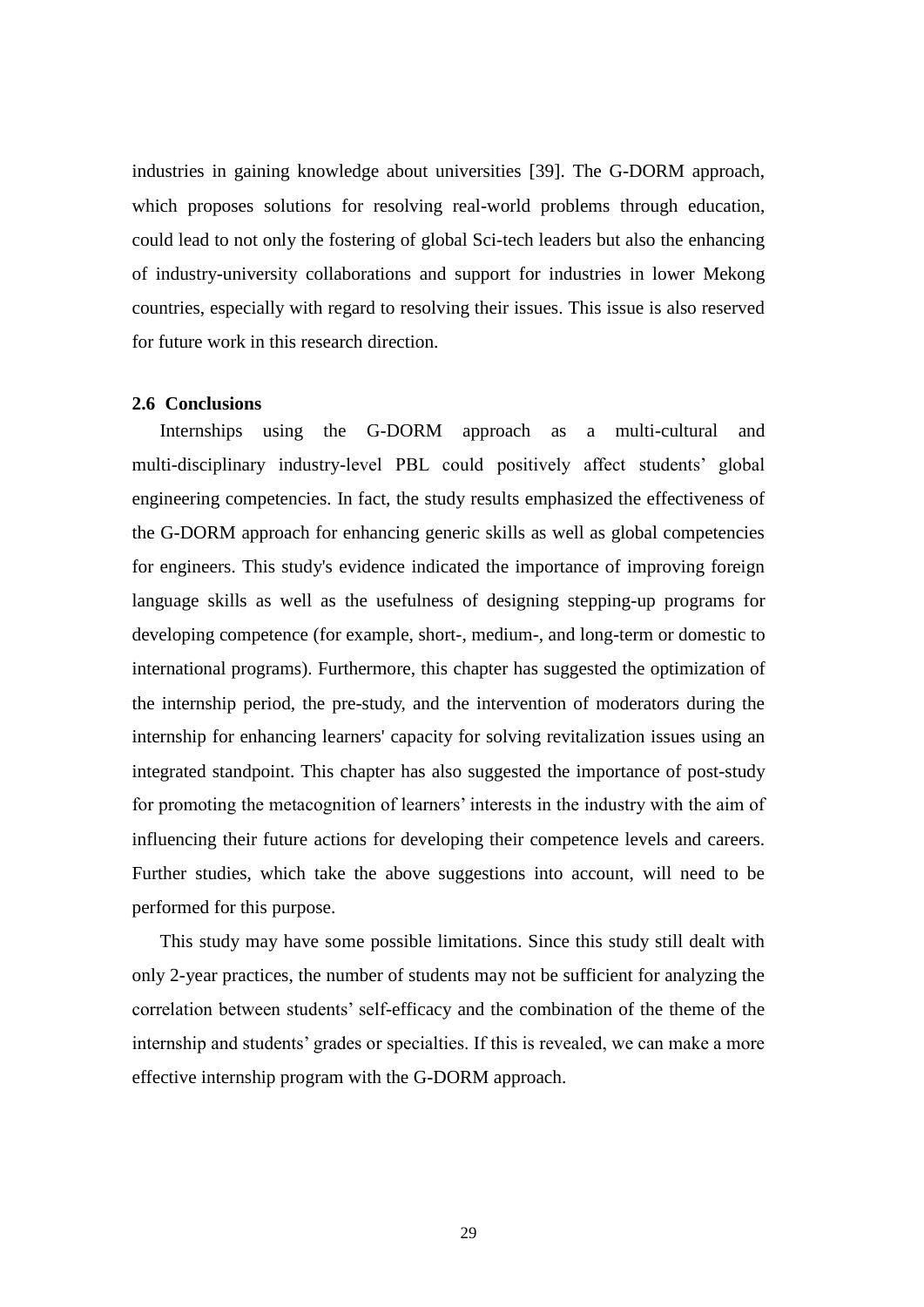industries in gaining knowledge about universities [39]. The G-DORM approach, which proposes solutions for resolving real-world problems through education, could lead to not only the fostering of global Sci-tech leaders but also the enhancing of industry-university collaborations and support for industries in lower Mekong countries, especially with regard to resolving their issues. This issue is also reserved for future work in this research direction.

## **2.6 Conclusions**

Internships using the G-DORM approach as a multi-cultural and multi-disciplinary industry-level PBL could positively affect students' global engineering competencies. In fact, the study results emphasized the effectiveness of the G-DORM approach for enhancing generic skills as well as global competencies for engineers. This study's evidence indicated the importance of improving foreign language skills as well as the usefulness of designing stepping-up programs for developing competence (for example, short-, medium-, and long-term or domestic to international programs). Furthermore, this chapter has suggested the optimization of the internship period, the pre-study, and the intervention of moderators during the internship for enhancing learners' capacity for solving revitalization issues using an integrated standpoint. This chapter has also suggested the importance of post-study for promoting the metacognition of learners' interests in the industry with the aim of influencing their future actions for developing their competence levels and careers. Further studies, which take the above suggestions into account, will need to be performed for this purpose.

This study may have some possible limitations. Since this study still dealt with only 2-year practices, the number of students may not be sufficient for analyzing the correlation between students' self-efficacy and the combination of the theme of the internship and students' grades or specialties. If this is revealed, we can make a more effective internship program with the G-DORM approach.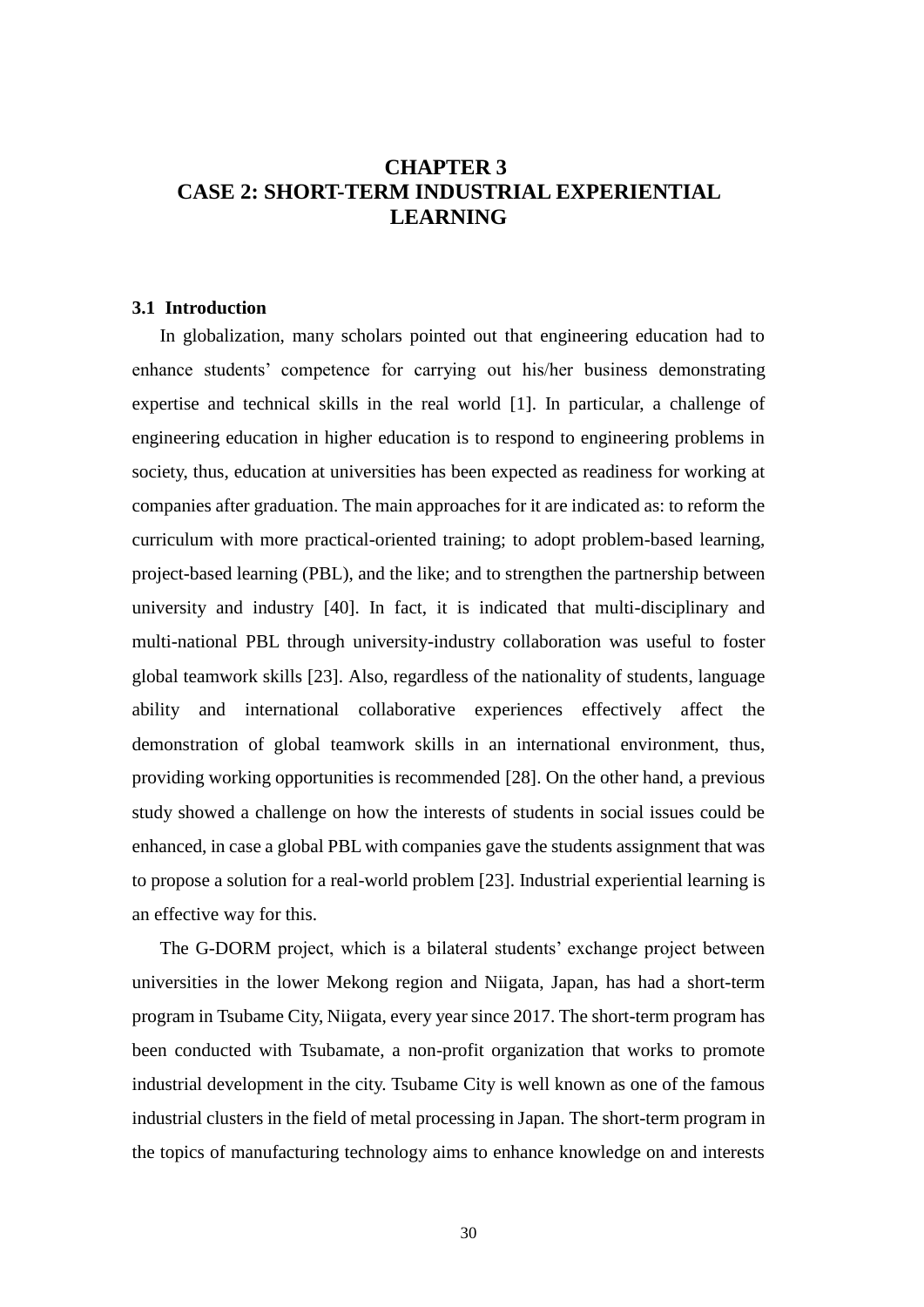# **CHAPTER 3 CASE 2: SHORT-TERM INDUSTRIAL EXPERIENTIAL LEARNING**

#### **3.1 Introduction**

In globalization, many scholars pointed out that engineering education had to enhance students' competence for carrying out his/her business demonstrating expertise and technical skills in the real world [1]. In particular, a challenge of engineering education in higher education is to respond to engineering problems in society, thus, education at universities has been expected as readiness for working at companies after graduation. The main approaches for it are indicated as: to reform the curriculum with more practical-oriented training; to adopt problem-based learning, project-based learning (PBL), and the like; and to strengthen the partnership between university and industry [40]. In fact, it is indicated that multi-disciplinary and multi-national PBL through university-industry collaboration was useful to foster global teamwork skills [23]. Also, regardless of the nationality of students, language ability and international collaborative experiences effectively affect the demonstration of global teamwork skills in an international environment, thus, providing working opportunities is recommended [28]. On the other hand, a previous study showed a challenge on how the interests of students in social issues could be enhanced, in case a global PBL with companies gave the students assignment that was to propose a solution for a real-world problem [23]. Industrial experiential learning is an effective way for this.

The G-DORM project, which is a bilateral students' exchange project between universities in the lower Mekong region and Niigata, Japan, has had a short-term program in Tsubame City, Niigata, every year since 2017. The short-term program has been conducted with Tsubamate, a non-profit organization that works to promote industrial development in the city. Tsubame City is well known as one of the famous industrial clusters in the field of metal processing in Japan. The short-term program in the topics of manufacturing technology aims to enhance knowledge on and interests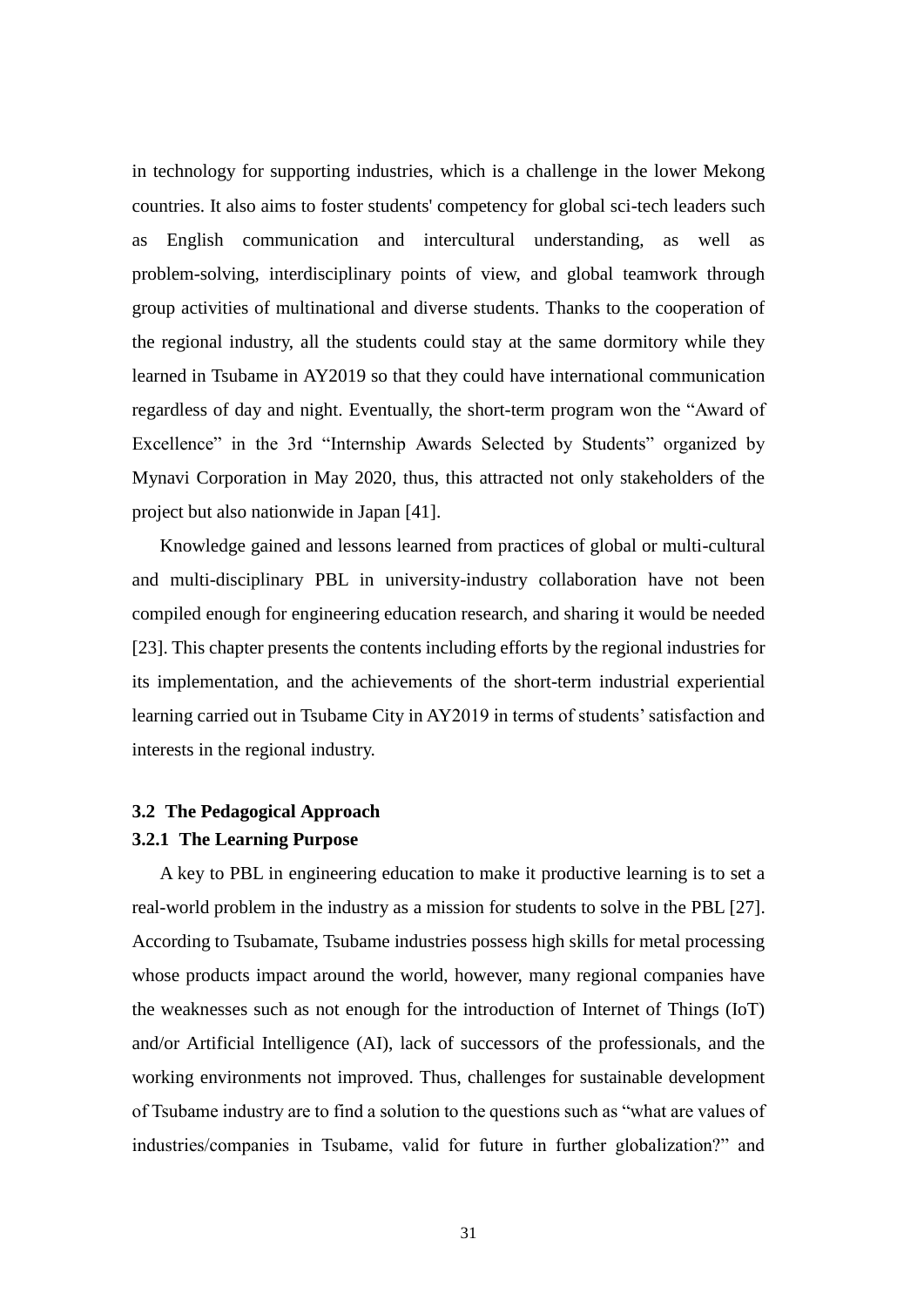in technology for supporting industries, which is a challenge in the lower Mekong countries. It also aims to foster students' competency for global sci-tech leaders such as English communication and intercultural understanding, as well as problem-solving, interdisciplinary points of view, and global teamwork through group activities of multinational and diverse students. Thanks to the cooperation of the regional industry, all the students could stay at the same dormitory while they learned in Tsubame in AY2019 so that they could have international communication regardless of day and night. Eventually, the short-term program won the "Award of Excellence" in the 3rd "Internship Awards Selected by Students" organized by Mynavi Corporation in May 2020, thus, this attracted not only stakeholders of the project but also nationwide in Japan [41].

Knowledge gained and lessons learned from practices of global or multi-cultural and multi-disciplinary PBL in university-industry collaboration have not been compiled enough for engineering education research, and sharing it would be needed [23]. This chapter presents the contents including efforts by the regional industries for its implementation, and the achievements of the short-term industrial experiential learning carried out in Tsubame City in AY2019 in terms of students' satisfaction and interests in the regional industry.

## **3.2 The Pedagogical Approach**

## **3.2.1 The Learning Purpose**

A key to PBL in engineering education to make it productive learning is to set a real-world problem in the industry as a mission for students to solve in the PBL [27]. According to Tsubamate, Tsubame industries possess high skills for metal processing whose products impact around the world, however, many regional companies have the weaknesses such as not enough for the introduction of Internet of Things (IoT) and/or Artificial Intelligence (AI), lack of successors of the professionals, and the working environments not improved. Thus, challenges for sustainable development of Tsubame industry are to find a solution to the questions such as "what are values of industries/companies in Tsubame, valid for future in further globalization?" and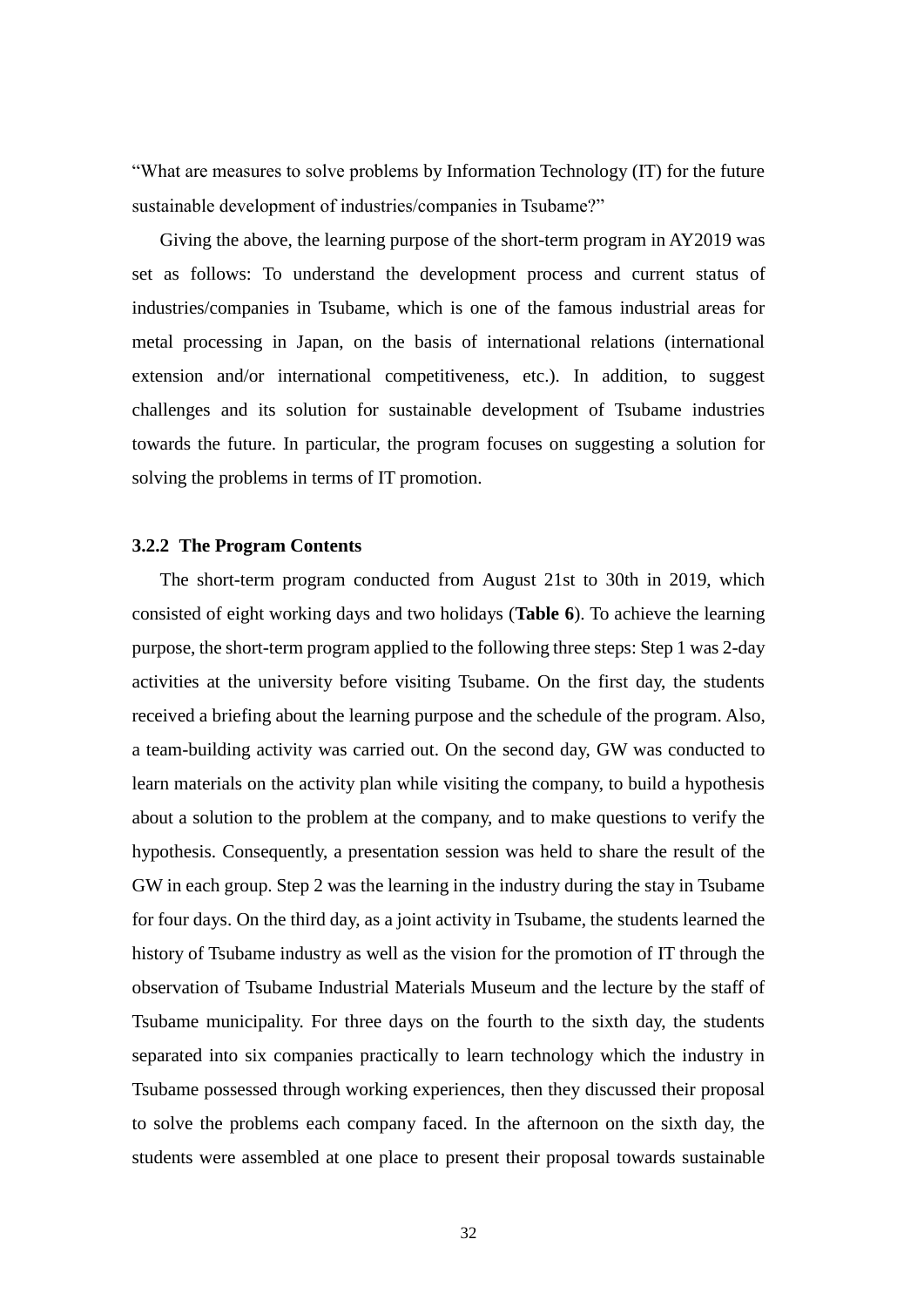"What are measures to solve problems by Information Technology (IT) for the future sustainable development of industries/companies in Tsubame?"

Giving the above, the learning purpose of the short-term program in AY2019 was set as follows: To understand the development process and current status of industries/companies in Tsubame, which is one of the famous industrial areas for metal processing in Japan, on the basis of international relations (international extension and/or international competitiveness, etc.). In addition, to suggest challenges and its solution for sustainable development of Tsubame industries towards the future. In particular, the program focuses on suggesting a solution for solving the problems in terms of IT promotion.

#### **3.2.2 The Program Contents**

The short-term program conducted from August 21st to 30th in 2019, which consisted of eight working days and two holidays (**[Table 6](#page-42-0)**). To achieve the learning purpose, the short-term program applied to the following three steps: Step 1 was 2-day activities at the university before visiting Tsubame. On the first day, the students received a briefing about the learning purpose and the schedule of the program. Also, a team-building activity was carried out. On the second day, GW was conducted to learn materials on the activity plan while visiting the company, to build a hypothesis about a solution to the problem at the company, and to make questions to verify the hypothesis. Consequently, a presentation session was held to share the result of the GW in each group. Step 2 was the learning in the industry during the stay in Tsubame for four days. On the third day, as a joint activity in Tsubame, the students learned the history of Tsubame industry as well as the vision for the promotion of IT through the observation of Tsubame Industrial Materials Museum and the lecture by the staff of Tsubame municipality. For three days on the fourth to the sixth day, the students separated into six companies practically to learn technology which the industry in Tsubame possessed through working experiences, then they discussed their proposal to solve the problems each company faced. In the afternoon on the sixth day, the students were assembled at one place to present their proposal towards sustainable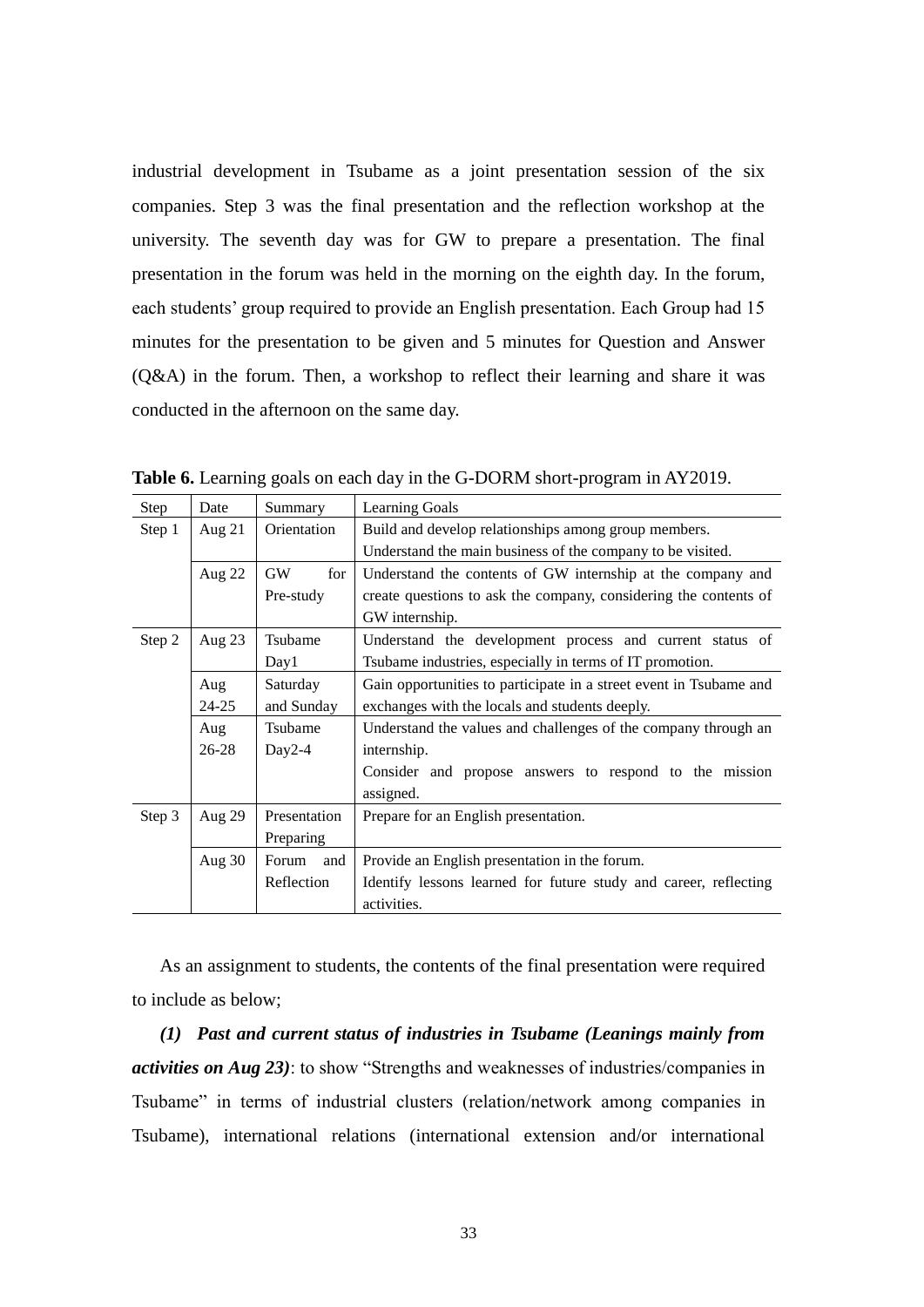industrial development in Tsubame as a joint presentation session of the six companies. Step 3 was the final presentation and the reflection workshop at the university. The seventh day was for GW to prepare a presentation. The final presentation in the forum was held in the morning on the eighth day. In the forum, each students' group required to provide an English presentation. Each Group had 15 minutes for the presentation to be given and 5 minutes for Question and Answer (Q&A) in the forum. Then, a workshop to reflect their learning and share it was conducted in the afternoon on the same day.

| Step   | Date      | Summary          | Learning Goals                                                     |
|--------|-----------|------------------|--------------------------------------------------------------------|
| Step 1 | Aug $21$  | Orientation      | Build and develop relationships among group members.               |
|        |           |                  | Understand the main business of the company to be visited.         |
|        | Aug $22$  | <b>GW</b><br>for | Understand the contents of GW internship at the company and        |
|        |           | Pre-study        | create questions to ask the company, considering the contents of   |
|        |           |                  | GW internship.                                                     |
| Step 2 | Aug $23$  | Tsubame          | Understand the development process and current status of           |
|        |           | Day1             | Tsubame industries, especially in terms of IT promotion.           |
|        | Aug       | Saturday         | Gain opportunities to participate in a street event in Tsubame and |
|        | $24 - 25$ | and Sunday       | exchanges with the locals and students deeply.                     |
|        | Aug       | Tsubame          | Understand the values and challenges of the company through an     |
|        | $26 - 28$ | $Day2-4$         | internship.                                                        |
|        |           |                  | Consider and propose answers to respond to the mission             |
|        |           |                  | assigned.                                                          |
| Step 3 | Aug 29    | Presentation     | Prepare for an English presentation.                               |
|        |           | Preparing        |                                                                    |
|        | Aug $30$  | Forum<br>and     | Provide an English presentation in the forum.                      |
|        |           | Reflection       | Identify lessons learned for future study and career, reflecting   |
|        |           |                  | activities.                                                        |

<span id="page-42-0"></span>**Table 6.** Learning goals on each day in the G-DORM short-program in AY2019.

As an assignment to students, the contents of the final presentation were required to include as below;

*(1) Past and current status of industries in Tsubame (Leanings mainly from activities on Aug 23)*: to show "Strengths and weaknesses of industries/companies in Tsubame" in terms of industrial clusters (relation/network among companies in Tsubame), international relations (international extension and/or international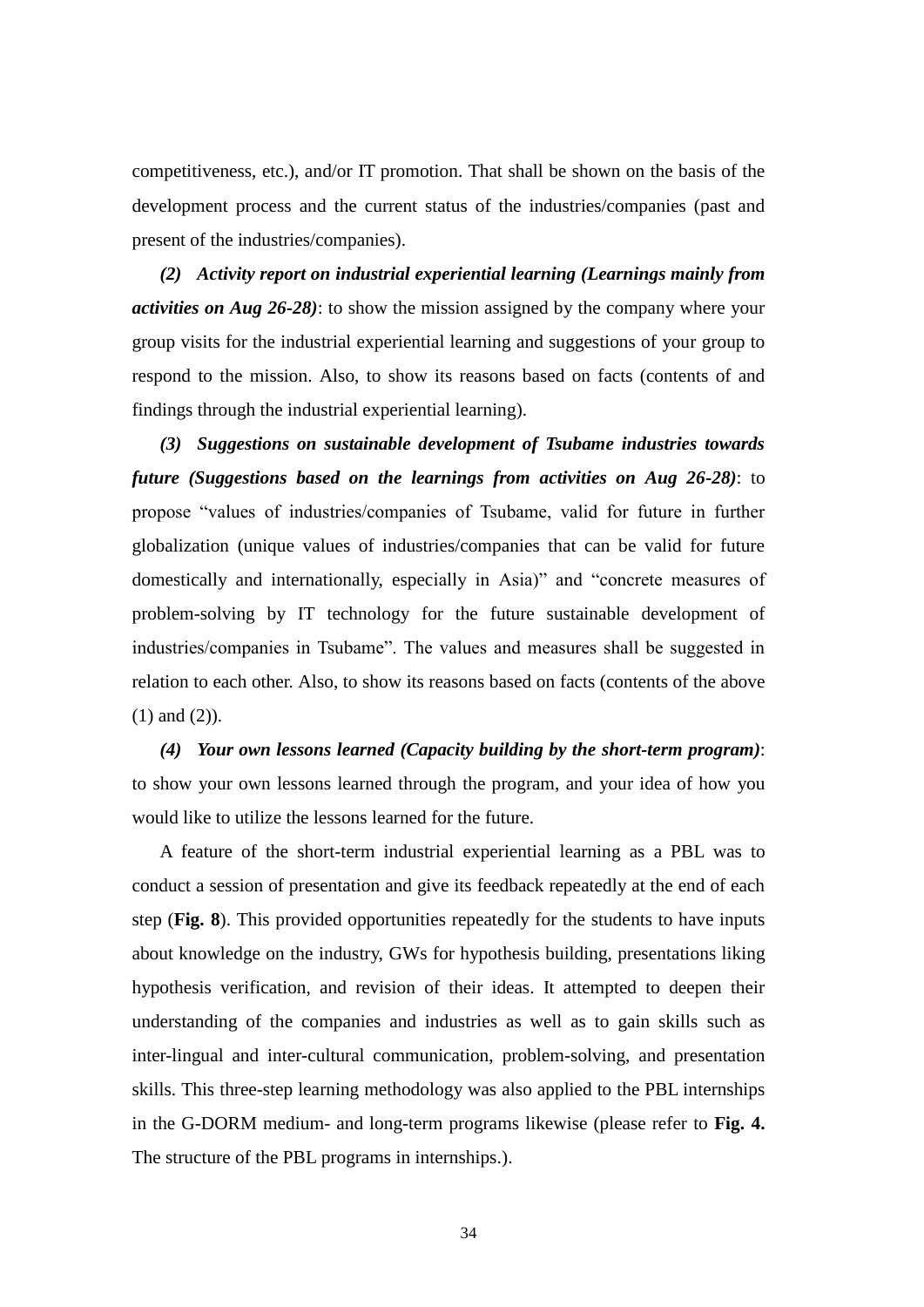competitiveness, etc.), and/or IT promotion. That shall be shown on the basis of the development process and the current status of the industries/companies (past and present of the industries/companies).

*(2) Activity report on industrial experiential learning (Learnings mainly from activities on Aug 26-28)*: to show the mission assigned by the company where your group visits for the industrial experiential learning and suggestions of your group to respond to the mission. Also, to show its reasons based on facts (contents of and findings through the industrial experiential learning).

*(3) Suggestions on sustainable development of Tsubame industries towards future (Suggestions based on the learnings from activities on Aug 26-28)*: to propose "values of industries/companies of Tsubame, valid for future in further globalization (unique values of industries/companies that can be valid for future domestically and internationally, especially in Asia)" and "concrete measures of problem-solving by IT technology for the future sustainable development of industries/companies in Tsubame". The values and measures shall be suggested in relation to each other. Also, to show its reasons based on facts (contents of the above (1) and (2)).

*(4) Your own lessons learned (Capacity building by the short-term program)*: to show your own lessons learned through the program, and your idea of how you would like to utilize the lessons learned for the future.

A feature of the short-term industrial experiential learning as a PBL was to conduct a session of presentation and give its feedback repeatedly at the end of each step (**[Fig. 8](#page-44-0)**). This provided opportunities repeatedly for the students to have inputs about knowledge on the industry, GWs for hypothesis building, presentations liking hypothesis verification, and revision of their ideas. It attempted to deepen their understanding of the companies and industries as well as to gain skills such as inter-lingual and inter-cultural communication, problem-solving, and presentation skills. This three-step learning methodology was also applied to the PBL internships in the G-DORM medium- and long-term programs likewise (please refer to **[Fig. 4.](#page-21-0)** [The structure of the PBL programs in internships.\)](#page-21-0).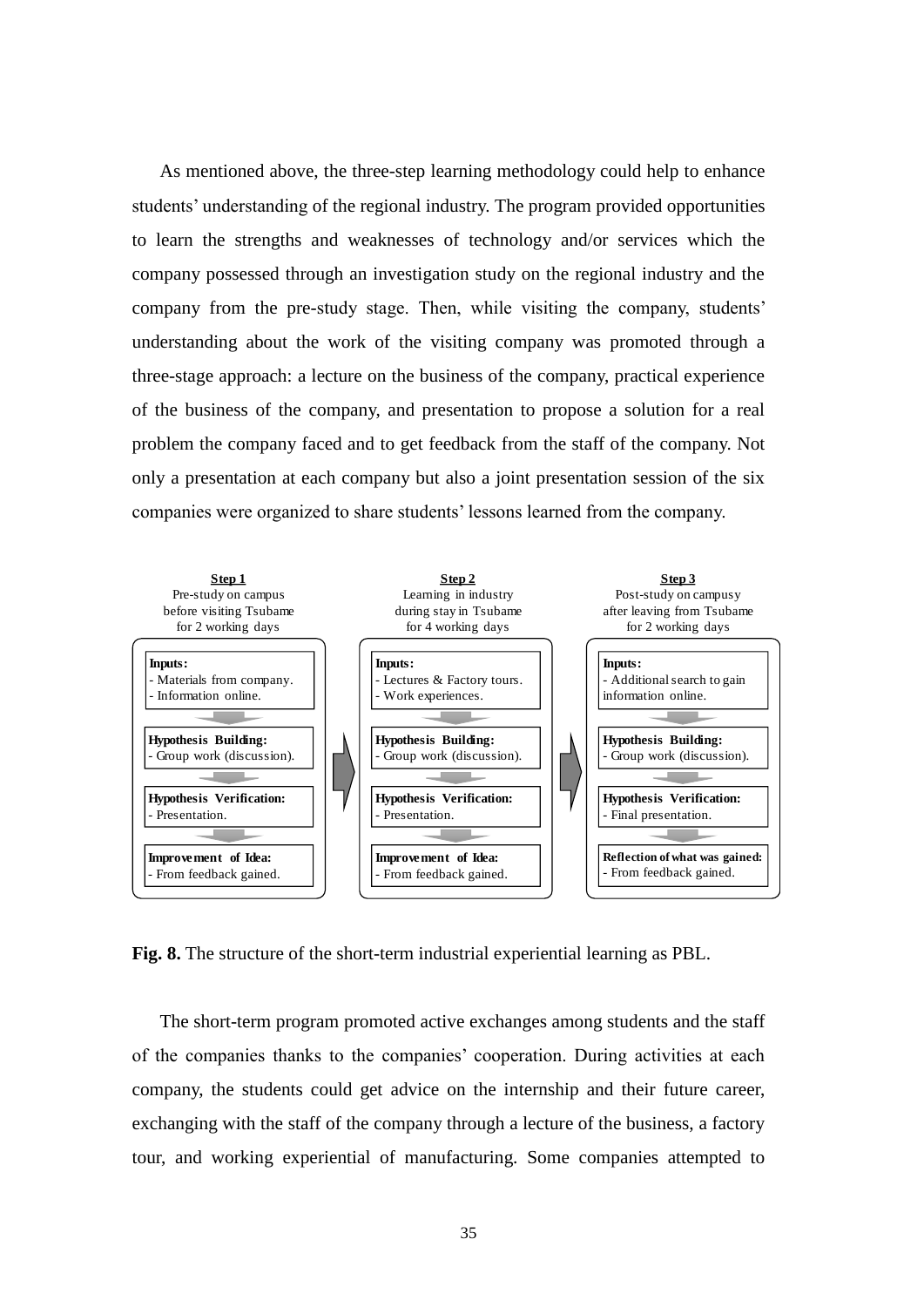As mentioned above, the three-step learning methodology could help to enhance students' understanding of the regional industry. The program provided opportunities to learn the strengths and weaknesses of technology and/or services which the company possessed through an investigation study on the regional industry and the company from the pre-study stage. Then, while visiting the company, students' understanding about the work of the visiting company was promoted through a three-stage approach: a lecture on the business of the company, practical experience of the business of the company, and presentation to propose a solution for a real problem the company faced and to get feedback from the staff of the company. Not only a presentation at each company but also a joint presentation session of the six companies were organized to share students' lessons learned from the company.



<span id="page-44-0"></span>**Fig. 8.** The structure of the short-term industrial experiential learning as PBL.

The short-term program promoted active exchanges among students and the staff of the companies thanks to the companies' cooperation. During activities at each company, the students could get advice on the internship and their future career, exchanging with the staff of the company through a lecture of the business, a factory tour, and working experiential of manufacturing. Some companies attempted to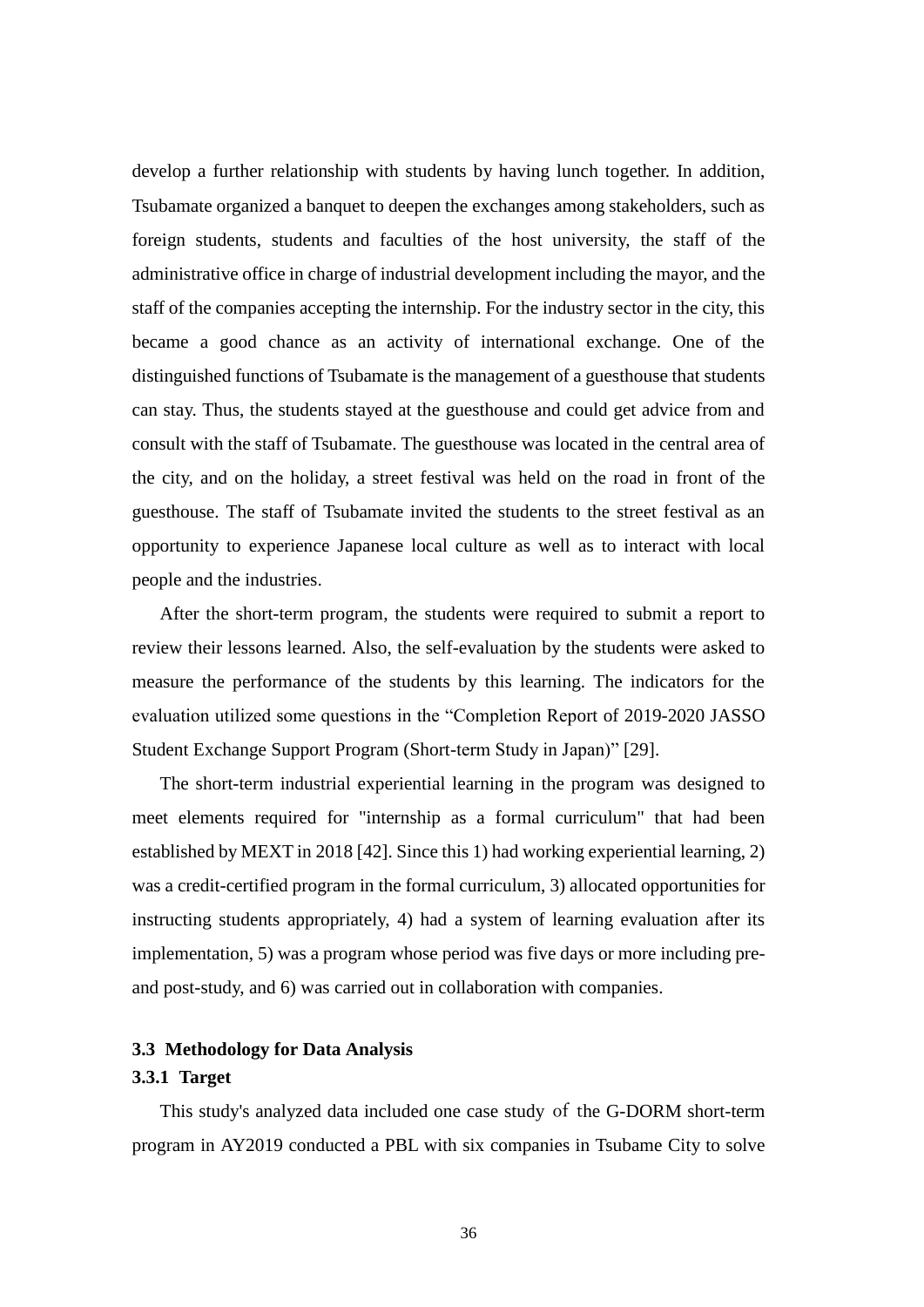develop a further relationship with students by having lunch together. In addition, Tsubamate organized a banquet to deepen the exchanges among stakeholders, such as foreign students, students and faculties of the host university, the staff of the administrative office in charge of industrial development including the mayor, and the staff of the companies accepting the internship. For the industry sector in the city, this became a good chance as an activity of international exchange. One of the distinguished functions of Tsubamate is the management of a guesthouse that students can stay. Thus, the students stayed at the guesthouse and could get advice from and consult with the staff of Tsubamate. The guesthouse was located in the central area of the city, and on the holiday, a street festival was held on the road in front of the guesthouse. The staff of Tsubamate invited the students to the street festival as an opportunity to experience Japanese local culture as well as to interact with local people and the industries.

After the short-term program, the students were required to submit a report to review their lessons learned. Also, the self-evaluation by the students were asked to measure the performance of the students by this learning. The indicators for the evaluation utilized some questions in the "Completion Report of 2019-2020 JASSO Student Exchange Support Program (Short-term Study in Japan)" [29].

The short-term industrial experiential learning in the program was designed to meet elements required for "internship as a formal curriculum" that had been established by MEXT in 2018 [42]. Since this 1) had working experiential learning, 2) was a credit-certified program in the formal curriculum, 3) allocated opportunities for instructing students appropriately, 4) had a system of learning evaluation after its implementation, 5) was a program whose period was five days or more including preand post-study, and 6) was carried out in collaboration with companies.

## **3.3 Methodology for Data Analysis**

### **3.3.1 Target**

This study's analyzed data included one case study of the G-DORM short-term program in AY2019 conducted a PBL with six companies in Tsubame City to solve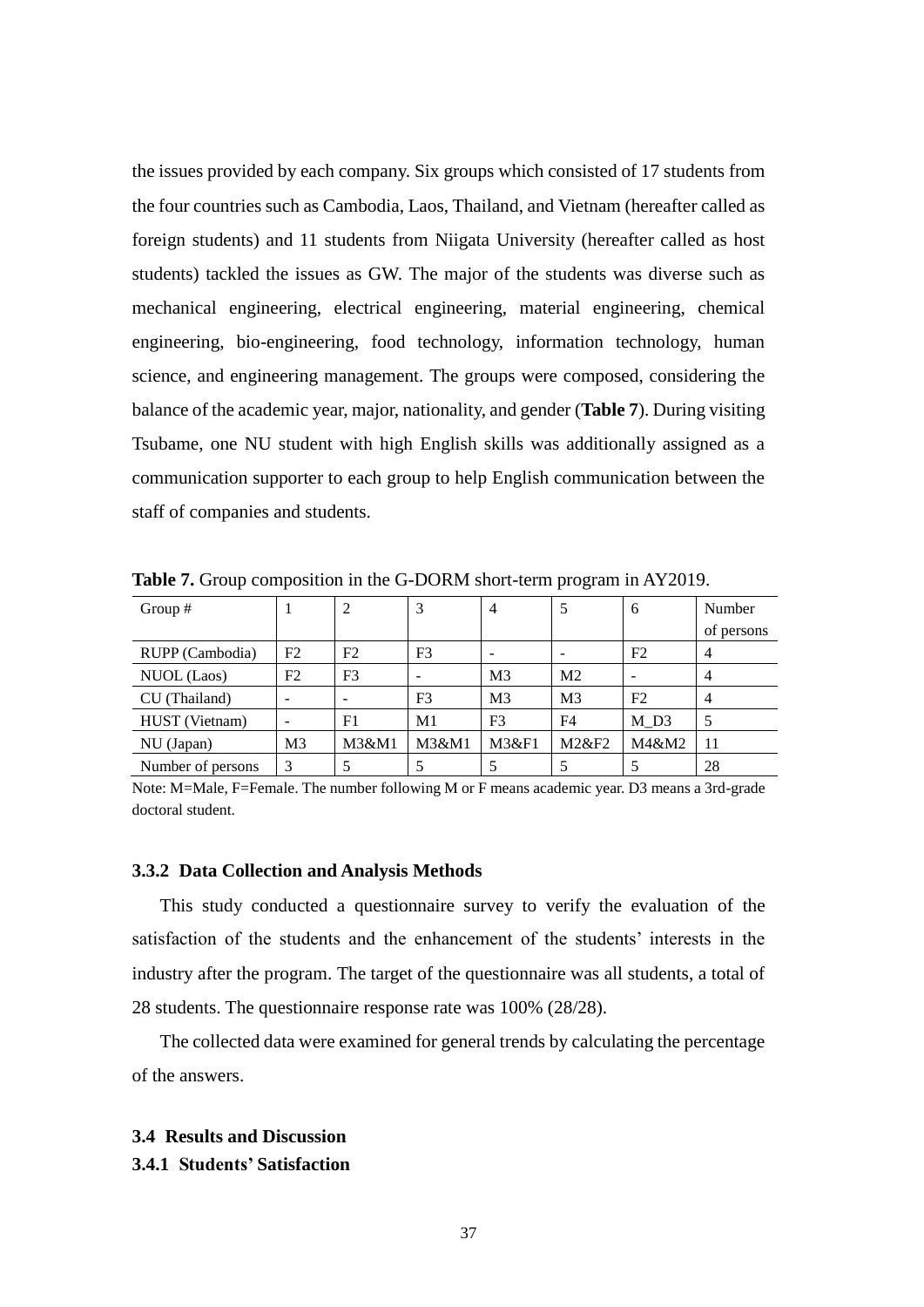the issues provided by each company. Six groups which consisted of 17 students from the four countries such as Cambodia, Laos, Thailand, and Vietnam (hereafter called as foreign students) and 11 students from Niigata University (hereafter called as host students) tackled the issues as GW. The major of the students was diverse such as mechanical engineering, electrical engineering, material engineering, chemical engineering, bio-engineering, food technology, information technology, human science, and engineering management. The groups were composed, considering the balance of the academic year, major, nationality, and gender (**[Table 7](#page-46-0)**). During visiting Tsubame, one NU student with high English skills was additionally assigned as a communication supporter to each group to help English communication between the staff of companies and students.

| Group $#$         |                | 2     | 3     | $\overline{4}$ | 5              | 6                | Number         |
|-------------------|----------------|-------|-------|----------------|----------------|------------------|----------------|
|                   |                |       |       |                |                |                  | of persons     |
| RUPP (Cambodia)   | F2             | F2    | F3    |                |                | F <sub>2</sub>   | $\overline{4}$ |
| NUOL (Laos)       | F2             | F3    |       | M <sub>3</sub> | M <sub>2</sub> |                  | $\overline{4}$ |
| CU (Thailand)     |                |       | F3    | M <sub>3</sub> | M <sub>3</sub> | F <sub>2</sub>   | $\overline{4}$ |
| HUST (Vietnam)    |                | F1    | M1    | F <sub>3</sub> | F <sub>4</sub> | M D <sub>3</sub> |                |
| NU (Japan)        | M <sub>3</sub> | M3&M1 | M3&M1 | M3&F1          | M2&F2          | M4&M2            | 11             |
| Number of persons | 3              |       |       |                |                |                  | 28             |

<span id="page-46-0"></span>**Table 7.** Group composition in the G-DORM short-term program in AY2019.

Note: M=Male, F=Female. The number following M or F means academic year. D3 means a 3rd-grade doctoral student.

#### **3.3.2 Data Collection and Analysis Methods**

This study conducted a questionnaire survey to verify the evaluation of the satisfaction of the students and the enhancement of the students' interests in the industry after the program. The target of the questionnaire was all students, a total of 28 students. The questionnaire response rate was 100% (28/28).

The collected data were examined for general trends by calculating the percentage of the answers.

## **3.4 Results and Discussion**

**3.4.1 Students' Satisfaction**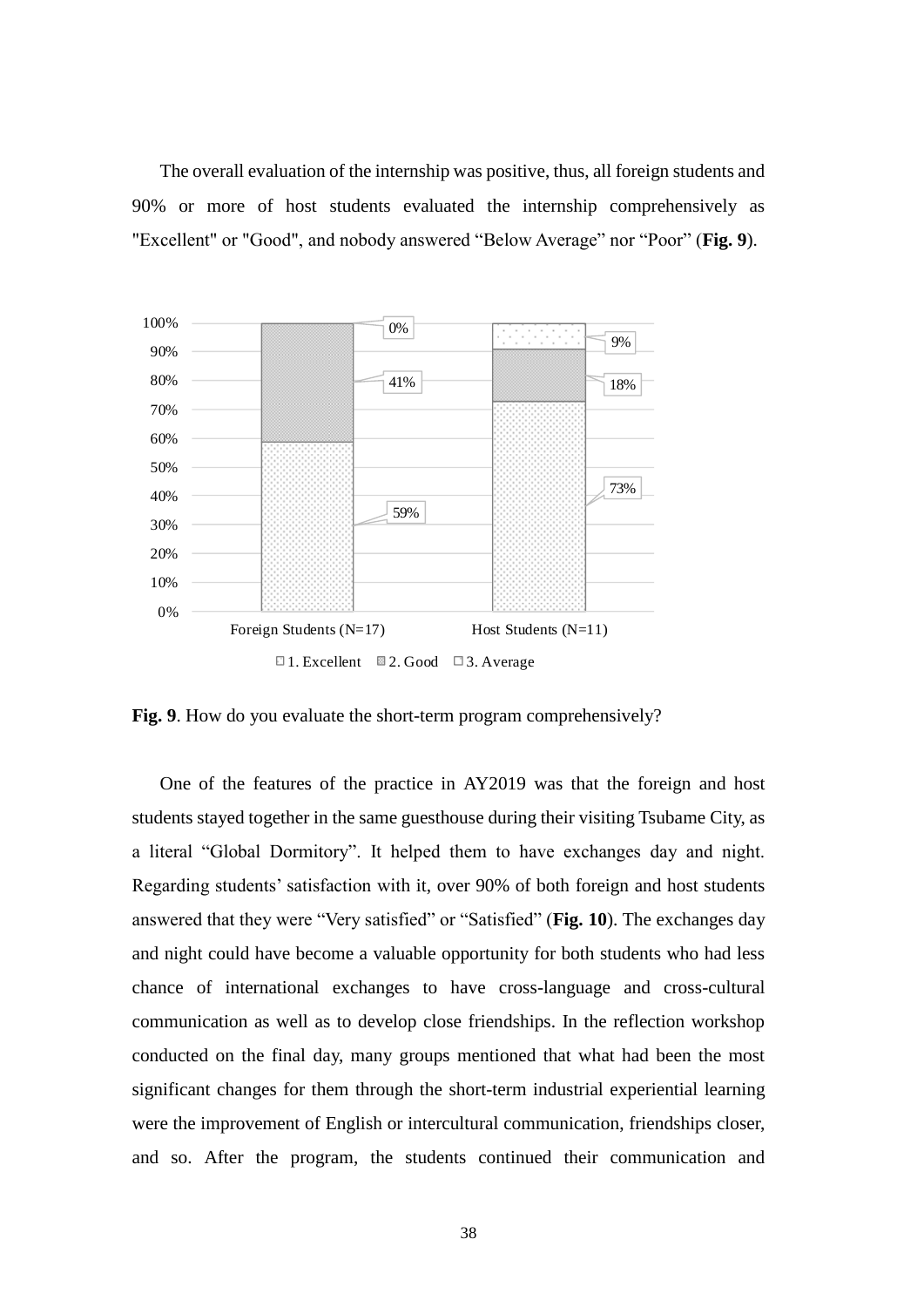The overall evaluation of the internship was positive, thus, all foreign students and 90% or more of host students evaluated the internship comprehensively as "Excellent" or "Good", and nobody answered "Below Average" nor "Poor" (**[Fig. 9](#page-47-0)**).



<span id="page-47-0"></span>**Fig. 9**. How do you evaluate the short-term program comprehensively?

One of the features of the practice in AY2019 was that the foreign and host students stayed together in the same guesthouse during their visiting Tsubame City, as a literal "Global Dormitory". It helped them to have exchanges day and night. Regarding students' satisfaction with it, over 90% of both foreign and host students answered that they were "Very satisfied" or "Satisfied" (**[Fig. 10](#page-48-0)**). The exchanges day and night could have become a valuable opportunity for both students who had less chance of international exchanges to have cross-language and cross-cultural communication as well as to develop close friendships. In the reflection workshop conducted on the final day, many groups mentioned that what had been the most significant changes for them through the short-term industrial experiential learning were the improvement of English or intercultural communication, friendships closer, and so. After the program, the students continued their communication and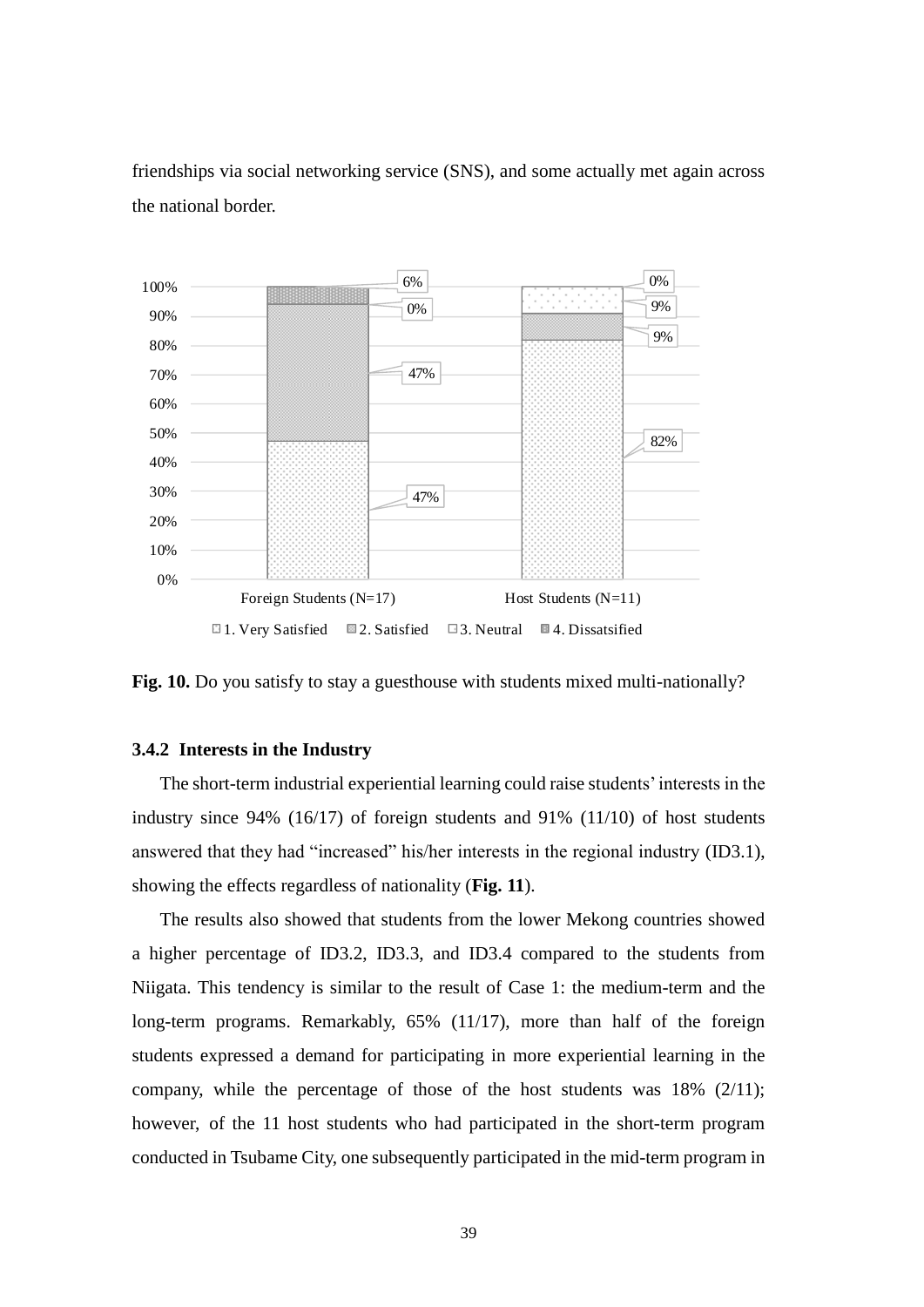friendships via social networking service (SNS), and some actually met again across the national border.



<span id="page-48-0"></span>**Fig. 10.** Do you satisfy to stay a guesthouse with students mixed multi-nationally?

#### **3.4.2 Interests in the Industry**

The short-term industrial experiential learning could raise students' interests in the industry since 94% (16/17) of foreign students and 91% (11/10) of host students answered that they had "increased" his/her interests in the regional industry (ID3.1), showing the effects regardless of nationality (**[Fig. 11](#page-49-0)**).

The results also showed that students from the lower Mekong countries showed a higher percentage of ID3.2, ID3.3, and ID3.4 compared to the students from Niigata. This tendency is similar to the result of Case 1: the medium-term and the long-term programs. Remarkably, 65% (11/17), more than half of the foreign students expressed a demand for participating in more experiential learning in the company, while the percentage of those of the host students was 18% (2/11); however, of the 11 host students who had participated in the short-term program conducted in Tsubame City, one subsequently participated in the mid-term program in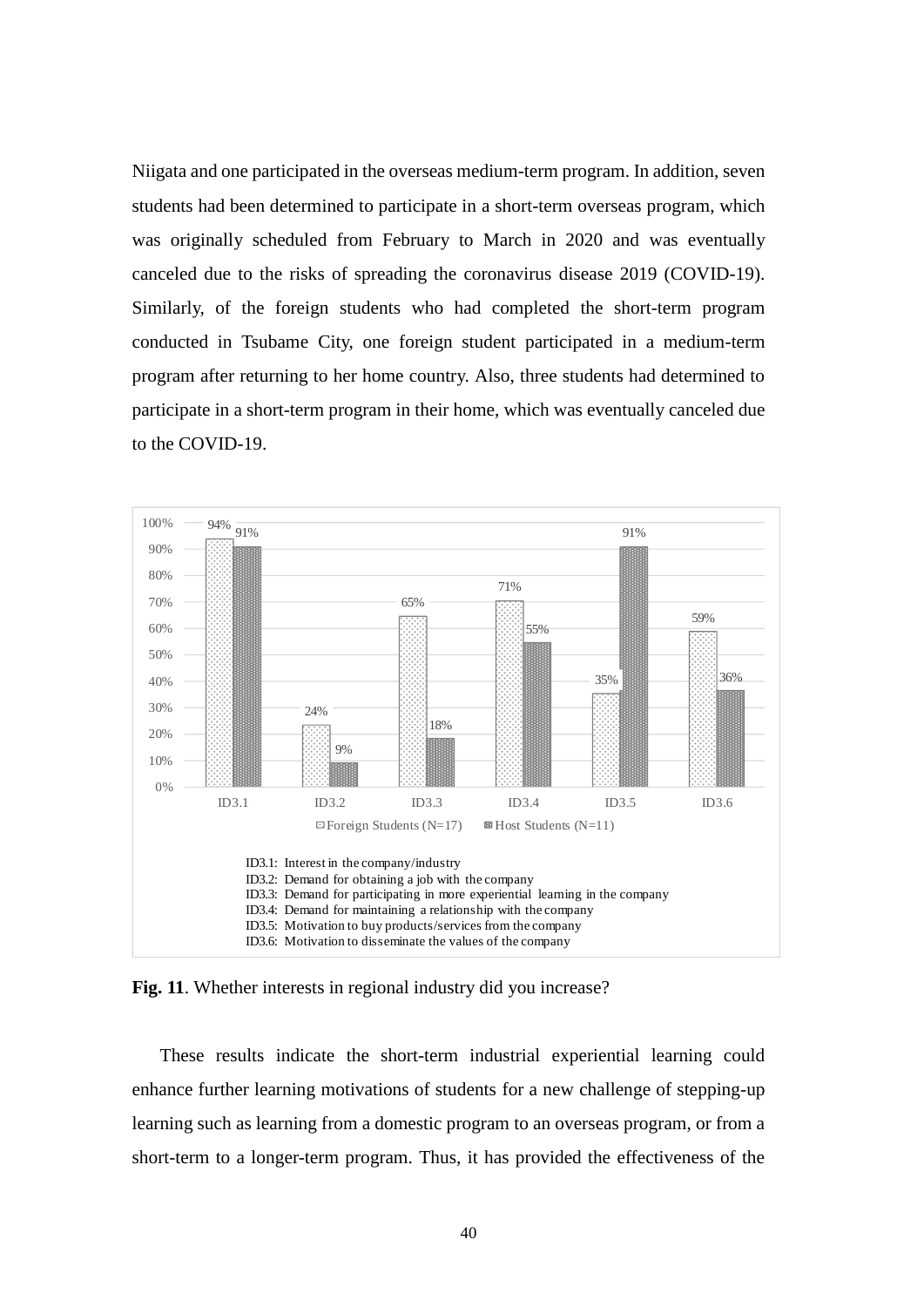Niigata and one participated in the overseas medium-term program. In addition, seven students had been determined to participate in a short-term overseas program, which was originally scheduled from February to March in 2020 and was eventually canceled due to the risks of spreading the coronavirus disease 2019 (COVID-19). Similarly, of the foreign students who had completed the short-term program conducted in Tsubame City, one foreign student participated in a medium-term program after returning to her home country. Also, three students had determined to participate in a short-term program in their home, which was eventually canceled due to the COVID-19.



<span id="page-49-0"></span>**Fig. 11**. Whether interests in regional industry did you increase?

These results indicate the short-term industrial experiential learning could enhance further learning motivations of students for a new challenge of stepping-up learning such as learning from a domestic program to an overseas program, or from a short-term to a longer-term program. Thus, it has provided the effectiveness of the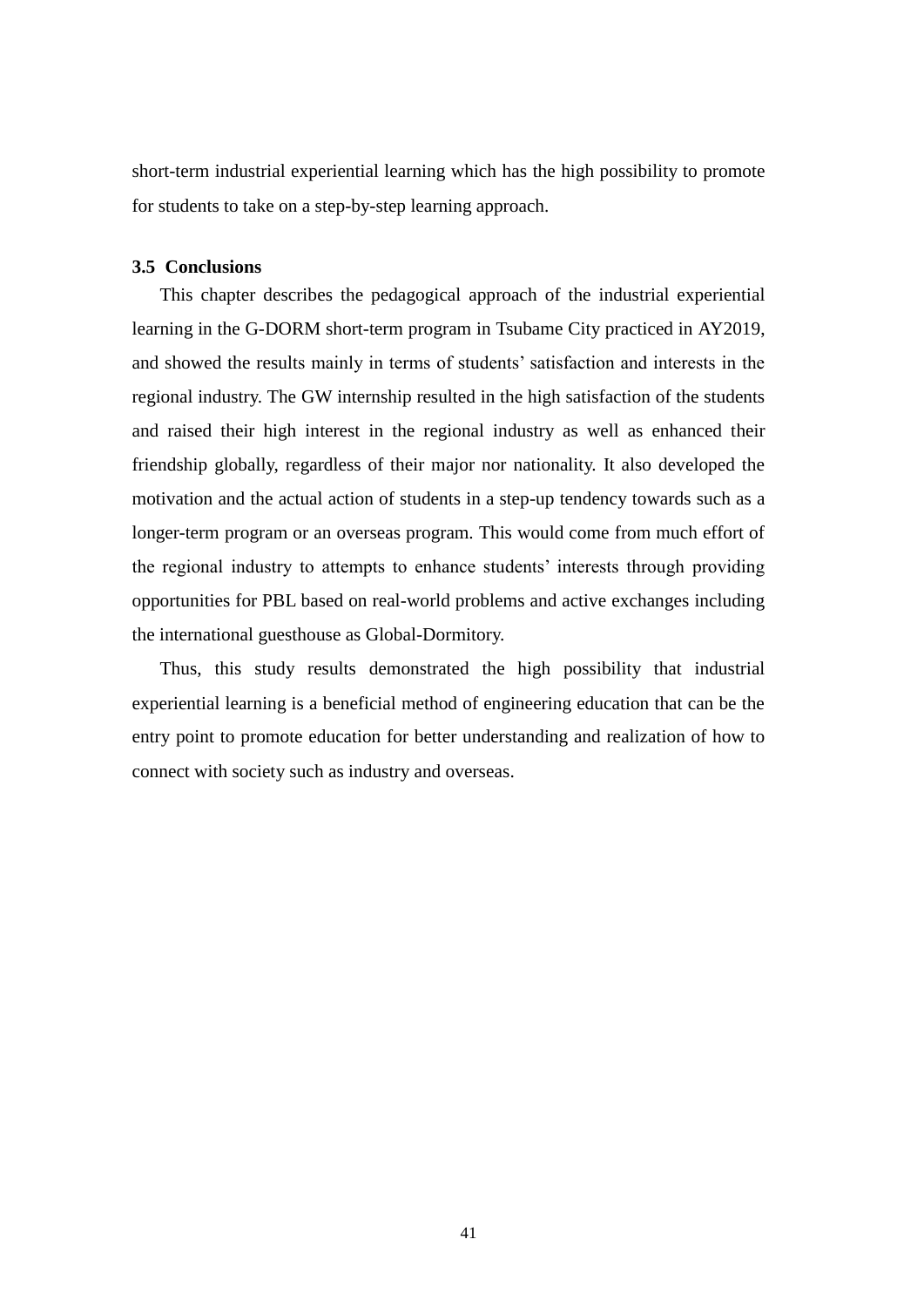short-term industrial experiential learning which has the high possibility to promote for students to take on a step-by-step learning approach.

## **3.5 Conclusions**

This chapter describes the pedagogical approach of the industrial experiential learning in the G-DORM short-term program in Tsubame City practiced in AY2019, and showed the results mainly in terms of students' satisfaction and interests in the regional industry. The GW internship resulted in the high satisfaction of the students and raised their high interest in the regional industry as well as enhanced their friendship globally, regardless of their major nor nationality. It also developed the motivation and the actual action of students in a step-up tendency towards such as a longer-term program or an overseas program. This would come from much effort of the regional industry to attempts to enhance students' interests through providing opportunities for PBL based on real-world problems and active exchanges including the international guesthouse as Global-Dormitory.

Thus, this study results demonstrated the high possibility that industrial experiential learning is a beneficial method of engineering education that can be the entry point to promote education for better understanding and realization of how to connect with society such as industry and overseas.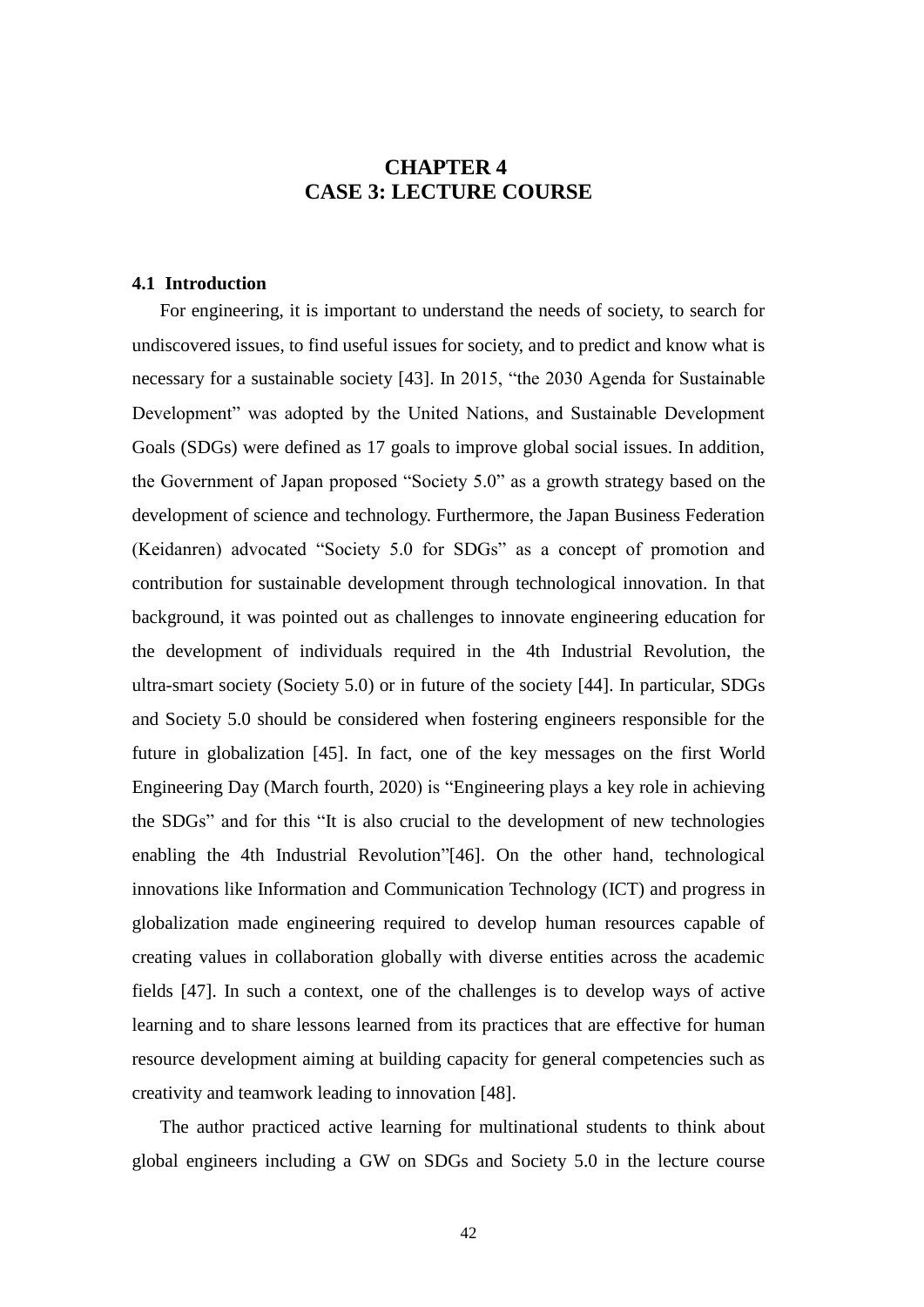# **CHAPTER 4 CASE 3: LECTURE COURSE**

#### **4.1 Introduction**

For engineering, it is important to understand the needs of society, to search for undiscovered issues, to find useful issues for society, and to predict and know what is necessary for a sustainable society [43]. In 2015, "the 2030 Agenda for Sustainable Development" was adopted by the United Nations, and Sustainable Development Goals (SDGs) were defined as 17 goals to improve global social issues. In addition, the Government of Japan proposed "Society 5.0" as a growth strategy based on the development of science and technology. Furthermore, the Japan Business Federation (Keidanren) advocated "Society 5.0 for SDGs" as a concept of promotion and contribution for sustainable development through technological innovation. In that background, it was pointed out as challenges to innovate engineering education for the development of individuals required in the 4th Industrial Revolution, the ultra-smart society (Society 5.0) or in future of the society [44]. In particular, SDGs and Society 5.0 should be considered when fostering engineers responsible for the future in globalization [45]. In fact, one of the key messages on the first World Engineering Day (March fourth, 2020) is "Engineering plays a key role in achieving the SDGs" and for this "It is also crucial to the development of new technologies enabling the 4th Industrial Revolution"[46]. On the other hand, technological innovations like Information and Communication Technology (ICT) and progress in globalization made engineering required to develop human resources capable of creating values in collaboration globally with diverse entities across the academic fields [47]. In such a context, one of the challenges is to develop ways of active learning and to share lessons learned from its practices that are effective for human resource development aiming at building capacity for general competencies such as creativity and teamwork leading to innovation [48].

The author practiced active learning for multinational students to think about global engineers including a GW on SDGs and Society 5.0 in the lecture course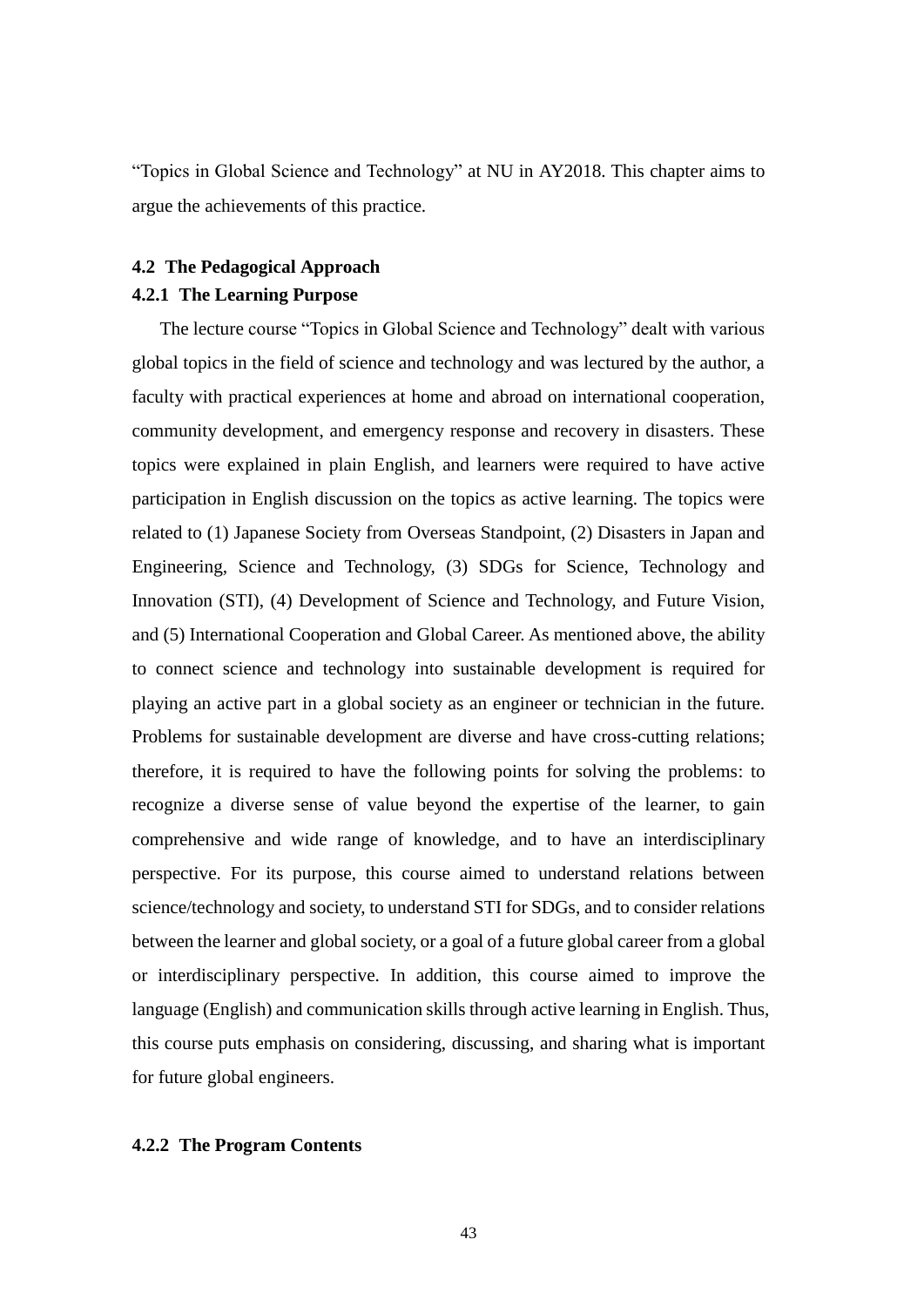"Topics in Global Science and Technology" at NU in AY2018. This chapter aims to argue the achievements of this practice.

# **4.2 The Pedagogical Approach**

# **4.2.1 The Learning Purpose**

The lecture course "Topics in Global Science and Technology" dealt with various global topics in the field of science and technology and was lectured by the author, a faculty with practical experiences at home and abroad on international cooperation, community development, and emergency response and recovery in disasters. These topics were explained in plain English, and learners were required to have active participation in English discussion on the topics as active learning. The topics were related to (1) Japanese Society from Overseas Standpoint, (2) Disasters in Japan and Engineering, Science and Technology, (3) SDGs for Science, Technology and Innovation (STI), (4) Development of Science and Technology, and Future Vision, and (5) International Cooperation and Global Career. As mentioned above, the ability to connect science and technology into sustainable development is required for playing an active part in a global society as an engineer or technician in the future. Problems for sustainable development are diverse and have cross-cutting relations; therefore, it is required to have the following points for solving the problems: to recognize a diverse sense of value beyond the expertise of the learner, to gain comprehensive and wide range of knowledge, and to have an interdisciplinary perspective. For its purpose, this course aimed to understand relations between science/technology and society, to understand STI for SDGs, and to consider relations between the learner and global society, or a goal of a future global career from a global or interdisciplinary perspective. In addition, this course aimed to improve the language (English) and communication skills through active learning in English. Thus, this course puts emphasis on considering, discussing, and sharing what is important for future global engineers.

#### **4.2.2 The Program Contents**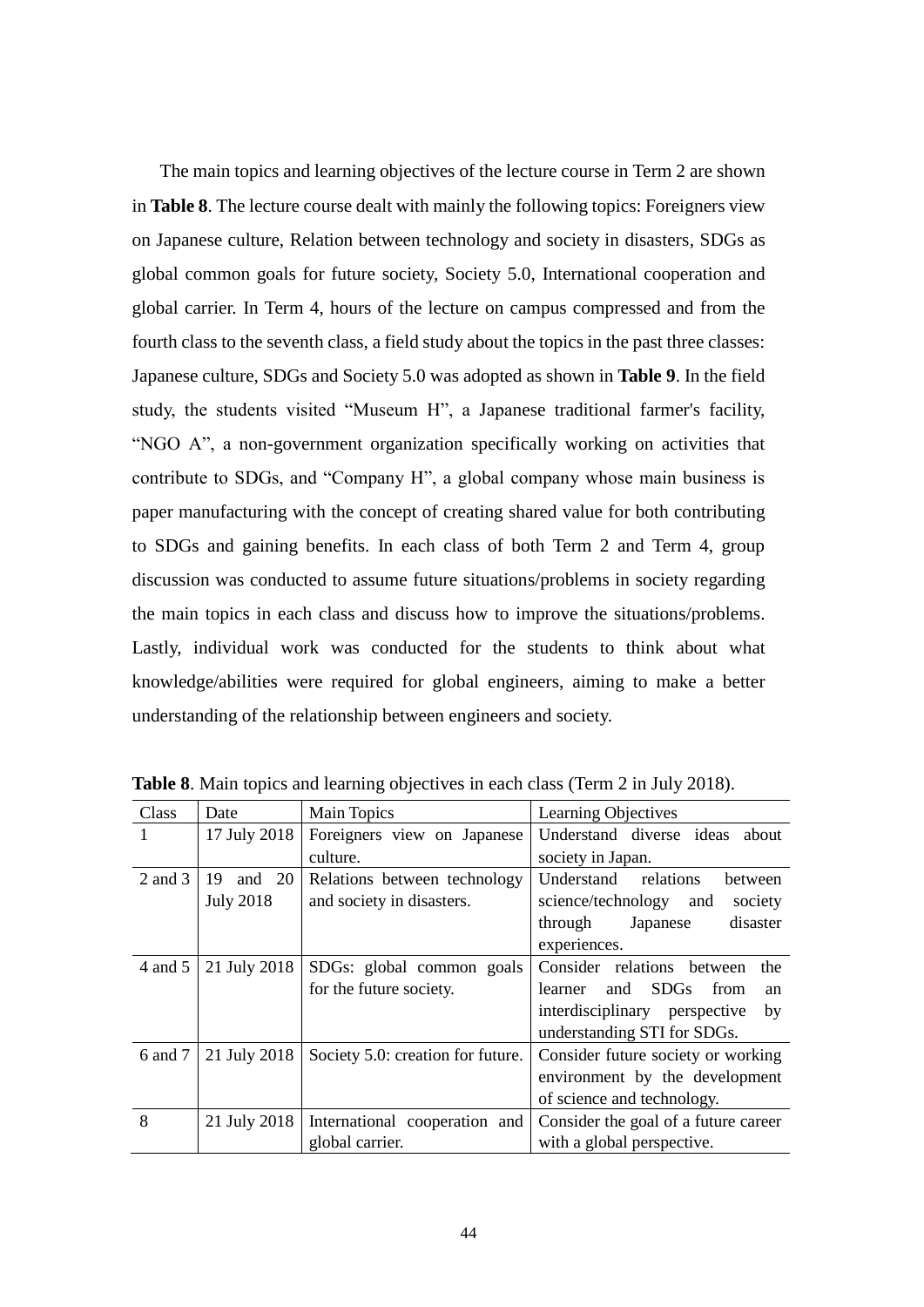The main topics and learning objectives of the lecture course in Term 2 are shown in **[Table 8](#page-53-0)**. The lecture course dealt with mainly the following topics: Foreigners view on Japanese culture, Relation between technology and society in disasters, SDGs as global common goals for future society, Society 5.0, International cooperation and global carrier. In Term 4, hours of the lecture on campus compressed and from the fourth class to the seventh class, a field study about the topics in the past three classes: Japanese culture, SDGs and Society 5.0 was adopted as shown in **[Table 9](#page-54-0)**. In the field study, the students visited "Museum H", a Japanese traditional farmer's facility, "NGO A", a non-government organization specifically working on activities that contribute to SDGs, and "Company H", a global company whose main business is paper manufacturing with the concept of creating shared value for both contributing to SDGs and gaining benefits. In each class of both Term 2 and Term 4, group discussion was conducted to assume future situations/problems in society regarding the main topics in each class and discuss how to improve the situations/problems. Lastly, individual work was conducted for the students to think about what knowledge/abilities were required for global engineers, aiming to make a better understanding of the relationship between engineers and society.

| Class   | Date             | <b>Main Topics</b>                | Learning Objectives                         |
|---------|------------------|-----------------------------------|---------------------------------------------|
| 1       | 17 July 2018     | Foreigners view on Japanese       | Understand diverse ideas about              |
|         |                  | culture.                          | society in Japan.                           |
| 2 and 3 | 19<br>and $20$   | Relations between technology      | Understand relations<br>between             |
|         | <b>July 2018</b> | and society in disasters.         | science/technology<br>society<br>and        |
|         |                  |                                   | disaster<br>Japanese<br>through             |
|         |                  |                                   | experiences.                                |
| 4 and 5 | 21 July 2018     | SDGs: global common goals         | Consider relations between<br>the           |
|         |                  | for the future society.           | <b>SDGs</b><br>and<br>learner<br>from<br>an |
|         |                  |                                   | interdisciplinary perspective<br>by         |
|         |                  |                                   | understanding STI for SDGs.                 |
| 6 and 7 | 21 July 2018     | Society 5.0: creation for future. | Consider future society or working          |
|         |                  |                                   | environment by the development              |
|         |                  |                                   | of science and technology.                  |
| 8       | 21 July 2018     | International cooperation and     | Consider the goal of a future career        |
|         |                  | global carrier.                   | with a global perspective.                  |

<span id="page-53-0"></span>**Table 8**. Main topics and learning objectives in each class (Term 2 in July 2018).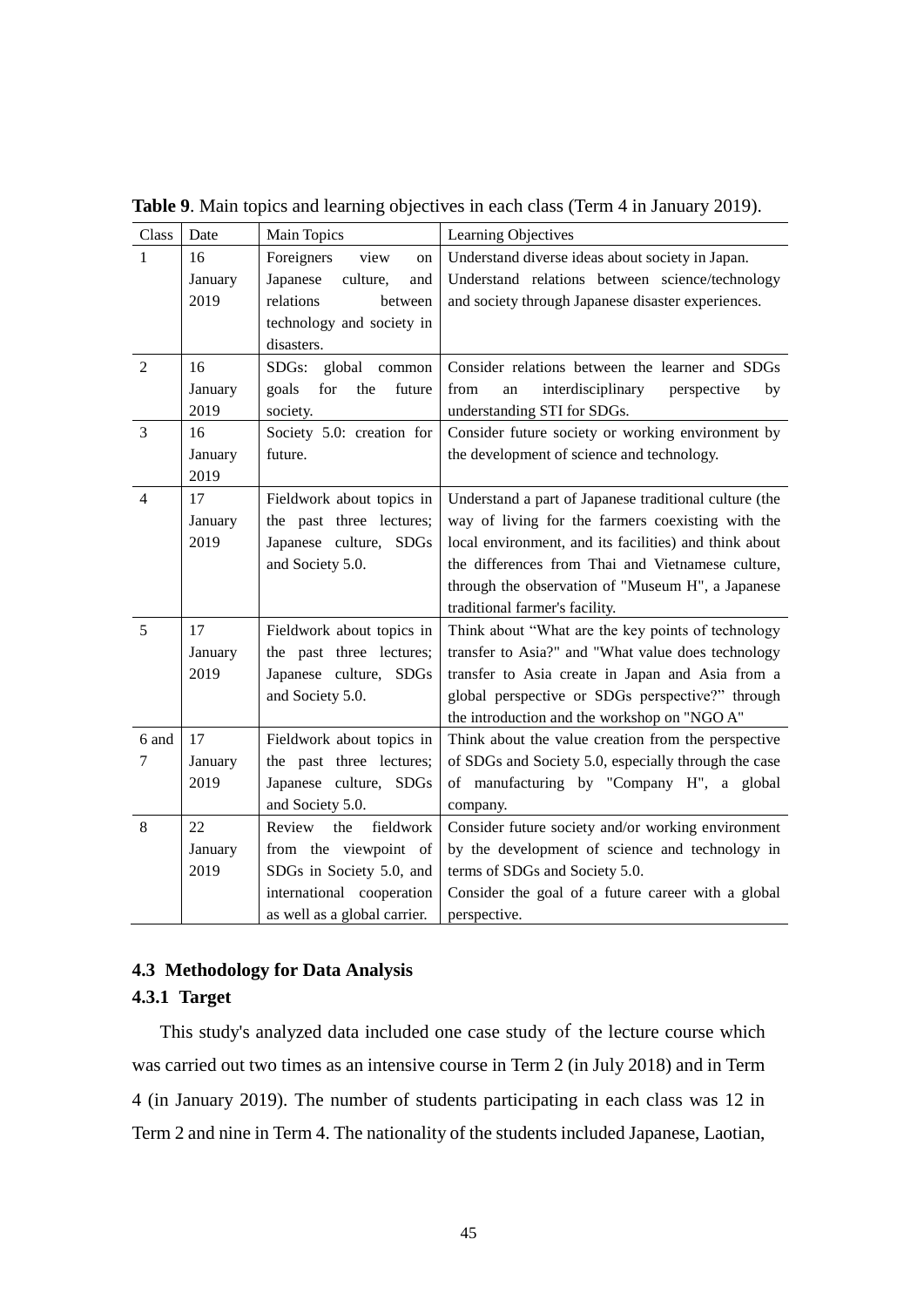| Class          | Date    | Main Topics                   | Learning Objectives                                    |
|----------------|---------|-------------------------------|--------------------------------------------------------|
| 1              | 16      | Foreigners<br>view<br>on      | Understand diverse ideas about society in Japan.       |
|                | January | Japanese<br>culture,<br>and   | Understand relations between science/technology        |
|                | 2019    | relations<br>between          | and society through Japanese disaster experiences.     |
|                |         | technology and society in     |                                                        |
|                |         | disasters.                    |                                                        |
| $\mathfrak{2}$ | 16      | $SDGs$ :<br>global<br>common  | Consider relations between the learner and SDGs        |
|                | January | for<br>the<br>future<br>goals | from<br>interdisciplinary<br>perspective<br>an<br>by   |
|                | 2019    | society.                      | understanding STI for SDGs.                            |
| 3              | 16      | Society 5.0: creation for     | Consider future society or working environment by      |
|                | January | future.                       | the development of science and technology.             |
|                | 2019    |                               |                                                        |
| 4              | 17      | Fieldwork about topics in     | Understand a part of Japanese traditional culture (the |
|                | January | the past three lectures;      | way of living for the farmers coexisting with the      |
|                | 2019    | Japanese culture, SDGs        | local environment, and its facilities) and think about |
|                |         | and Society 5.0.              | the differences from Thai and Vietnamese culture,      |
|                |         |                               | through the observation of "Museum H", a Japanese      |
|                |         |                               | traditional farmer's facility.                         |
| 5              | 17      | Fieldwork about topics in     | Think about "What are the key points of technology     |
|                | January | the past three lectures;      | transfer to Asia?" and "What value does technology     |
|                | 2019    | Japanese culture, SDGs        | transfer to Asia create in Japan and Asia from a       |
|                |         | and Society 5.0.              | global perspective or SDGs perspective?" through       |
|                |         |                               | the introduction and the workshop on "NGO A"           |
| 6 and          | 17      | Fieldwork about topics in     | Think about the value creation from the perspective    |
| 7              | January | the past three lectures;      | of SDGs and Society 5.0, especially through the case   |
|                | 2019    | Japanese culture, SDGs        | of manufacturing by "Company H", a global              |
|                |         | and Society 5.0.              | company.                                               |
| 8              | 22      | Review<br>the<br>fieldwork    | Consider future society and/or working environment     |
|                | January | from the viewpoint of         | by the development of science and technology in        |
|                | 2019    | SDGs in Society 5.0, and      | terms of SDGs and Society 5.0.                         |
|                |         | international cooperation     | Consider the goal of a future career with a global     |
|                |         | as well as a global carrier.  | perspective.                                           |

<span id="page-54-0"></span>**Table 9**. Main topics and learning objectives in each class (Term 4 in January 2019).

# **4.3 Methodology for Data Analysis**

## **4.3.1 Target**

This study's analyzed data included one case study of the lecture course which was carried out two times as an intensive course in Term 2 (in July 2018) and in Term 4 (in January 2019). The number of students participating in each class was 12 in Term 2 and nine in Term 4. The nationality of the students included Japanese, Laotian,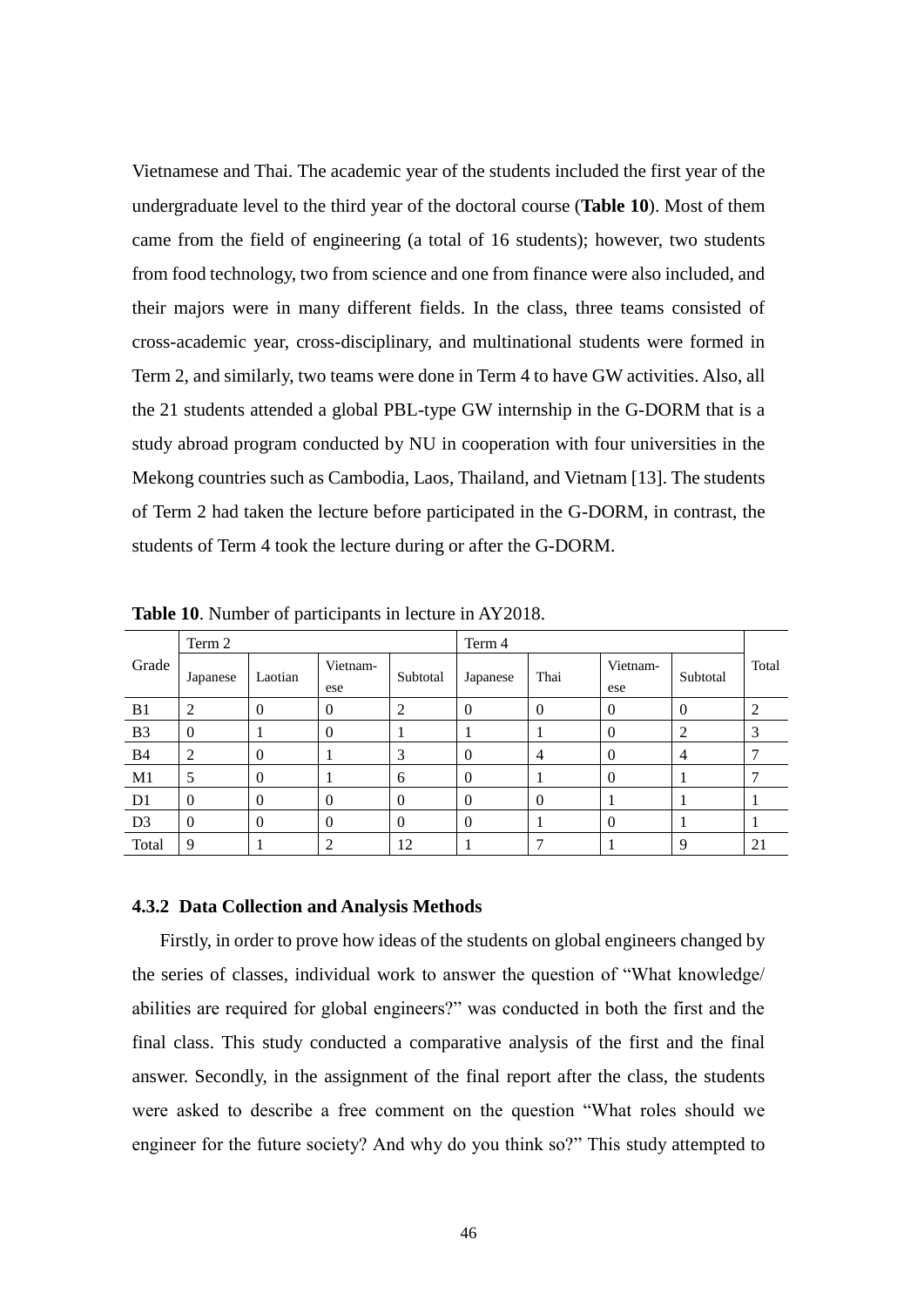Vietnamese and Thai. The academic year of the students included the first year of the undergraduate level to the third year of the doctoral course (**[Table 10](#page-55-0)**). Most of them came from the field of engineering (a total of 16 students); however, two students from food technology, two from science and one from finance were also included, and their majors were in many different fields. In the class, three teams consisted of cross-academic year, cross-disciplinary, and multinational students were formed in Term 2, and similarly, two teams were done in Term 4 to have GW activities. Also, all the 21 students attended a global PBL-type GW internship in the G-DORM that is a study abroad program conducted by NU in cooperation with four universities in the Mekong countries such as Cambodia, Laos, Thailand, and Vietnam [13]. The students of Term 2 had taken the lecture before participated in the G-DORM, in contrast, the students of Term 4 took the lecture during or after the G-DORM.

|                   | Term 2         |                            |              |          | Term 4   |      |                 |          |       |
|-------------------|----------------|----------------------------|--------------|----------|----------|------|-----------------|----------|-------|
| Grade<br>Japanese |                | Vietnam-<br>Laotian<br>ese |              | Subtotal | Japanese | Thai | Vietnam-<br>ese | Subtotal | Total |
| B <sub>1</sub>    | 2              | $\theta$                   | $\mathbf{0}$ | 2        | $\Omega$ | 0    | $\Omega$        | 0        | 2     |
| B <sub>3</sub>    | $\theta$       |                            | 0            |          |          |      | $\theta$        | 2        | 3     |
| B <sub>4</sub>    | 2              | $\Omega$                   |              | 3        | $\Omega$ | 4    | $\theta$        | 4        |       |
| M1                | 5              | $\overline{0}$             |              | 6        | $\theta$ |      | $\theta$        |          |       |
| D <sub>1</sub>    | $\Omega$       | $\Omega$                   | $\Omega$     | $\theta$ | $\Omega$ | O    |                 |          |       |
| D <sub>3</sub>    | $\overline{0}$ | $\Omega$                   | $\Omega$     | $\Omega$ | $\Omega$ |      | $\theta$        |          |       |
| Total             | 9              |                            | 2            | 12       |          |      |                 | 9        | 21    |

<span id="page-55-0"></span>**Table 10**. Number of participants in lecture in AY2018.

#### **4.3.2 Data Collection and Analysis Methods**

Firstly, in order to prove how ideas of the students on global engineers changed by the series of classes, individual work to answer the question of "What knowledge/ abilities are required for global engineers?" was conducted in both the first and the final class. This study conducted a comparative analysis of the first and the final answer. Secondly, in the assignment of the final report after the class, the students were asked to describe a free comment on the question "What roles should we engineer for the future society? And why do you think so?" This study attempted to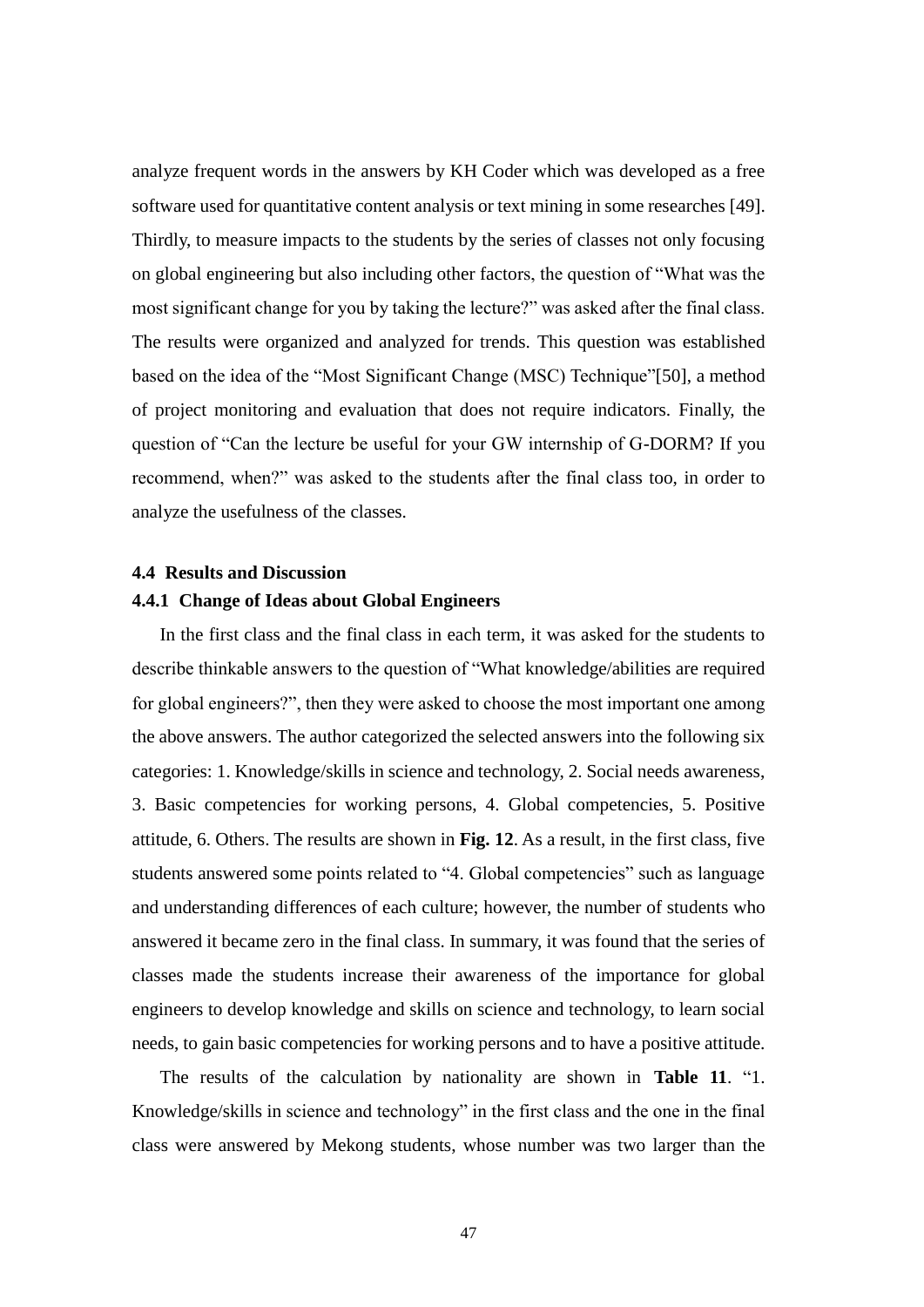analyze frequent words in the answers by KH Coder which was developed as a free software used for quantitative content analysis or text mining in some researches [49]. Thirdly, to measure impacts to the students by the series of classes not only focusing on global engineering but also including other factors, the question of "What was the most significant change for you by taking the lecture?" was asked after the final class. The results were organized and analyzed for trends. This question was established based on the idea of the "Most Significant Change (MSC) Technique"[50], a method of project monitoring and evaluation that does not require indicators. Finally, the question of "Can the lecture be useful for your GW internship of G-DORM? If you recommend, when?" was asked to the students after the final class too, in order to analyze the usefulness of the classes.

#### **4.4 Results and Discussion**

#### **4.4.1 Change of Ideas about Global Engineers**

In the first class and the final class in each term, it was asked for the students to describe thinkable answers to the question of "What knowledge/abilities are required for global engineers?", then they were asked to choose the most important one among the above answers. The author categorized the selected answers into the following six categories: 1. Knowledge/skills in science and technology, 2. Social needs awareness, 3. Basic competencies for working persons, 4. Global competencies, 5. Positive attitude, 6. Others. The results are shown in **[Fig. 12](#page-57-0)**. As a result, in the first class, five students answered some points related to "4. Global competencies" such as language and understanding differences of each culture; however, the number of students who answered it became zero in the final class. In summary, it was found that the series of classes made the students increase their awareness of the importance for global engineers to develop knowledge and skills on science and technology, to learn social needs, to gain basic competencies for working persons and to have a positive attitude.

The results of the calculation by nationality are shown in **[Table 11](#page-57-1)**. "1. Knowledge/skills in science and technology" in the first class and the one in the final class were answered by Mekong students, whose number was two larger than the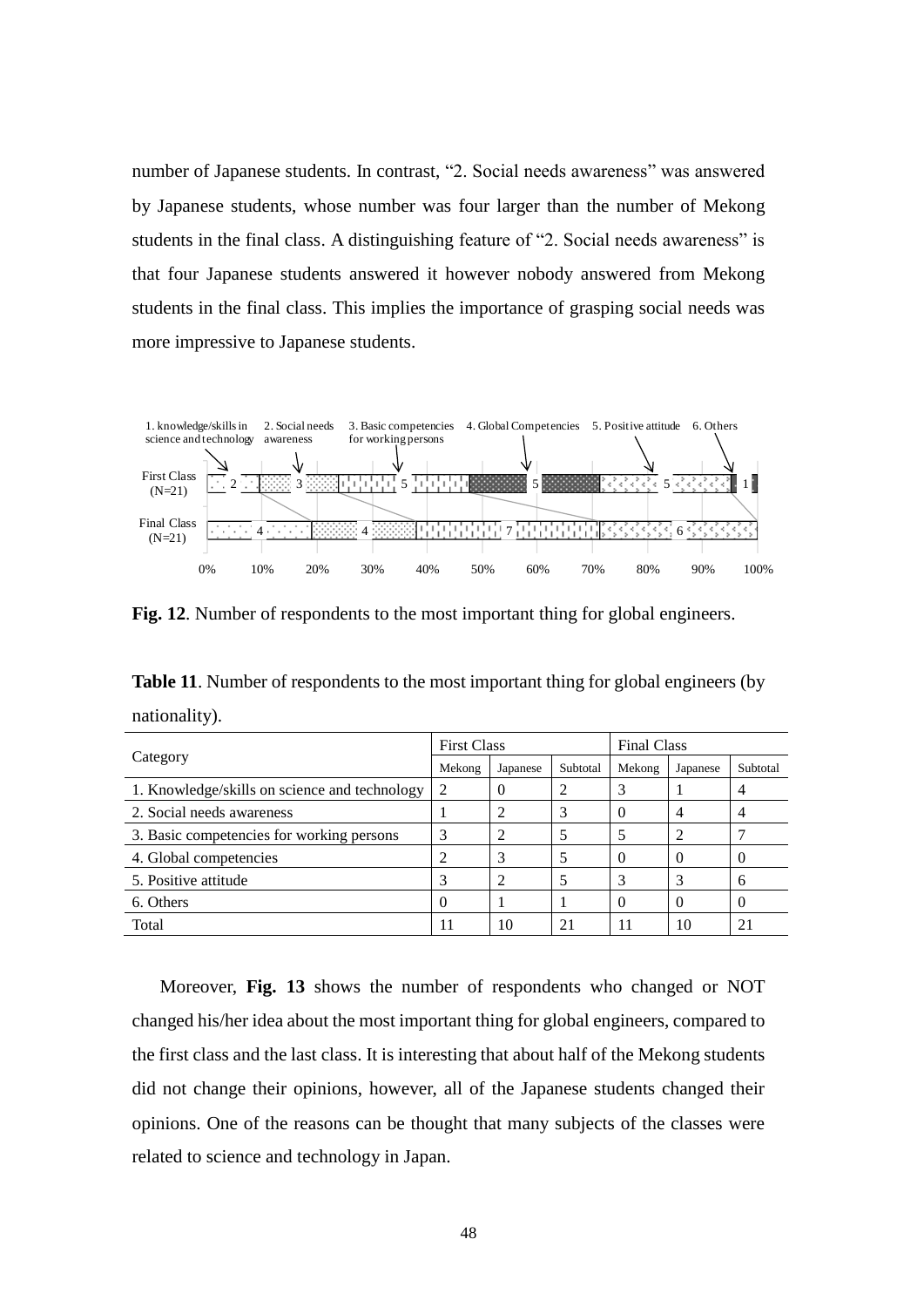number of Japanese students. In contrast, "2. Social needs awareness" was answered by Japanese students, whose number was four larger than the number of Mekong students in the final class. A distinguishing feature of "2. Social needs awareness" is that four Japanese students answered it however nobody answered from Mekong students in the final class. This implies the importance of grasping social needs was more impressive to Japanese students.



<span id="page-57-0"></span>**Fig. 12**. Number of respondents to the most important thing for global engineers.

<span id="page-57-1"></span>**Table 11**. Number of respondents to the most important thing for global engineers (by nationality).

|                                               | <b>First Class</b> |                |          | <b>Final Class</b> |          |          |  |
|-----------------------------------------------|--------------------|----------------|----------|--------------------|----------|----------|--|
| Category                                      | Mekong             | Japanese       | Subtotal | Mekong             | Japanese | Subtotal |  |
| 1. Knowledge/skills on science and technology | 2                  | O              |          | 3                  |          |          |  |
| 2. Social needs awareness                     |                    | 2              |          | $\Omega$           | 4        |          |  |
| 3. Basic competencies for working persons     | 3                  | $\overline{2}$ |          |                    |          |          |  |
| 4. Global competencies                        |                    |                |          | $\Omega$           | $\left($ |          |  |
| 5. Positive attitude                          |                    |                |          |                    |          | 6        |  |
| 6. Others                                     |                    |                |          | $\theta$           |          |          |  |
| Total                                         | 11                 | 10             | 21       | $\mathbf{I}$       | 10       | 21       |  |

Moreover, **[Fig. 13](#page-58-0)** shows the number of respondents who changed or NOT changed his/her idea about the most important thing for global engineers, compared to the first class and the last class. It is interesting that about half of the Mekong students did not change their opinions, however, all of the Japanese students changed their opinions. One of the reasons can be thought that many subjects of the classes were related to science and technology in Japan.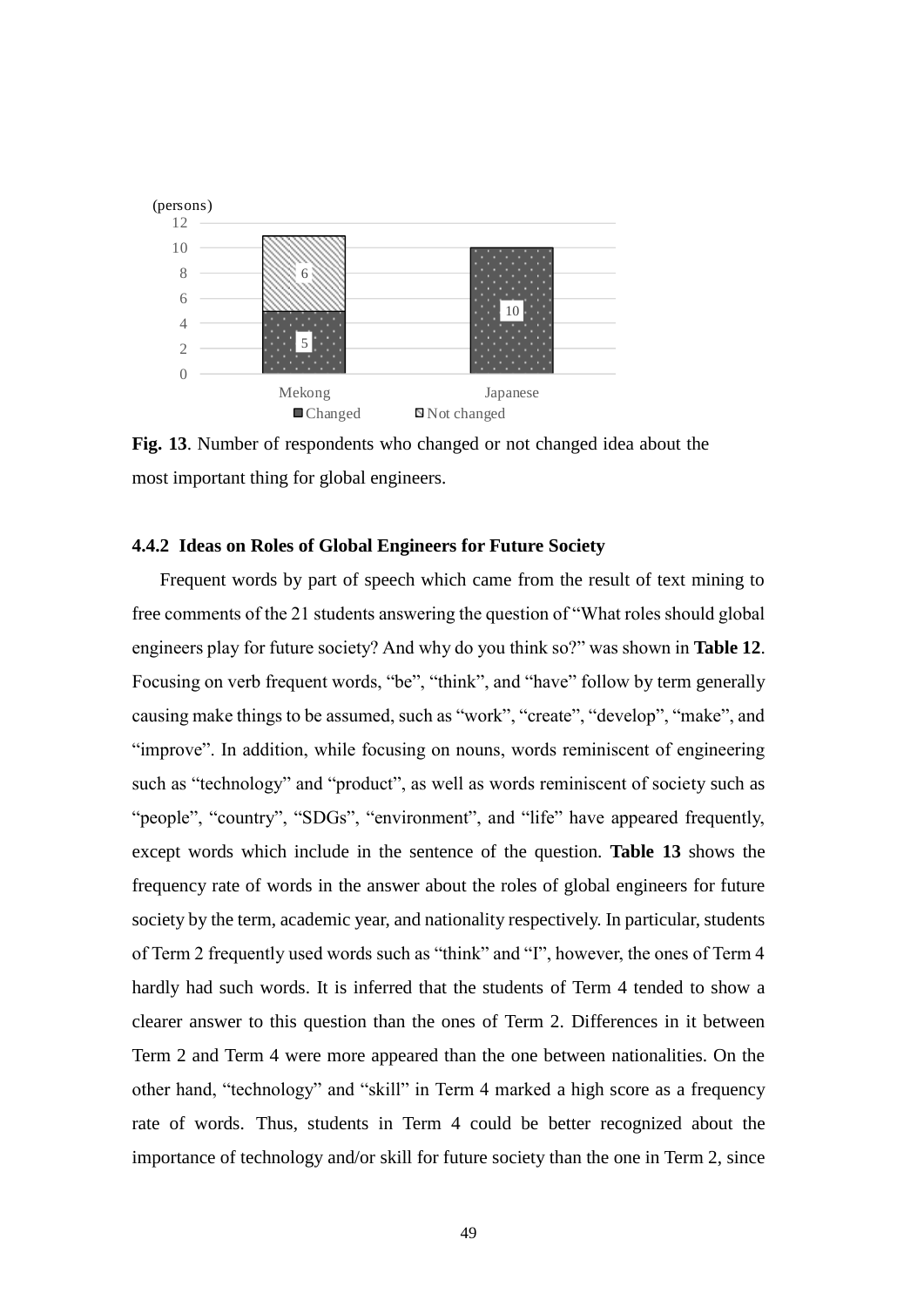

<span id="page-58-0"></span>**Fig. 13**. Number of respondents who changed or not changed idea about the most important thing for global engineers.

#### **4.4.2 Ideas on Roles of Global Engineers for Future Society**

Frequent words by part of speech which came from the result of text mining to free comments of the 21 students answering the question of "What roles should global engineers play for future society? And why do you think so?" was shown in **[Table 12](#page-59-0)**. Focusing on verb frequent words, "be", "think", and "have" follow by term generally causing make things to be assumed, such as "work", "create", "develop", "make", and "improve". In addition, while focusing on nouns, words reminiscent of engineering such as "technology" and "product", as well as words reminiscent of society such as "people", "country", "SDGs", "environment", and "life" have appeared frequently, except words which include in the sentence of the question. **[Table 13](#page-59-1)** shows the frequency rate of words in the answer about the roles of global engineers for future society by the term, academic year, and nationality respectively. In particular, students of Term 2 frequently used words such as "think" and "I", however, the ones of Term 4 hardly had such words. It is inferred that the students of Term 4 tended to show a clearer answer to this question than the ones of Term 2. Differences in it between Term 2 and Term 4 were more appeared than the one between nationalities. On the other hand, "technology" and "skill" in Term 4 marked a high score as a frequency rate of words. Thus, students in Term 4 could be better recognized about the importance of technology and/or skill for future society than the one in Term 2, since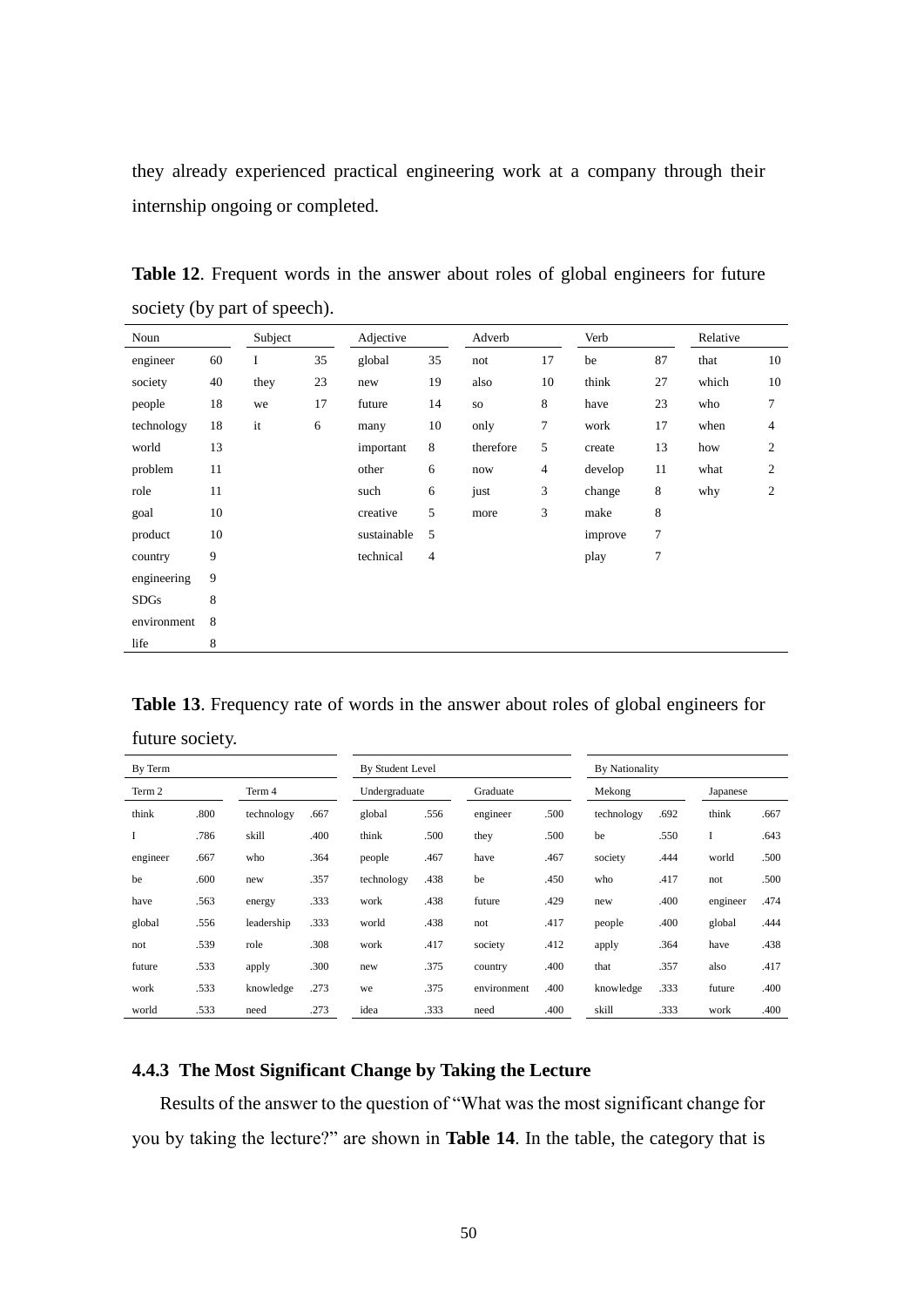they already experienced practical engineering work at a company through their internship ongoing or completed.

| Noun        |    | Subject |    |             | Adjective      |           | Adverb         |         | Verb    |       | Relative       |  |
|-------------|----|---------|----|-------------|----------------|-----------|----------------|---------|---------|-------|----------------|--|
|             | 60 | I       | 35 | global      | 35             |           | 17             | be      | 87      | that  | 10             |  |
| engineer    |    |         |    |             |                | not       |                |         |         |       |                |  |
| society     | 40 | they    | 23 | new         | 19             | also      | 10             | think   | 27      | which | 10             |  |
| people      | 18 | we      | 17 | future      | 14             | <b>SO</b> | 8              | have    | 23      | who   | 7              |  |
| technology  | 18 | it      | 6  | many        | 10             | only      | $\tau$         | work    | 17      | when  | $\overline{4}$ |  |
| world       | 13 |         |    | important   | 8              | therefore | 5              | create  | 13      | how   | $\overline{c}$ |  |
| problem     | 11 |         |    | other       | 6              | now       | $\overline{4}$ | develop | 11      | what  | $\overline{c}$ |  |
| role        | 11 |         |    | such        | 6              | just      | 3              | change  | $\,8\,$ | why   | $\mathbf{2}$   |  |
| goal        | 10 |         |    | creative    | 5              | more      | 3              | make    | 8       |       |                |  |
| product     | 10 |         |    | sustainable | 5              |           |                | improve | $\tau$  |       |                |  |
| country     | 9  |         |    | technical   | $\overline{4}$ |           |                | play    | $\tau$  |       |                |  |
| engineering | 9  |         |    |             |                |           |                |         |         |       |                |  |
| <b>SDGs</b> | 8  |         |    |             |                |           |                |         |         |       |                |  |
| environment | 8  |         |    |             |                |           |                |         |         |       |                |  |
| life        | 8  |         |    |             |                |           |                |         |         |       |                |  |

<span id="page-59-0"></span>**Table 12**. Frequent words in the answer about roles of global engineers for future society (by part of speech).

<span id="page-59-1"></span>

| <b>Table 13.</b> Frequency rate of words in the answer about roles of global engineers for |  |
|--------------------------------------------------------------------------------------------|--|
|--------------------------------------------------------------------------------------------|--|

future society.

| By Term  |      |            |      | By Student Level |      |             |      | By Nationality |      |          |      |
|----------|------|------------|------|------------------|------|-------------|------|----------------|------|----------|------|
| Term 2   |      | Term 4     |      | Undergraduate    |      | Graduate    |      | Mekong         |      | Japanese |      |
| think    | .800 | technology | .667 | global           | .556 | engineer    | .500 | technology     | .692 | think    | .667 |
| I        | .786 | skill      | .400 | think            | .500 | they        | .500 | be             | .550 | I        | .643 |
| engineer | .667 | who        | .364 | people           | .467 | have        | .467 | society        | .444 | world    | .500 |
| be       | .600 | new        | .357 | technology       | .438 | be          | .450 | who            | .417 | not      | .500 |
| have     | .563 | energy     | .333 | work             | .438 | future      | .429 | new            | .400 | engineer | .474 |
| global   | .556 | leadership | .333 | world            | .438 | not         | .417 | people         | .400 | global   | .444 |
| not      | .539 | role       | .308 | work             | .417 | society     | .412 | apply          | .364 | have     | .438 |
| future   | .533 | apply      | .300 | new              | .375 | country     | .400 | that           | .357 | also     | .417 |
| work     | .533 | knowledge  | .273 | we               | .375 | environment | .400 | knowledge      | .333 | future   | .400 |
| world    | .533 | need       | .273 | idea             | .333 | need        | .400 | skill          | .333 | work     | .400 |

# **4.4.3 The Most Significant Change by Taking the Lecture**

Results of the answer to the question of "What was the most significant change for you by taking the lecture?" are shown in **[Table 14](#page-60-0)**. In the table, the category that is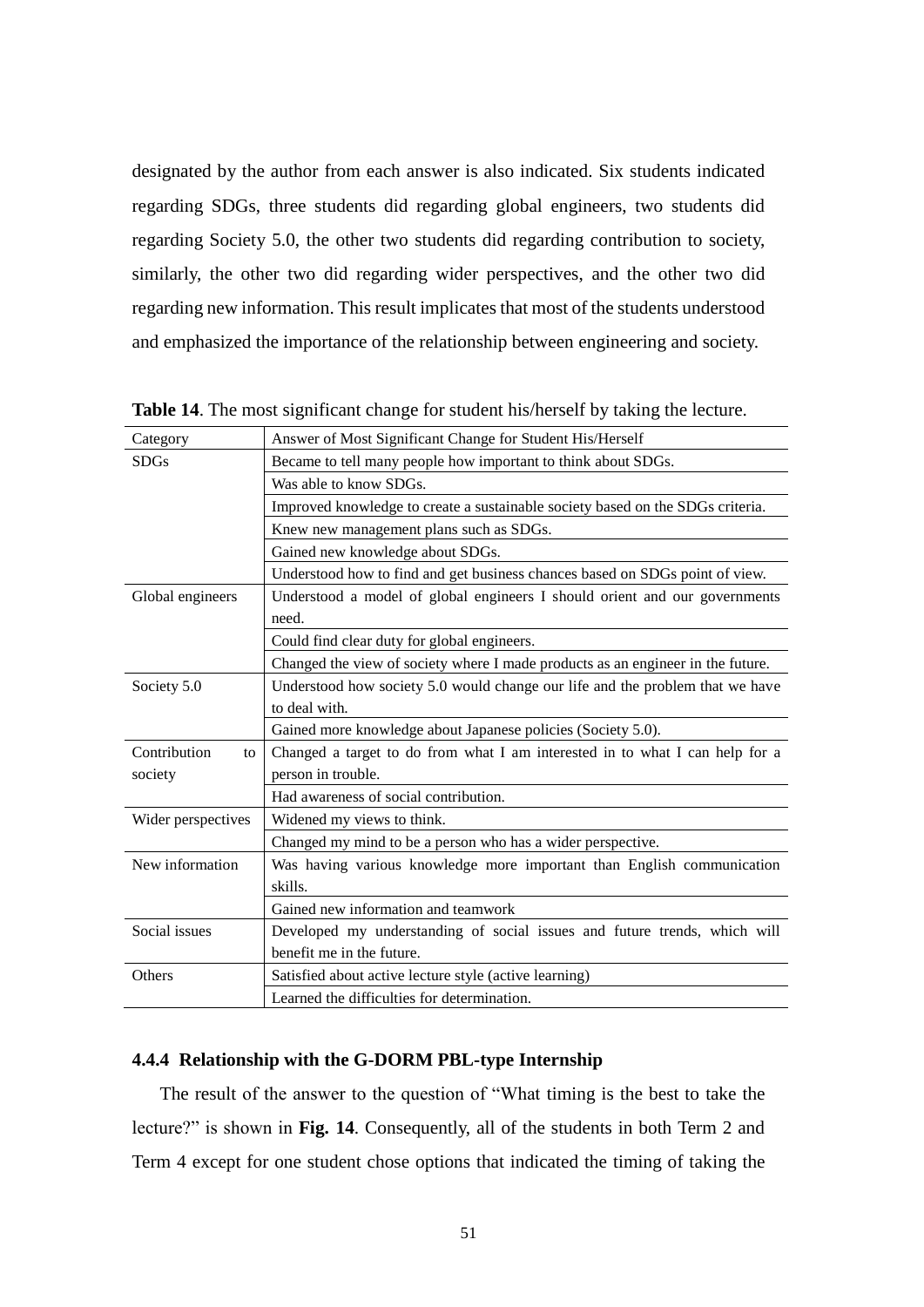designated by the author from each answer is also indicated. Six students indicated regarding SDGs, three students did regarding global engineers, two students did regarding Society 5.0, the other two students did regarding contribution to society, similarly, the other two did regarding wider perspectives, and the other two did regarding new information. This result implicates that most of the students understood and emphasized the importance of the relationship between engineering and society.

| Answer of Most Significant Change for Student His/Herself                       |
|---------------------------------------------------------------------------------|
| Became to tell many people how important to think about SDGs.                   |
| Was able to know SDGs.                                                          |
| Improved knowledge to create a sustainable society based on the SDGs criteria.  |
| Knew new management plans such as SDGs.                                         |
| Gained new knowledge about SDGs.                                                |
| Understood how to find and get business chances based on SDGs point of view.    |
| Understood a model of global engineers I should orient and our governments      |
| need.                                                                           |
| Could find clear duty for global engineers.                                     |
| Changed the view of society where I made products as an engineer in the future. |
| Understood how society 5.0 would change our life and the problem that we have   |
| to deal with.                                                                   |
| Gained more knowledge about Japanese policies (Society 5.0).                    |
| Changed a target to do from what I am interested in to what I can help for a    |
| person in trouble.                                                              |
| Had awareness of social contribution.                                           |
| Widened my views to think.                                                      |
| Changed my mind to be a person who has a wider perspective.                     |
| Was having various knowledge more important than English communication          |
| skills.                                                                         |
| Gained new information and teamwork                                             |
| Developed my understanding of social issues and future trends, which will       |
| benefit me in the future.                                                       |
| Satisfied about active lecture style (active learning)                          |
| Learned the difficulties for determination.                                     |
|                                                                                 |

<span id="page-60-0"></span>**Table 14**. The most significant change for student his/herself by taking the lecture.

#### **4.4.4 Relationship with the G-DORM PBL-type Internship**

The result of the answer to the question of "What timing is the best to take the lecture?" is shown in **[Fig. 14](#page-61-0)**. Consequently, all of the students in both Term 2 and Term 4 except for one student chose options that indicated the timing of taking the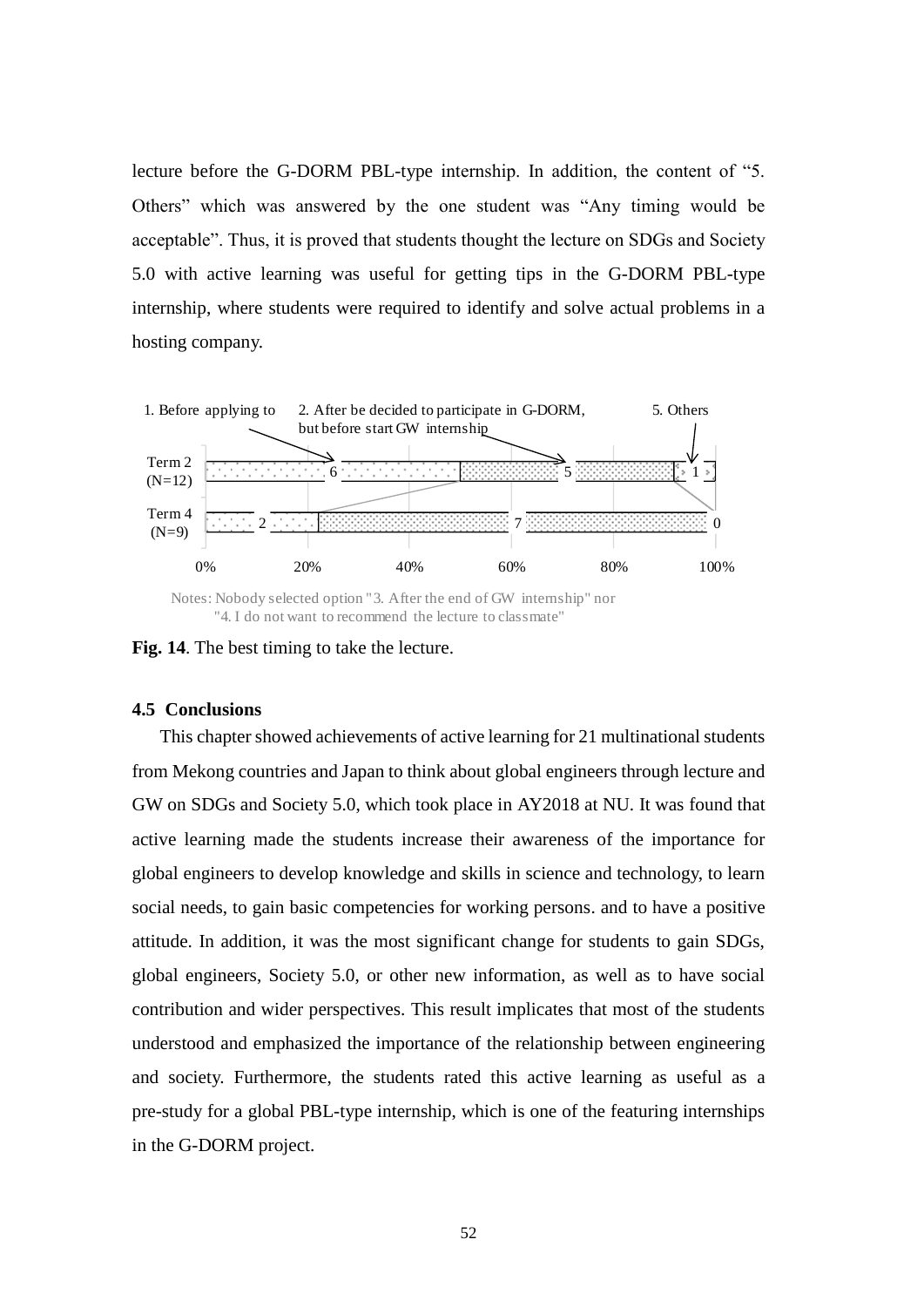lecture before the G-DORM PBL-type internship. In addition, the content of "5. Others" which was answered by the one student was "Any timing would be acceptable". Thus, it is proved that students thought the lecture on SDGs and Society 5.0 with active learning was useful for getting tips in the G-DORM PBL-type internship, where students were required to identify and solve actual problems in a hosting company.



Notes: Nobody selected option "3. After the end of GW internship" nor "4. I do not want to recommend the lecture to classmate"

<span id="page-61-0"></span>**Fig. 14**. The best timing to take the lecture.

## **4.5 Conclusions**

This chapter showed achievements of active learning for 21 multinational students from Mekong countries and Japan to think about global engineers through lecture and GW on SDGs and Society 5.0, which took place in AY2018 at NU. It was found that active learning made the students increase their awareness of the importance for global engineers to develop knowledge and skills in science and technology, to learn social needs, to gain basic competencies for working persons. and to have a positive attitude. In addition, it was the most significant change for students to gain SDGs, global engineers, Society 5.0, or other new information, as well as to have social contribution and wider perspectives. This result implicates that most of the students understood and emphasized the importance of the relationship between engineering and society. Furthermore, the students rated this active learning as useful as a pre-study for a global PBL-type internship, which is one of the featuring internships in the G-DORM project.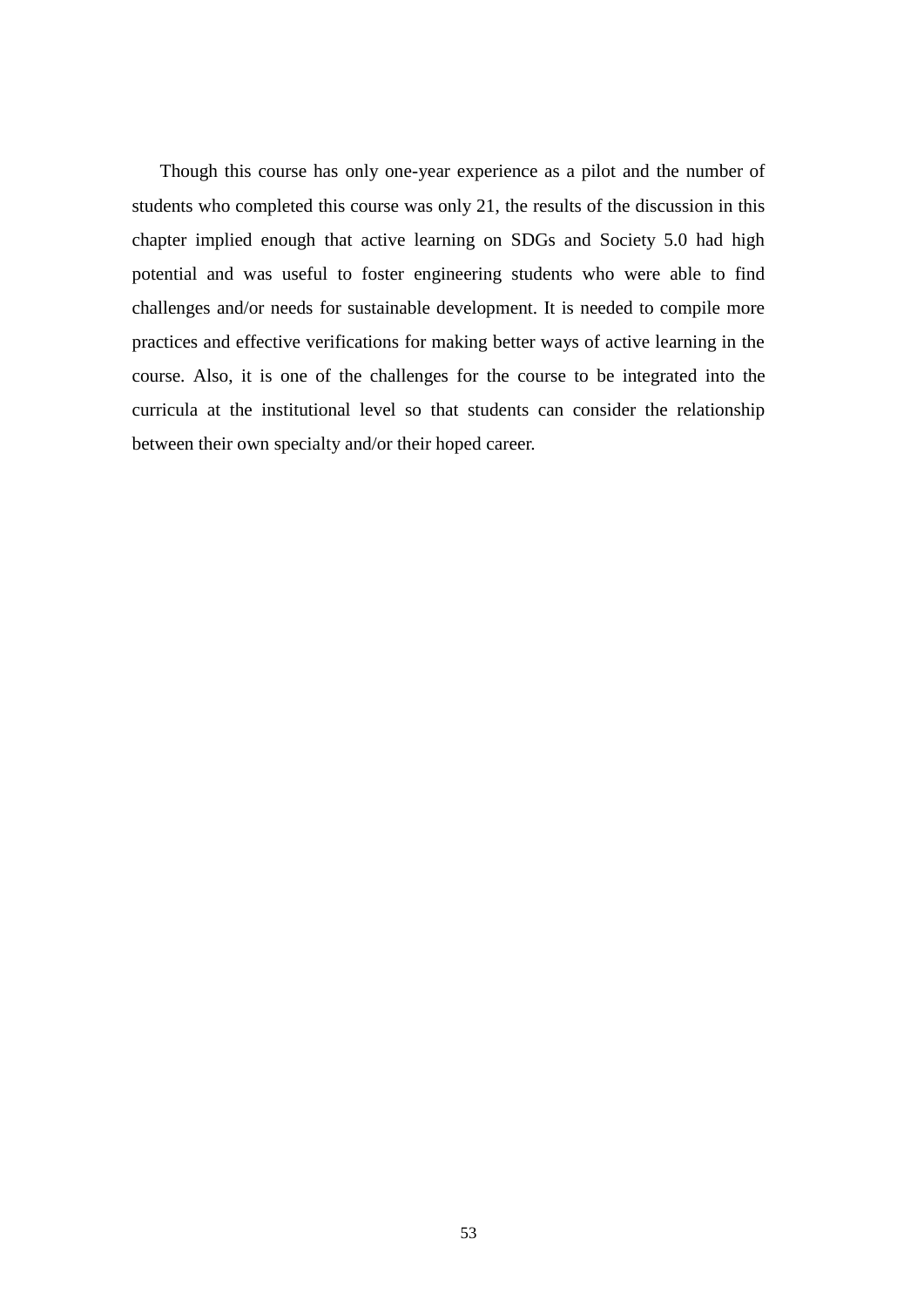Though this course has only one-year experience as a pilot and the number of students who completed this course was only 21, the results of the discussion in this chapter implied enough that active learning on SDGs and Society 5.0 had high potential and was useful to foster engineering students who were able to find challenges and/or needs for sustainable development. It is needed to compile more practices and effective verifications for making better ways of active learning in the course. Also, it is one of the challenges for the course to be integrated into the curricula at the institutional level so that students can consider the relationship between their own specialty and/or their hoped career.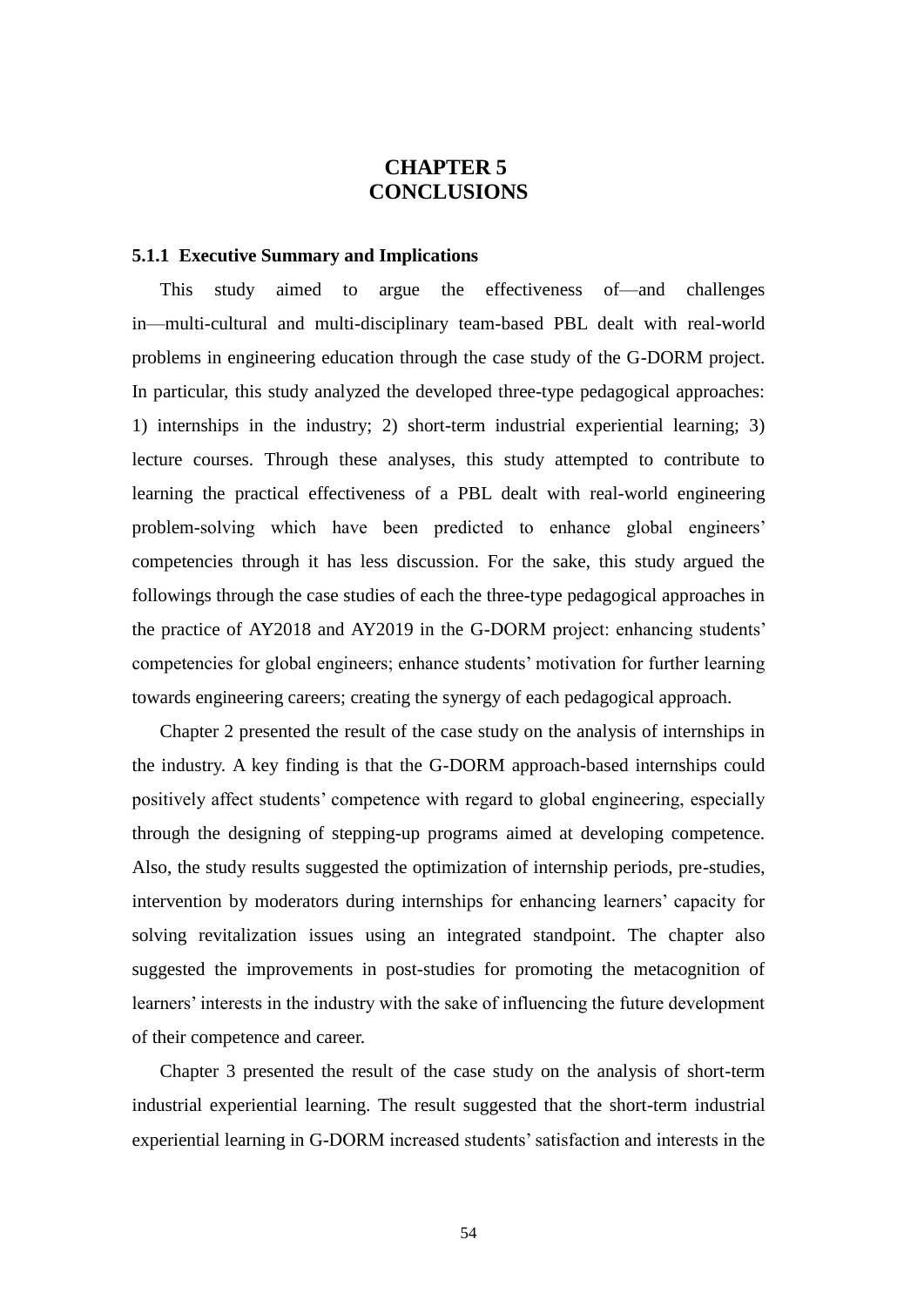# **CHAPTER 5 CONCLUSIONS**

#### **5.1.1 Executive Summary and Implications**

This study aimed to argue the effectiveness of—and challenges in—multi-cultural and multi-disciplinary team-based PBL dealt with real-world problems in engineering education through the case study of the G-DORM project. In particular, this study analyzed the developed three-type pedagogical approaches: 1) internships in the industry; 2) short-term industrial experiential learning; 3) lecture courses. Through these analyses, this study attempted to contribute to learning the practical effectiveness of a PBL dealt with real-world engineering problem-solving which have been predicted to enhance global engineers' competencies through it has less discussion. For the sake, this study argued the followings through the case studies of each the three-type pedagogical approaches in the practice of AY2018 and AY2019 in the G-DORM project: enhancing students' competencies for global engineers; enhance students' motivation for further learning towards engineering careers; creating the synergy of each pedagogical approach.

Chapter 2 presented the result of the case study on the analysis of internships in the industry. A key finding is that the G-DORM approach-based internships could positively affect students' competence with regard to global engineering, especially through the designing of stepping-up programs aimed at developing competence. Also, the study results suggested the optimization of internship periods, pre-studies, intervention by moderators during internships for enhancing learners' capacity for solving revitalization issues using an integrated standpoint. The chapter also suggested the improvements in post-studies for promoting the metacognition of learners' interests in the industry with the sake of influencing the future development of their competence and career.

Chapter 3 presented the result of the case study on the analysis of short-term industrial experiential learning. The result suggested that the short-term industrial experiential learning in G-DORM increased students' satisfaction and interests in the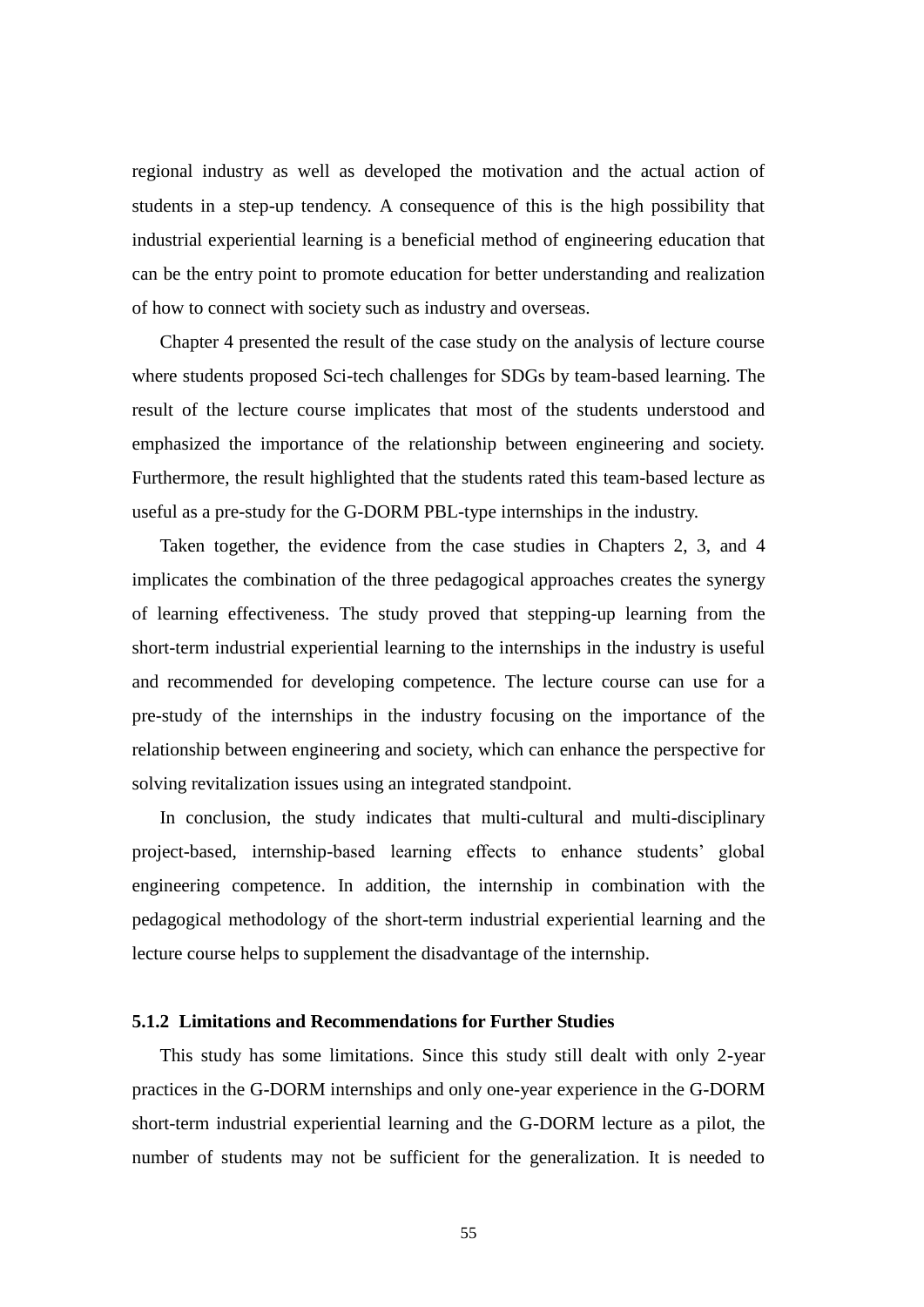regional industry as well as developed the motivation and the actual action of students in a step-up tendency. A consequence of this is the high possibility that industrial experiential learning is a beneficial method of engineering education that can be the entry point to promote education for better understanding and realization of how to connect with society such as industry and overseas.

Chapter 4 presented the result of the case study on the analysis of lecture course where students proposed Sci-tech challenges for SDGs by team-based learning. The result of the lecture course implicates that most of the students understood and emphasized the importance of the relationship between engineering and society. Furthermore, the result highlighted that the students rated this team-based lecture as useful as a pre-study for the G-DORM PBL-type internships in the industry.

Taken together, the evidence from the case studies in Chapters 2, 3, and 4 implicates the combination of the three pedagogical approaches creates the synergy of learning effectiveness. The study proved that stepping-up learning from the short-term industrial experiential learning to the internships in the industry is useful and recommended for developing competence. The lecture course can use for a pre-study of the internships in the industry focusing on the importance of the relationship between engineering and society, which can enhance the perspective for solving revitalization issues using an integrated standpoint.

In conclusion, the study indicates that multi-cultural and multi-disciplinary project-based, internship-based learning effects to enhance students' global engineering competence. In addition, the internship in combination with the pedagogical methodology of the short-term industrial experiential learning and the lecture course helps to supplement the disadvantage of the internship.

## **5.1.2 Limitations and Recommendations for Further Studies**

This study has some limitations. Since this study still dealt with only 2-year practices in the G-DORM internships and only one-year experience in the G-DORM short-term industrial experiential learning and the G-DORM lecture as a pilot, the number of students may not be sufficient for the generalization. It is needed to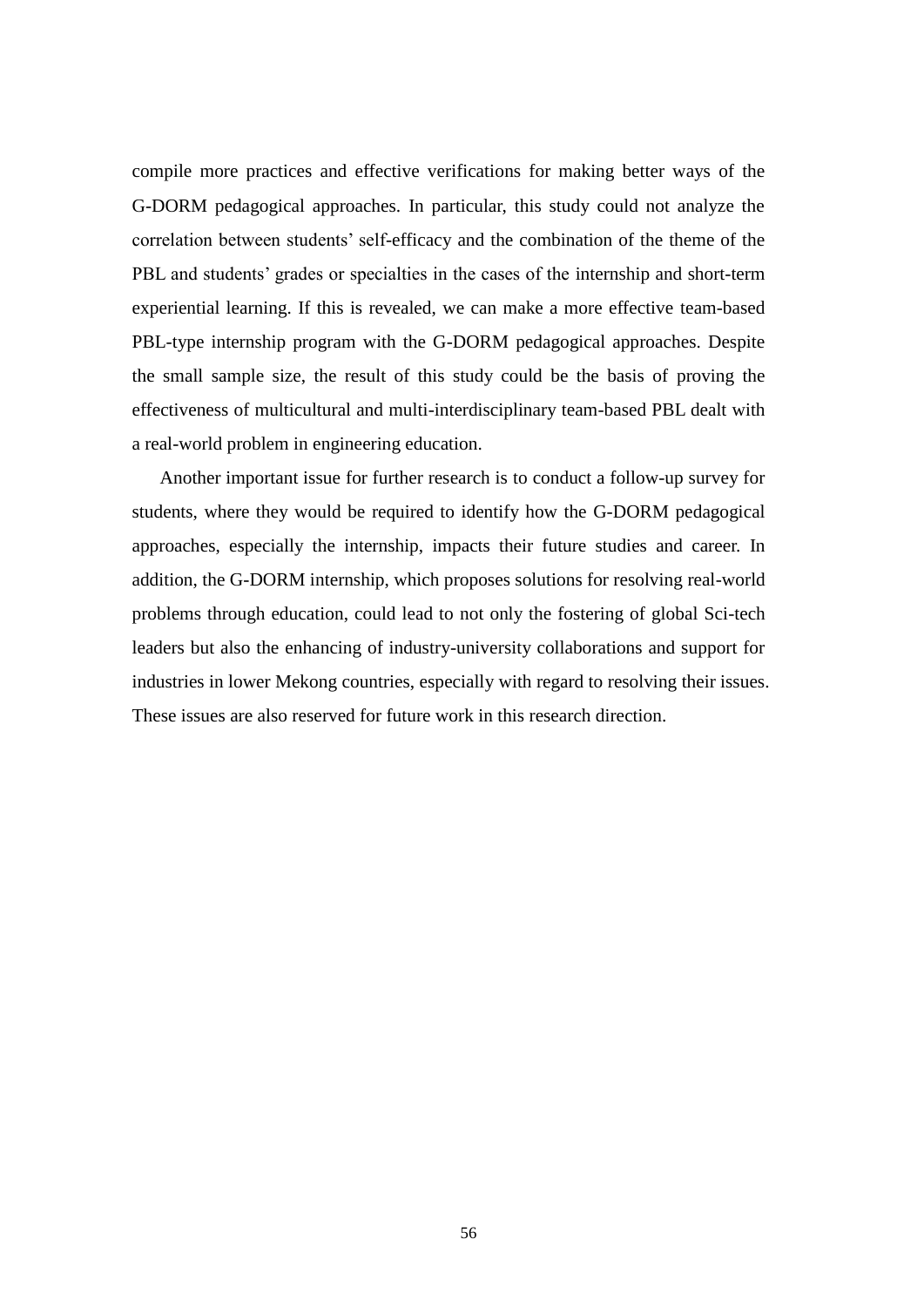compile more practices and effective verifications for making better ways of the G-DORM pedagogical approaches. In particular, this study could not analyze the correlation between students' self-efficacy and the combination of the theme of the PBL and students' grades or specialties in the cases of the internship and short-term experiential learning. If this is revealed, we can make a more effective team-based PBL-type internship program with the G-DORM pedagogical approaches. Despite the small sample size, the result of this study could be the basis of proving the effectiveness of multicultural and multi-interdisciplinary team-based PBL dealt with a real-world problem in engineering education.

Another important issue for further research is to conduct a follow-up survey for students, where they would be required to identify how the G-DORM pedagogical approaches, especially the internship, impacts their future studies and career. In addition, the G-DORM internship, which proposes solutions for resolving real-world problems through education, could lead to not only the fostering of global Sci-tech leaders but also the enhancing of industry-university collaborations and support for industries in lower Mekong countries, especially with regard to resolving their issues. These issues are also reserved for future work in this research direction.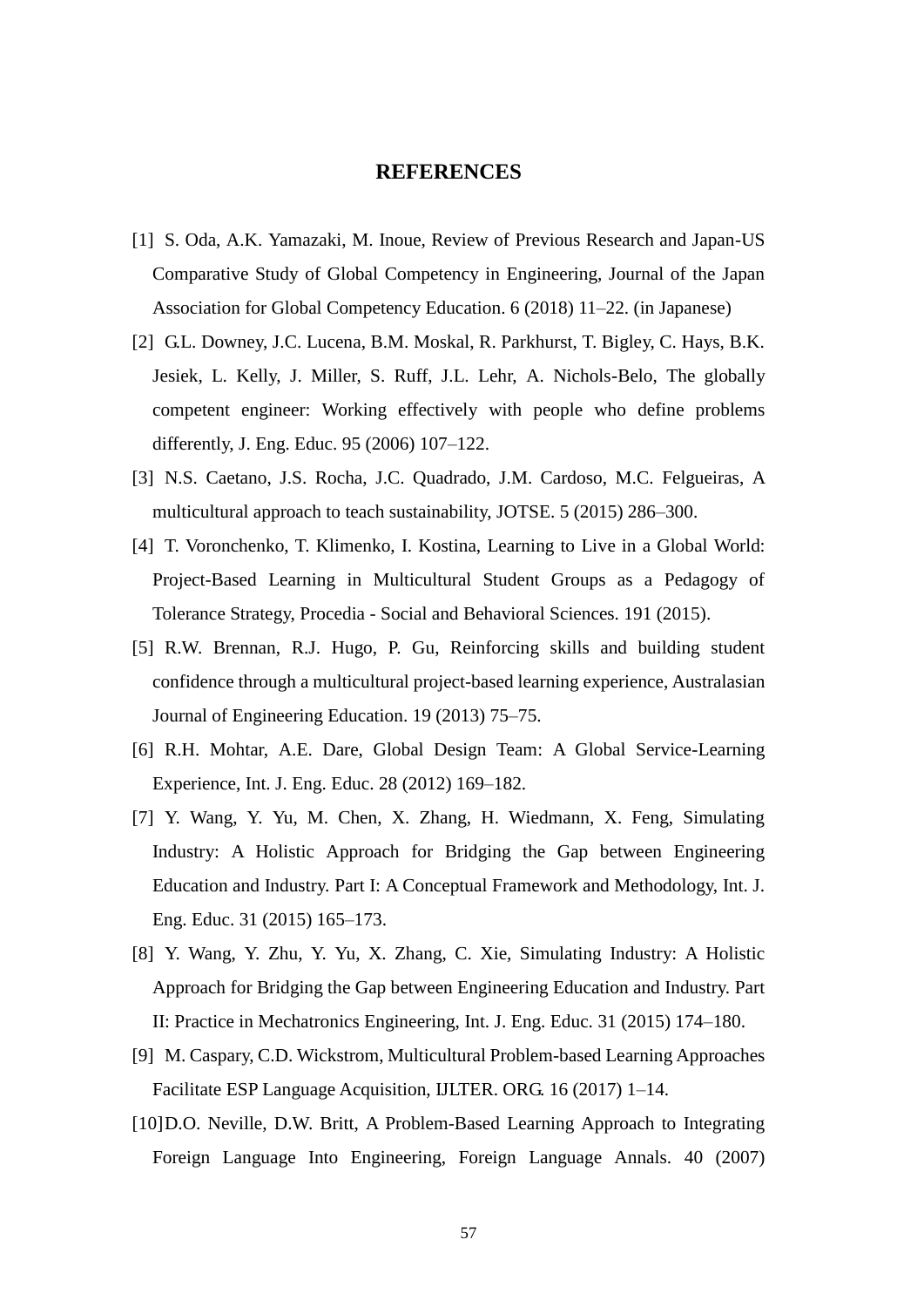#### **REFERENCES**

- [1] S. Oda, A.K. Yamazaki, M. Inoue, Review of Previous Research and Japan-US Comparative Study of Global Competency in Engineering, Journal of the Japan Association for Global Competency Education. 6 (2018) 11–22. (in Japanese)
- [2] G.L. Downey, J.C. Lucena, B.M. Moskal, R. Parkhurst, T. Bigley, C. Hays, B.K. Jesiek, L. Kelly, J. Miller, S. Ruff, J.L. Lehr, A. Nichols-Belo, The globally competent engineer: Working effectively with people who define problems differently, J. Eng. Educ. 95 (2006) 107–122.
- [3] N.S. Caetano, J.S. Rocha, J.C. Quadrado, J.M. Cardoso, M.C. Felgueiras, A multicultural approach to teach sustainability, JOTSE. 5 (2015) 286–300.
- [4] T. Voronchenko, T. Klimenko, I. Kostina, Learning to Live in a Global World: Project-Based Learning in Multicultural Student Groups as a Pedagogy of Tolerance Strategy, Procedia - Social and Behavioral Sciences. 191 (2015).
- [5] R.W. Brennan, R.J. Hugo, P. Gu, Reinforcing skills and building student confidence through a multicultural project-based learning experience, Australasian Journal of Engineering Education. 19 (2013) 75–75.
- [6] R.H. Mohtar, A.E. Dare, Global Design Team: A Global Service-Learning Experience, Int. J. Eng. Educ. 28 (2012) 169–182.
- [7] Y. Wang, Y. Yu, M. Chen, X. Zhang, H. Wiedmann, X. Feng, Simulating Industry: A Holistic Approach for Bridging the Gap between Engineering Education and Industry. Part I: A Conceptual Framework and Methodology, Int. J. Eng. Educ. 31 (2015) 165–173.
- [8] Y. Wang, Y. Zhu, Y. Yu, X. Zhang, C. Xie, Simulating Industry: A Holistic Approach for Bridging the Gap between Engineering Education and Industry. Part II: Practice in Mechatronics Engineering, Int. J. Eng. Educ. 31 (2015) 174–180.
- [9] M. Caspary, C.D. Wickstrom, Multicultural Problem-based Learning Approaches Facilitate ESP Language Acquisition, IJLTER. ORG. 16 (2017) 1–14.
- [10] D.O. Neville, D.W. Britt, A Problem-Based Learning Approach to Integrating Foreign Language Into Engineering, Foreign Language Annals. 40 (2007)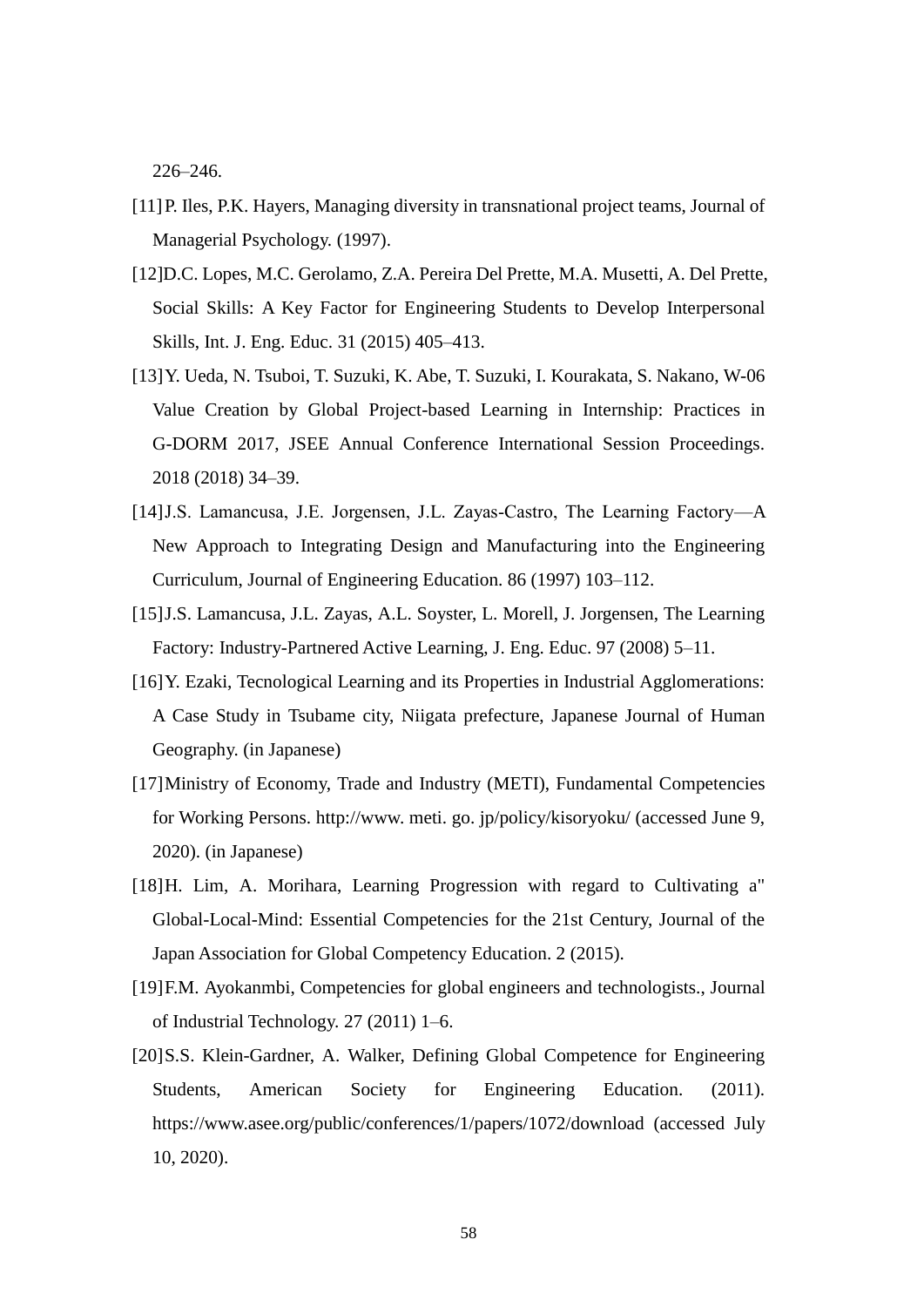226–246.

- [11]P. Iles, P.K. Hayers, Managing diversity in transnational project teams, Journal of Managerial Psychology. (1997).
- [12]D.C. Lopes, M.C. Gerolamo, Z.A. Pereira Del Prette, M.A. Musetti, A. Del Prette, Social Skills: A Key Factor for Engineering Students to Develop Interpersonal Skills, Int. J. Eng. Educ. 31 (2015) 405–413.
- [13]Y. Ueda, N. Tsuboi, T. Suzuki, K. Abe, T. Suzuki, I. Kourakata, S. Nakano, W-06 Value Creation by Global Project-based Learning in Internship: Practices in G-DORM 2017, JSEE Annual Conference International Session Proceedings. 2018 (2018) 34–39.
- [14] J.S. Lamancusa, J.E. Jorgensen, J.L. Zayas-Castro, The Learning Factory—A New Approach to Integrating Design and Manufacturing into the Engineering Curriculum, Journal of Engineering Education. 86 (1997) 103–112.
- [15]J.S. Lamancusa, J.L. Zayas, A.L. Soyster, L. Morell, J. Jorgensen, The Learning Factory: Industry-Partnered Active Learning, J. Eng. Educ. 97 (2008) 5–11.
- [16]Y. Ezaki, Tecnological Learning and its Properties in Industrial Agglomerations: A Case Study in Tsubame city, Niigata prefecture, Japanese Journal of Human Geography. (in Japanese)
- [17]Ministry of Economy, Trade and Industry (METI), Fundamental Competencies for Working Persons. http://www. meti. go. jp/policy/kisoryoku/ (accessed June 9, 2020). (in Japanese)
- [18]H. Lim, A. Morihara, Learning Progression with regard to Cultivating a" Global-Local-Mind: Essential Competencies for the 21st Century, Journal of the Japan Association for Global Competency Education. 2 (2015).
- [19]F.M. Ayokanmbi, Competencies for global engineers and technologists., Journal of Industrial Technology. 27 (2011) 1–6.
- [20]S.S. Klein-Gardner, A. Walker, Defining Global Competence for Engineering Students, American Society for Engineering Education. (2011). https://www.asee.org/public/conferences/1/papers/1072/download (accessed July 10, 2020).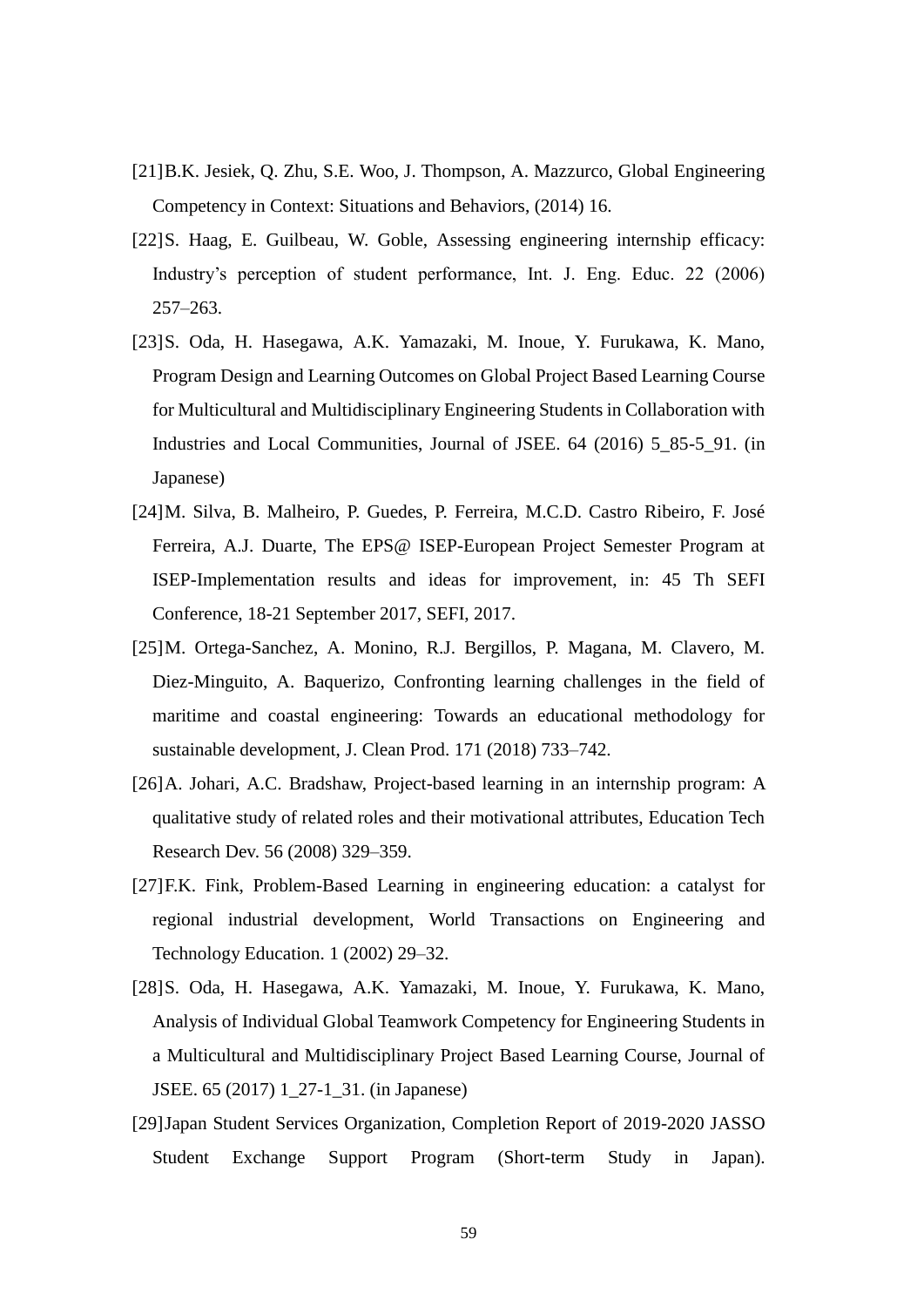- [21]B.K. Jesiek, Q. Zhu, S.E. Woo, J. Thompson, A. Mazzurco, Global Engineering Competency in Context: Situations and Behaviors, (2014) 16.
- [22]S. Haag, E. Guilbeau, W. Goble, Assessing engineering internship efficacy: Industry's perception of student performance, Int. J. Eng. Educ. 22 (2006) 257–263.
- [23]S. Oda, H. Hasegawa, A.K. Yamazaki, M. Inoue, Y. Furukawa, K. Mano, Program Design and Learning Outcomes on Global Project Based Learning Course for Multicultural and Multidisciplinary Engineering Students in Collaboration with Industries and Local Communities, Journal of JSEE. 64 (2016) 5\_85-5\_91. (in Japanese)
- [24]M. Silva, B. Malheiro, P. Guedes, P. Ferreira, M.C.D. Castro Ribeiro, F. José Ferreira, A.J. Duarte, The EPS@ ISEP-European Project Semester Program at ISEP-Implementation results and ideas for improvement, in: 45 Th SEFI Conference, 18-21 September 2017, SEFI, 2017.
- [25]M. Ortega-Sanchez, A. Monino, R.J. Bergillos, P. Magana, M. Clavero, M. Diez-Minguito, A. Baquerizo, Confronting learning challenges in the field of maritime and coastal engineering: Towards an educational methodology for sustainable development, J. Clean Prod. 171 (2018) 733–742.
- [26]A. Johari, A.C. Bradshaw, Project-based learning in an internship program: A qualitative study of related roles and their motivational attributes, Education Tech Research Dev. 56 (2008) 329–359.
- [27]F.K. Fink, Problem-Based Learning in engineering education: a catalyst for regional industrial development, World Transactions on Engineering and Technology Education. 1 (2002) 29–32.
- [28]S. Oda, H. Hasegawa, A.K. Yamazaki, M. Inoue, Y. Furukawa, K. Mano, Analysis of Individual Global Teamwork Competency for Engineering Students in a Multicultural and Multidisciplinary Project Based Learning Course, Journal of JSEE. 65 (2017) 1\_27-1\_31. (in Japanese)
- [29]Japan Student Services Organization, Completion Report of 2019-2020 JASSO Student Exchange Support Program (Short-term Study in Japan).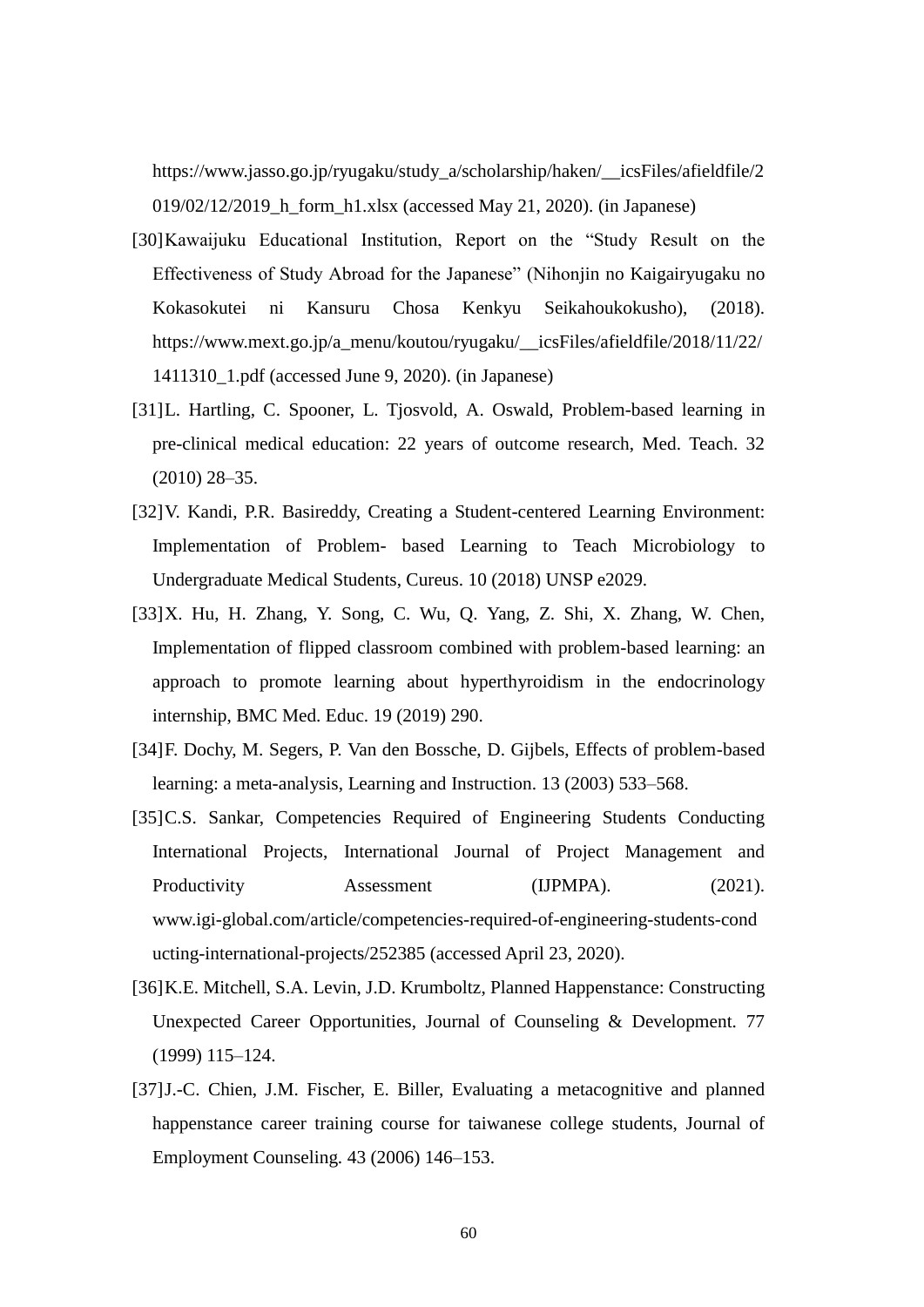https://www.jasso.go.jp/ryugaku/study\_a/scholarship/haken/\_\_icsFiles/afieldfile/2 019/02/12/2019\_h\_form\_h1.xlsx (accessed May 21, 2020). (in Japanese)

- [30]Kawaijuku Educational Institution, Report on the "Study Result on the Effectiveness of Study Abroad for the Japanese" (Nihonjin no Kaigairyugaku no Kokasokutei ni Kansuru Chosa Kenkyu Seikahoukokusho), (2018). https://www.mext.go.jp/a\_menu/koutou/ryugaku/\_\_icsFiles/afieldfile/2018/11/22/ 1411310\_1.pdf (accessed June 9, 2020). (in Japanese)
- [31]L. Hartling, C. Spooner, L. Tjosvold, A. Oswald, Problem-based learning in pre-clinical medical education: 22 years of outcome research, Med. Teach. 32 (2010) 28–35.
- [32]V. Kandi, P.R. Basireddy, Creating a Student-centered Learning Environment: Implementation of Problem- based Learning to Teach Microbiology to Undergraduate Medical Students, Cureus. 10 (2018) UNSP e2029.
- [33]X. Hu, H. Zhang, Y. Song, C. Wu, Q. Yang, Z. Shi, X. Zhang, W. Chen, Implementation of flipped classroom combined with problem-based learning: an approach to promote learning about hyperthyroidism in the endocrinology internship, BMC Med. Educ. 19 (2019) 290.
- [34]F. Dochy, M. Segers, P. Van den Bossche, D. Gijbels, Effects of problem-based learning: a meta-analysis, Learning and Instruction. 13 (2003) 533–568.
- [35] C.S. Sankar, Competencies Required of Engineering Students Conducting International Projects, International Journal of Project Management and Productivity Assessment (IJPMPA). (2021). www.igi-global.com/article/competencies-required-of-engineering-students-cond ucting-international-projects/252385 (accessed April 23, 2020).
- [36]K.E. Mitchell, S.A. Levin, J.D. Krumboltz, Planned Happenstance: Constructing Unexpected Career Opportunities, Journal of Counseling & Development. 77 (1999) 115–124.
- [37]J.-C. Chien, J.M. Fischer, E. Biller, Evaluating a metacognitive and planned happenstance career training course for taiwanese college students, Journal of Employment Counseling. 43 (2006) 146–153.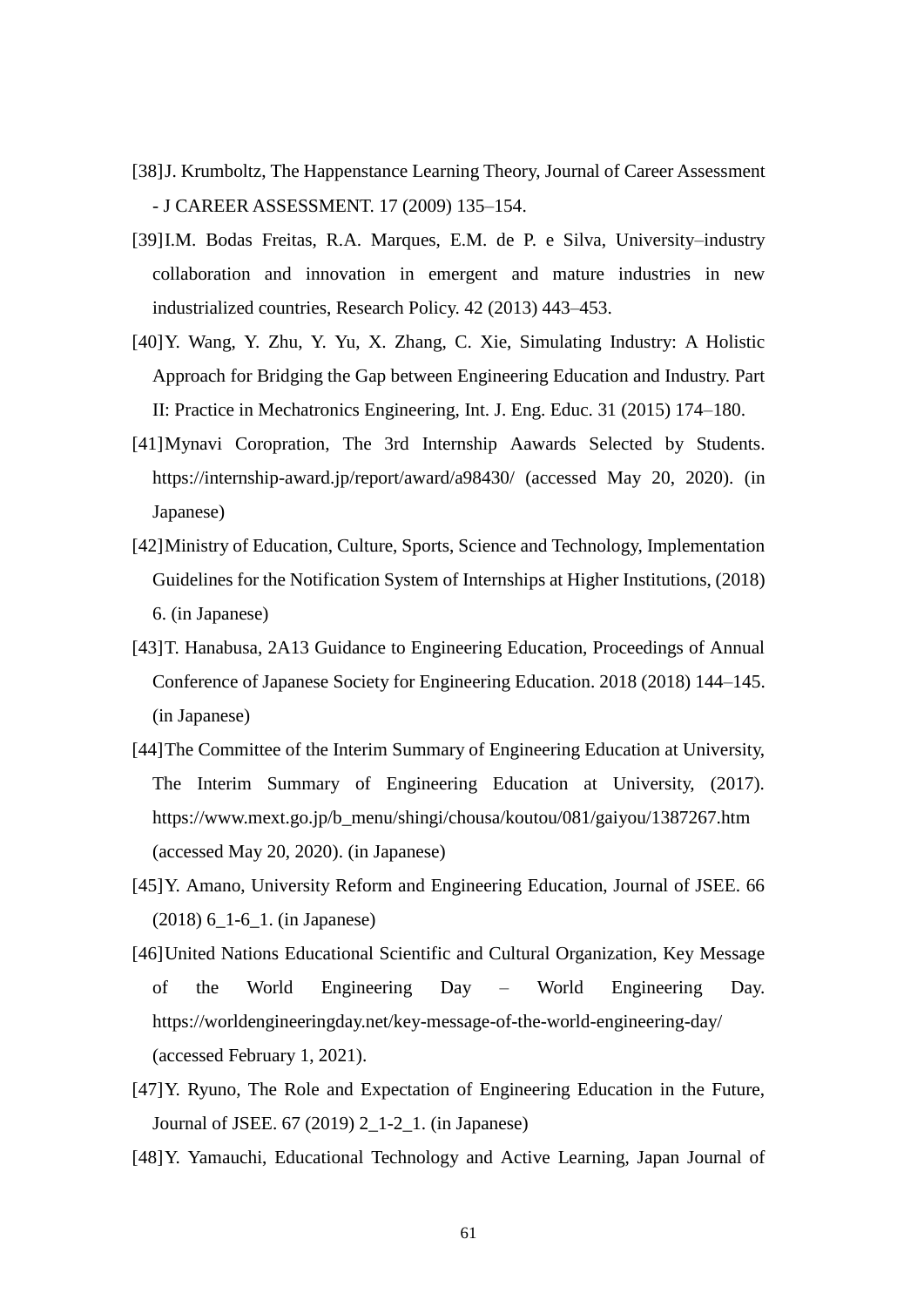- [38]J. Krumboltz, The Happenstance Learning Theory, Journal of Career Assessment - J CAREER ASSESSMENT. 17 (2009) 135–154.
- [39]I.M. Bodas Freitas, R.A. Marques, E.M. de P. e Silva, University–industry collaboration and innovation in emergent and mature industries in new industrialized countries, Research Policy. 42 (2013) 443–453.
- [40]Y. Wang, Y. Zhu, Y. Yu, X. Zhang, C. Xie, Simulating Industry: A Holistic Approach for Bridging the Gap between Engineering Education and Industry. Part II: Practice in Mechatronics Engineering, Int. J. Eng. Educ. 31 (2015) 174–180.
- [41]Mynavi Coropration, The 3rd Internship Aawards Selected by Students. https://internship-award.jp/report/award/a98430/ (accessed May 20, 2020). (in Japanese)
- [42]Ministry of Education, Culture, Sports, Science and Technology, Implementation Guidelines for the Notification System of Internships at Higher Institutions, (2018) 6. (in Japanese)
- [43]T. Hanabusa, 2A13 Guidance to Engineering Education, Proceedings of Annual Conference of Japanese Society for Engineering Education. 2018 (2018) 144–145. (in Japanese)
- [44]The Committee of the Interim Summary of Engineering Education at University, The Interim Summary of Engineering Education at University, (2017). https://www.mext.go.jp/b\_menu/shingi/chousa/koutou/081/gaiyou/1387267.htm (accessed May 20, 2020). (in Japanese)
- [45]Y. Amano, University Reform and Engineering Education, Journal of JSEE. 66 (2018) 6\_1-6\_1. (in Japanese)
- [46]United Nations Educational Scientific and Cultural Organization, Key Message of the World Engineering Day – World Engineering Day. https://worldengineeringday.net/key-message-of-the-world-engineering-day/ (accessed February 1, 2021).
- [47]Y. Ryuno, The Role and Expectation of Engineering Education in the Future, Journal of JSEE. 67 (2019) 2\_1-2\_1. (in Japanese)
- [48]Y. Yamauchi, Educational Technology and Active Learning, Japan Journal of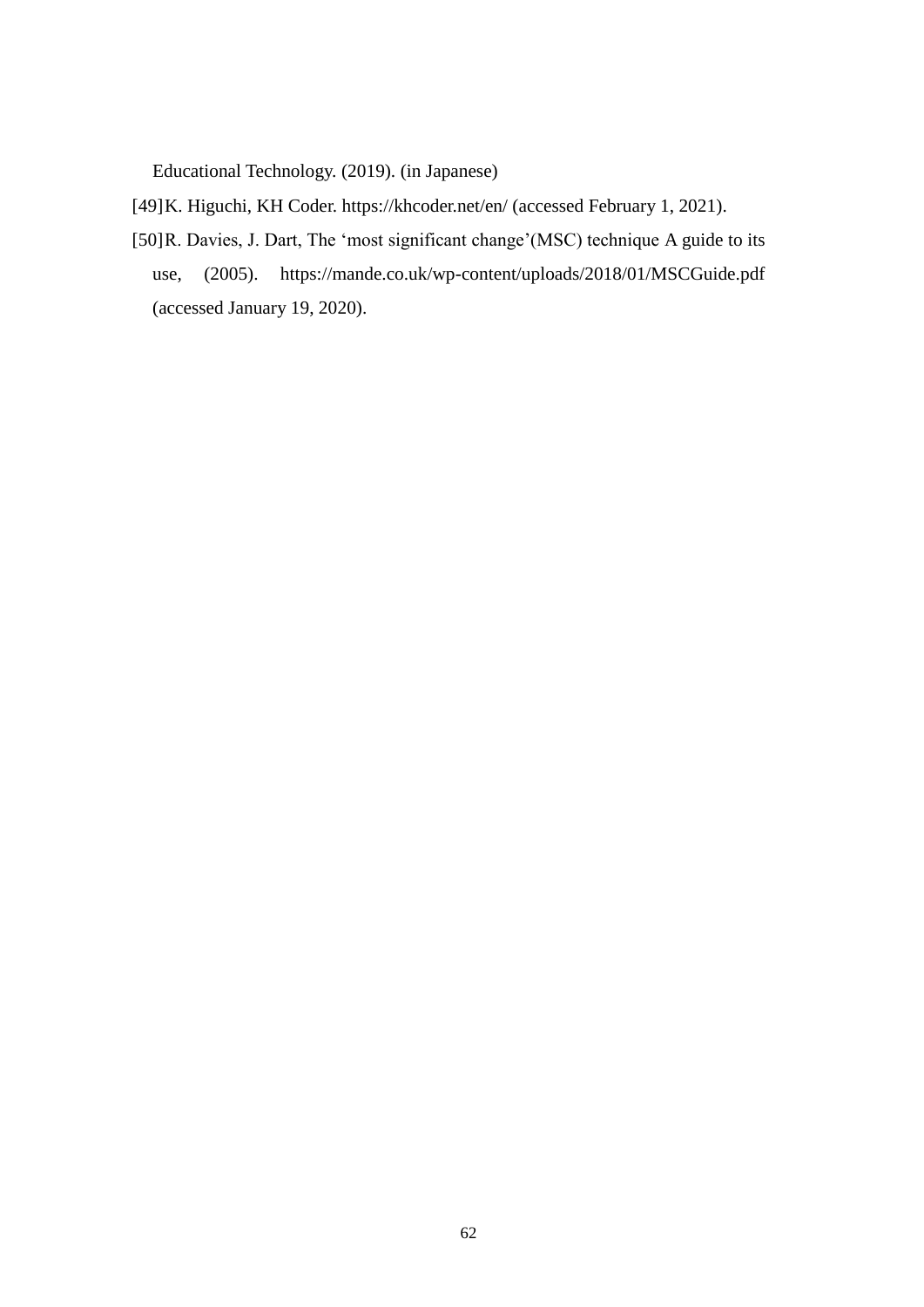Educational Technology. (2019). (in Japanese)

- [49]K. Higuchi, KH Coder. https://khcoder.net/en/ (accessed February 1, 2021).
- [50]R. Davies, J. Dart, The 'most significant change'(MSC) technique A guide to its use, (2005). https://mande.co.uk/wp-content/uploads/2018/01/MSCGuide.pdf (accessed January 19, 2020).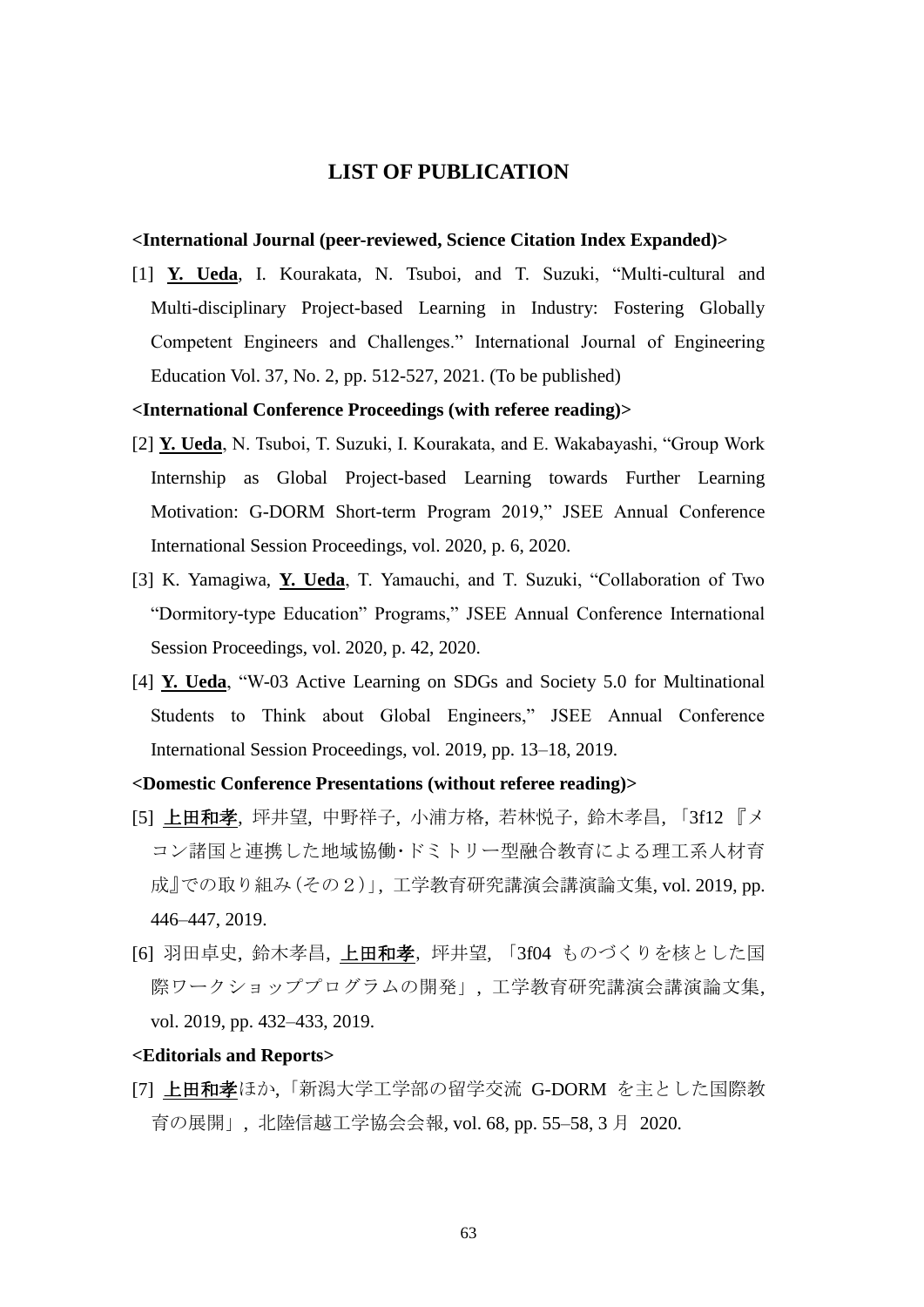### **LIST OF PUBLICATION**

#### **<International Journal (peer-reviewed, Science Citation Index Expanded)>**

[1] **Y. Ueda**, I. Kourakata, N. Tsuboi, and T. Suzuki, "Multi-cultural and Multi-disciplinary Project-based Learning in Industry: Fostering Globally Competent Engineers and Challenges." International Journal of Engineering Education Vol. 37, No. 2, pp. 512-527, 2021. (To be published)

#### **<International Conference Proceedings (with referee reading)>**

- [2] **Y. Ueda**, N. Tsuboi, T. Suzuki, I. Kourakata, and E. Wakabayashi, "Group Work Internship as Global Project-based Learning towards Further Learning Motivation: G-DORM Short-term Program 2019," JSEE Annual Conference International Session Proceedings, vol. 2020, p. 6, 2020.
- [3] K. Yamagiwa, **Y. Ueda**, T. Yamauchi, and T. Suzuki, "Collaboration of Two "Dormitory-type Education" Programs," JSEE Annual Conference International Session Proceedings, vol. 2020, p. 42, 2020.
- [4] **Y. Ueda**, "W-03 Active Learning on SDGs and Society 5.0 for Multinational Students to Think about Global Engineers," JSEE Annual Conference International Session Proceedings, vol. 2019, pp. 13–18, 2019.

#### **<Domestic Conference Presentations (without referee reading)>**

- [5] 上田和孝, 坪井望, 中野祥子, 小浦方格, 若林悦子,鈴木孝昌, 「3f12 『メ コン諸国と連携した地域協働・ドミトリー型融合教育による理工系人材育 成』での取り組み(その2)」, 工学教育研究講演会講演論文集, vol. 2019, pp. 446–447, 2019.
- [6] 羽田卓史, 鈴木孝昌, 上田和孝,坪井望, 「3f04 ものづくりを核とした国 際ワークショッププログラムの開発」, 工学教育研究講演会講演論文集, vol. 2019, pp. 432–433, 2019.

#### **<Editorials and Reports>**

[7] 上田和孝ほか, 「新潟大学工学部の留学交流 G-DORM を主とした国際教 育の展開」, 北陸信越工学協会会報, vol. 68, pp. 55–58, 3 月 2020.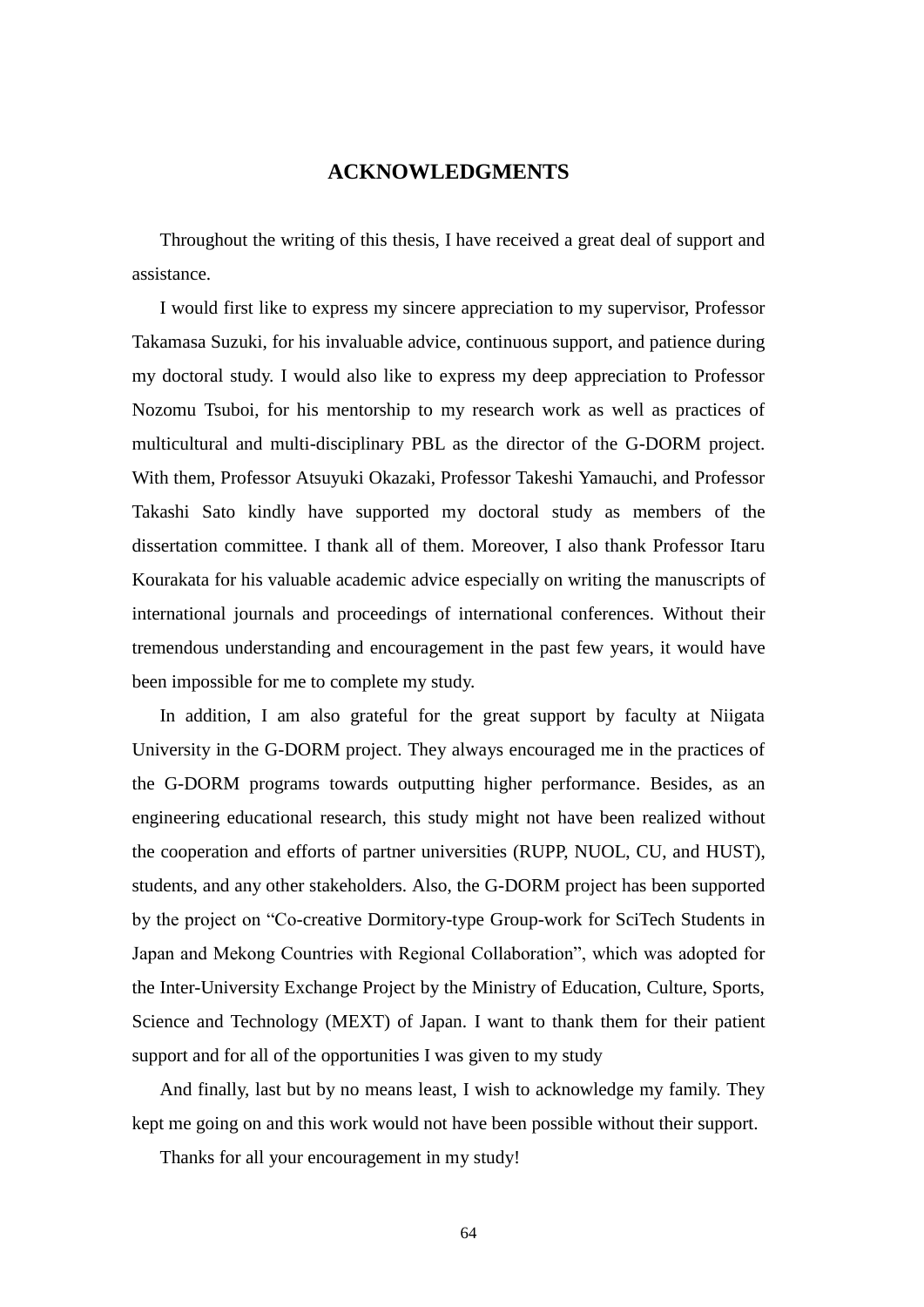### **ACKNOWLEDGMENTS**

Throughout the writing of this thesis, I have received a great deal of support and assistance.

I would first like to express my sincere appreciation to my supervisor, Professor Takamasa Suzuki, for his invaluable advice, continuous support, and patience during my doctoral study. I would also like to express my deep appreciation to Professor Nozomu Tsuboi, for his mentorship to my research work as well as practices of multicultural and multi-disciplinary PBL as the director of the G-DORM project. With them, Professor Atsuyuki Okazaki, Professor Takeshi Yamauchi, and Professor Takashi Sato kindly have supported my doctoral study as members of the dissertation committee. I thank all of them. Moreover, I also thank Professor Itaru Kourakata for his valuable academic advice especially on writing the manuscripts of international journals and proceedings of international conferences. Without their tremendous understanding and encouragement in the past few years, it would have been impossible for me to complete my study.

In addition, I am also grateful for the great support by faculty at Niigata University in the G-DORM project. They always encouraged me in the practices of the G-DORM programs towards outputting higher performance. Besides, as an engineering educational research, this study might not have been realized without the cooperation and efforts of partner universities (RUPP, NUOL, CU, and HUST), students, and any other stakeholders. Also, the G-DORM project has been supported by the project on "Co-creative Dormitory-type Group-work for SciTech Students in Japan and Mekong Countries with Regional Collaboration", which was adopted for the Inter-University Exchange Project by the Ministry of Education, Culture, Sports, Science and Technology (MEXT) of Japan. I want to thank them for their patient support and for all of the opportunities I was given to my study

And finally, last but by no means least, I wish to acknowledge my family. They kept me going on and this work would not have been possible without their support.

Thanks for all your encouragement in my study!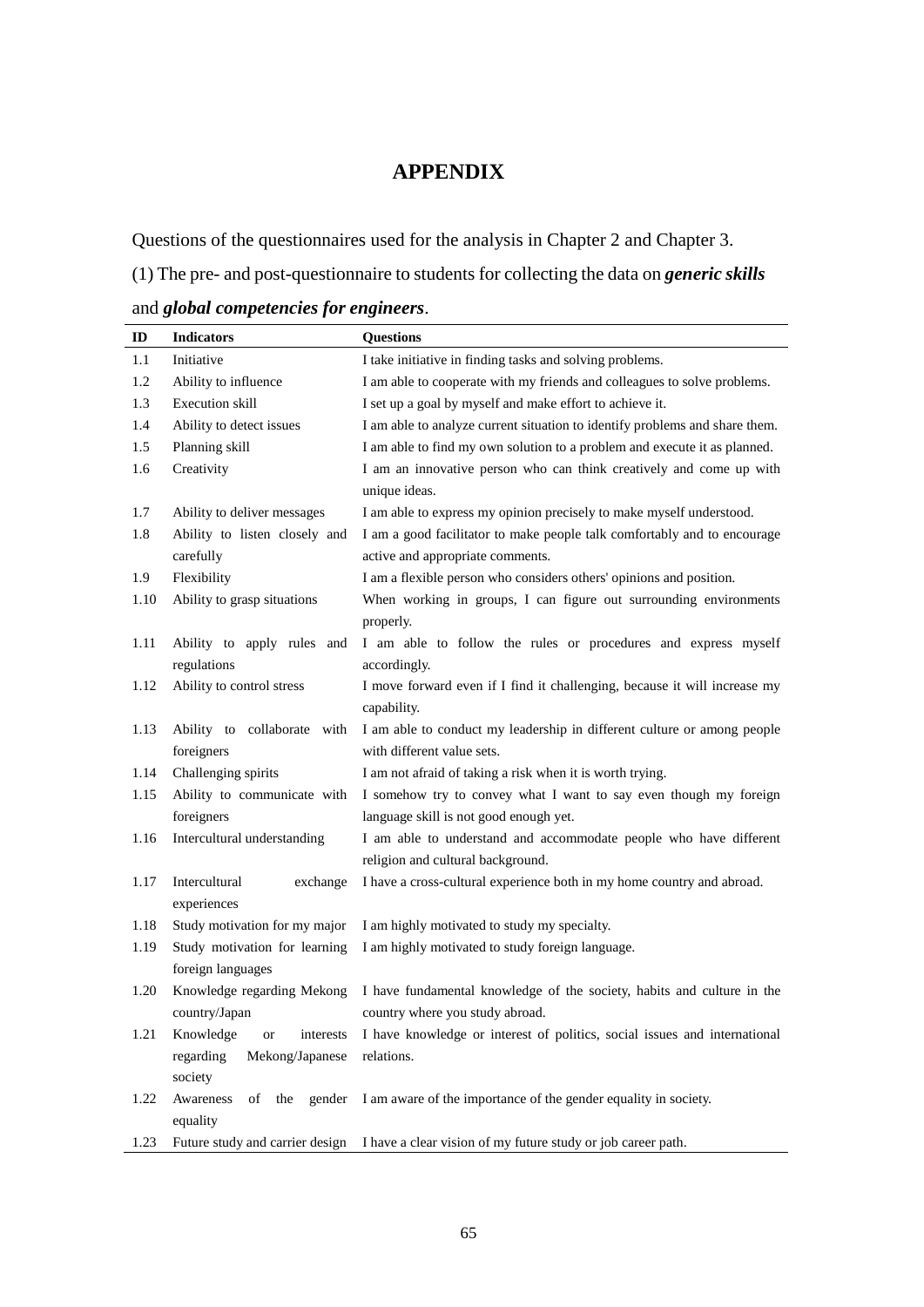# **APPENDIX**

Questions of the questionnaires used for the analysis in Chapter 2 and Chapter 3.

(1) The pre- and post-questionnaire to students for collecting the data on *generic skills*

|  |  |  | and global competencies for engineers. |  |
|--|--|--|----------------------------------------|--|
|  |  |  |                                        |  |
|  |  |  |                                        |  |

| $\mathbf{ID}$ | <b>Indicators</b>                         | <b>Questions</b>                                                                                       |
|---------------|-------------------------------------------|--------------------------------------------------------------------------------------------------------|
| 1.1           | Initiative                                | I take initiative in finding tasks and solving problems.                                               |
| 1.2           | Ability to influence                      | I am able to cooperate with my friends and colleagues to solve problems.                               |
| 1.3           | Execution skill                           | I set up a goal by myself and make effort to achieve it.                                               |
| 1.4           | Ability to detect issues                  | I am able to analyze current situation to identify problems and share them.                            |
| 1.5           | Planning skill                            | I am able to find my own solution to a problem and execute it as planned.                              |
| 1.6           | Creativity                                | I am an innovative person who can think creatively and come up with<br>unique ideas.                   |
| 1.7           | Ability to deliver messages               | I am able to express my opinion precisely to make myself understood.                                   |
| 1.8           | Ability to listen closely and             | I am a good facilitator to make people talk comfortably and to encourage                               |
|               | carefully                                 | active and appropriate comments.                                                                       |
| 1.9           | Flexibility                               | I am a flexible person who considers others' opinions and position.                                    |
| 1.10          | Ability to grasp situations               | When working in groups, I can figure out surrounding environments<br>properly.                         |
| 1.11          | Ability to apply rules and<br>regulations | I am able to follow the rules or procedures and express myself<br>accordingly.                         |
| 1.12          | Ability to control stress                 | I move forward even if I find it challenging, because it will increase my<br>capability.               |
| 1.13          | Ability to collaborate with<br>foreigners | I am able to conduct my leadership in different culture or among people<br>with different value sets.  |
| 1.14          | Challenging spirits                       | I am not afraid of taking a risk when it is worth trying.                                              |
| 1.15          | Ability to communicate with               | I somehow try to convey what I want to say even though my foreign                                      |
|               | foreigners                                | language skill is not good enough yet.                                                                 |
| 1.16          | Intercultural understanding               | I am able to understand and accommodate people who have different<br>religion and cultural background. |
| 1.17          | Intercultural<br>exchange<br>experiences  | I have a cross-cultural experience both in my home country and abroad.                                 |
| 1.18          | Study motivation for my major             | I am highly motivated to study my specialty.                                                           |
| 1.19          | Study motivation for learning             | I am highly motivated to study foreign language.                                                       |
|               | foreign languages                         |                                                                                                        |
| 1.20          | Knowledge regarding Mekong                | I have fundamental knowledge of the society, habits and culture in the                                 |
|               | country/Japan                             | country where you study abroad.                                                                        |
| 1.21          | Knowledge<br>or<br>interests              | I have knowledge or interest of politics, social issues and international                              |
|               | regarding<br>Mekong/Japanese              | relations.                                                                                             |
|               | society                                   |                                                                                                        |
| 1.22          | Awareness<br>gender<br>of<br>the          | I am aware of the importance of the gender equality in society.                                        |
|               | equality                                  |                                                                                                        |
| 1.23          | Future study and carrier design           | I have a clear vision of my future study or job career path.                                           |